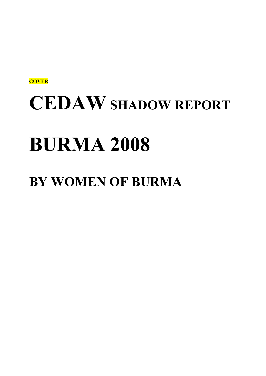**COVER** 

# **CEDAW SHADOW REPORT BURMA 2008**

# **BY WOMEN OF BURMA**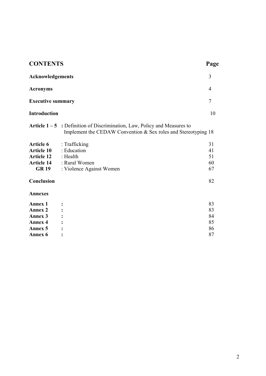| <b>CONTENTS</b>                                                                                |                                                                                                                                             | Page                             |  |  |  |
|------------------------------------------------------------------------------------------------|---------------------------------------------------------------------------------------------------------------------------------------------|----------------------------------|--|--|--|
| Acknowledgements                                                                               |                                                                                                                                             | 3                                |  |  |  |
| <b>Acronyms</b>                                                                                |                                                                                                                                             | 4                                |  |  |  |
| <b>Executive summary</b>                                                                       |                                                                                                                                             | $\tau$                           |  |  |  |
| <b>Introduction</b>                                                                            |                                                                                                                                             | 10                               |  |  |  |
|                                                                                                | Article $1-5$ : Definition of Discrimination, Law, Policy and Measures to<br>Implement the CEDAW Convention & Sex roles and Stereotyping 18 |                                  |  |  |  |
| <b>Article 6</b><br>Article 10 : Education<br>Article 12 : Health<br><b>GR19</b>               | : Trafficking<br>Article 14 : Rural Women<br>: Violence Against Women                                                                       | 31<br>41<br>51<br>60<br>67       |  |  |  |
| Conclusion                                                                                     |                                                                                                                                             | 82                               |  |  |  |
| <b>Annexes</b>                                                                                 |                                                                                                                                             |                                  |  |  |  |
| <b>Annex 1</b><br><b>Annex 2</b><br>Annex <sub>3</sub><br><b>Annex 4</b><br>Annex 5<br>Annex 6 |                                                                                                                                             | 83<br>83<br>84<br>85<br>86<br>87 |  |  |  |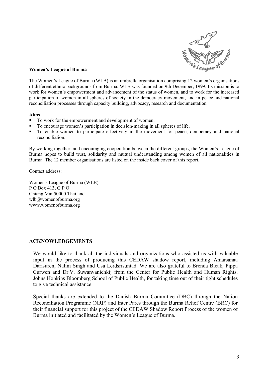

#### **Women's League of Burma**

The Women's League of Burma (WLB) is an umbrella organisation comprising 12 women's organisations of different ethnic backgrounds from Burma. WLB was founded on 9th December, 1999. Its mission is to work for women's empowerment and advancement of the status of women, and to work for the increased participation of women in all spheres of society in the democracy movement, and in peace and national reconciliation processes through capacity building, advocacy, research and documentation.

#### **Aims**

- To work for the empowerment and development of women.
- To encourage women's participation in decision-making in all spheres of life.
- To enable women to participate effectively in the movement for peace, democracy and national reconciliation.

By working together, and encouraging cooperation between the different groups, the Women's League of Burma hopes to build trust, solidarity and mutual understanding among women of all nationalities in Burma. The 12 member organisations are listed on the inside back cover of this report.

Contact address:

Women's League of Burma (WLB) P O Box 413, G P O Chiang Mai 50000 Thailand wlb@womenofburma.org www.womenofburma.org

#### **ACKNOWLEDGEMENTS**

We would like to thank all the individuals and organizations who assisted us with valuable input in the process of producing this CEDAW shadow report, including Amarsanaa Darisuren, Nalini Singh and Usa Lerdsrisuntad. We are also grateful to Brenda Bleak, Pippa Curwen and Dr.V. Suwanvanichkij from the Center for Public Health and Human Rights, Johns Hopkins Bloomberg School of Public Health, for taking time out of their tight schedules to give technical assistance.

Special thanks are extended to the Danish Burma Committee (DBC) through the Nation Reconciliation Programme (NRP) and Inter Pares through the Burma Relief Centre (BRC) for their financial support for this project of the CEDAW Shadow Report Process of the women of Burma initiated and facilitated by the Women's League of Burma.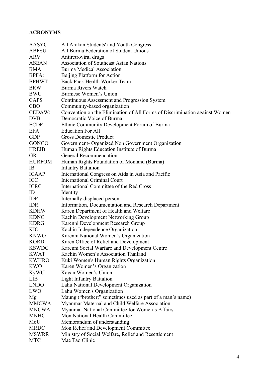#### **ACRONYMS**

| AASYC         | All Arakan Students' and Youth Congress                                    |
|---------------|----------------------------------------------------------------------------|
| <b>ABFSU</b>  | All Burma Federation of Student Unions                                     |
| <b>ARV</b>    | Antiretroviral drugs                                                       |
| <b>ASEAN</b>  | <b>Association of Southeast Asian Nations</b>                              |
| <b>BMA</b>    | <b>Burma Medical Association</b>                                           |
| <b>BPFA:</b>  | Beijing Platform for Action                                                |
| <b>BPHWT</b>  | Back Pack Health Worker Team                                               |
| <b>BRW</b>    | Burma Rivers Watch                                                         |
| <b>BWU</b>    | Burmese Women's Union                                                      |
| <b>CAPS</b>   | Continuous Assessment and Progression System                               |
| <b>CBO</b>    | Community-based organization                                               |
| CEDAW:        | Convention on the Elimination of All Forms of Discrimination against Women |
| <b>DVB</b>    | Democratic Voice of Burma                                                  |
| <b>ECDF</b>   | Ethnic Community Development Forum of Burma                                |
| <b>EFA</b>    | <b>Education For All</b>                                                   |
| <b>GDP</b>    | <b>Gross Domestic Product</b>                                              |
| <b>GONGO</b>  | Government- Organized Non Government Organization                          |
| <b>HREIB</b>  | Human Rights Education Institute of Burma                                  |
| <b>GR</b>     | General Recommendation                                                     |
| <b>HURFOM</b> | Human Rights Foundation of Monland (Burma)                                 |
| <b>IB</b>     | <b>Infantry Battalion</b>                                                  |
| <b>ICAAP</b>  | International Congress on Aids in Asia and Pacific                         |
| <b>ICC</b>    | <b>International Criminal Court</b>                                        |
| <b>ICRC</b>   | International Committee of the Red Cross                                   |
| ID            | Identity                                                                   |
| <b>IDP</b>    | Internally displaced person                                                |
| <b>IDR</b>    | Information, Documentation and Research Department                         |
| <b>KDHW</b>   | Karen Department of Health and Welfare                                     |
| <b>KDNG</b>   | Kachin Development Networking Group                                        |
| <b>KDRG</b>   | Karenni Development Research Group                                         |
| <b>KIO</b>    | Kachin Independence Organization                                           |
| <b>KNWO</b>   | Karenni National Women's Organization                                      |
| <b>KORD</b>   | Karen Office of Relief and Development                                     |
| <b>KSWDC</b>  | Karenni Social Warfare and Development Centre                              |
| <b>KWAT</b>   | Kachin Women's Association Thailand                                        |
| <b>KWHRO</b>  | Kuki Women's Human Rights Organization                                     |
| <b>KWO</b>    | Karen Women's Organization                                                 |
| <b>KyWU</b>   | Kayan Women's Union                                                        |
| <b>LIB</b>    | <b>Light Infantry Battalion</b>                                            |
| <b>LNDO</b>   | Lahu National Development Organization                                     |
| <b>LWO</b>    | Lahu Women's Organization                                                  |
| Mg            | Maung ("brother;" sometimes used as part of a man's name)                  |
| <b>MMCWA</b>  | Myanmar Maternal and Child Welfare Association                             |
| <b>MNCWA</b>  | Myanmar National Committee for Women's Affairs                             |
| <b>MNHC</b>   | Mon National Health Committee                                              |
| MoU           | Memorandum of understanding                                                |
| <b>MRDC</b>   | Mon Relief and Development Committee                                       |
| <b>MSWRR</b>  | Ministry of Social Welfare, Relief and Resettlement                        |
| <b>MTC</b>    | Mae Tao Clinic                                                             |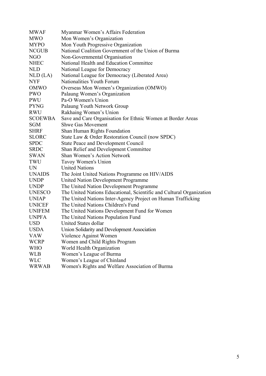| <b>MWAF</b>    | Myanmar Women's Affairs Federation                                   |
|----------------|----------------------------------------------------------------------|
| <b>MWO</b>     | Mon Women's Organization                                             |
| <b>MYPO</b>    | Mon Youth Progressive Organization                                   |
| <b>NCGUB</b>   | National Coalition Government of the Union of Burma                  |
| <b>NGO</b>     | Non-Governmental Organisation                                        |
| <b>NHEC</b>    | National Health and Education Committee                              |
| <b>NLD</b>     | National League for Democracy                                        |
| $NLD$ (LA)     | National League for Democracy (Liberated Area)                       |
| <b>NYF</b>     | Nationalities Youth Forum                                            |
| <b>OMWO</b>    | Overseas Mon Women's Organization (OMWO)                             |
| <b>PWO</b>     | Palaung Women's Organization                                         |
| <b>PWU</b>     | Pa-O Women's Union                                                   |
| <b>PYNG</b>    | Palaung Youth Network Group                                          |
| <b>RWU</b>     | Rakhaing Women's Union                                               |
| <b>SCOEWBA</b> | Save and Care Organisation for Ethnic Women at Border Areas          |
| <b>SGM</b>     | <b>Shwe Gas Movement</b>                                             |
| <b>SHRF</b>    | Shan Human Rights Foundation                                         |
| <b>SLORC</b>   | State Law & Order Restoration Council (now SPDC)                     |
| <b>SPDC</b>    | <b>State Peace and Development Council</b>                           |
| <b>SRDC</b>    | Shan Relief and Development Committee                                |
| <b>SWAN</b>    | Shan Women's Action Network                                          |
| <b>TWU</b>     | Tavoy Women's Union                                                  |
| <b>UN</b>      | <b>United Nations</b>                                                |
| <b>UNAIDS</b>  | The Joint United Nations Programme on HIV/AIDS                       |
| <b>UNDP</b>    | <b>United Nation Development Programme</b>                           |
| <b>UNDP</b>    | The United Nation Development Programme                              |
| <b>UNESCO</b>  | The United Nations Educational, Scientific and Cultural Organization |
| <b>UNIAP</b>   | The United Nations Inter-Agency Project on Human Trafficking         |
| <b>UNICEF</b>  | The United Nations Children's Fund                                   |
| <b>UNIFEM</b>  | The United Nations Development Fund for Women                        |
| <b>UNPFA</b>   | The United Nations Population Fund                                   |
| <b>USD</b>     | United States dollar                                                 |
| <b>USDA</b>    | Union Solidarity and Development Association                         |
| <b>VAW</b>     | Violence Against Women                                               |
| <b>WCRP</b>    | Women and Child Rights Program                                       |
| <b>WHO</b>     | World Health Organization                                            |
| <b>WLB</b>     | Women's League of Burma                                              |
| <b>WLC</b>     | Women's League of Chinland                                           |
| <b>WRWAB</b>   | Women's Rights and Welfare Association of Burma                      |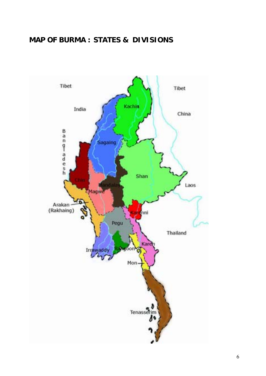## **MAP OF BURMA : STATES & DIVISIONS**

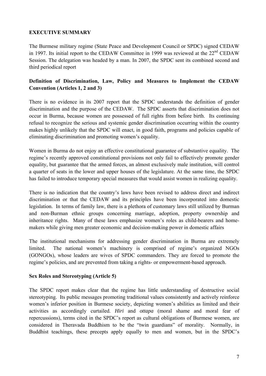#### **EXECUTIVE SUMMARY**

The Burmese military regime (State Peace and Development Council or SPDC) signed CEDAW in 1997. Its initial report to the CEDAW Committee in 1999 was reviewed at the 22<sup>nd</sup> CEDAW Session. The delegation was headed by a man. In 2007, the SPDC sent its combined second and third periodical report

#### **Definition of Discrimination, Law, Policy and Measures to Implement the CEDAW Convention (Articles 1, 2 and 3)**

There is no evidence in its 2007 report that the SPDC understands the definition of gender discrimination and the purpose of the CEDAW. The SPDC asserts that discrimination does not occur in Burma, because women are possessed of full rights from before birth. Its continuing refusal to recognize the serious and systemic gender discrimination occurring within the country makes highly unlikely that the SPDC will enact, in good faith, programs and policies capable of eliminating discrimination and promoting women's equality.

Women in Burma do not enjoy an effective constitutional guarantee of substantive equality. The regime's recently approved constitutional provisions not only fail to effectively promote gender equality, but guarantee that the armed forces, an almost exclusively male institution, will control a quarter of seats in the lower and upper houses of the legislature. At the same time, the SPDC has failed to introduce temporary special measures that would assist women in realizing equality.

There is no indication that the country's laws have been revised to address direct and indirect discrimination or that the CEDAW and its principles have been incorporated into domestic legislation. In terms of family law, there is a plethora of customary laws still utilized by Burman and non-Burman ethnic groups concerning marriage, adoption, property ownership and inheritance rights. Many of these laws emphasize women's roles as child-bearers and homemakers while giving men greater economic and decision-making power in domestic affairs

The institutional mechanisms for addressing gender discrimination in Burma are extremely limited. The national women's machinery is comprised of regime's organized NGOs (GONGOs), whose leaders are wives of SPDC commanders. They are forced to promote the regime's policies, and are prevented from taking a rights- or empowerment-based approach.

#### **Sex Roles and Stereotyping (Article 5)**

The SPDC report makes clear that the regime has little understanding of destructive social stereotyping. Its public messages promoting traditional values consistently and actively reinforce women's inferior position in Burmese society, depicting women's abilities as limited and their activities as accordingly curtailed. *Hiri* and *ottapa* (moral shame and moral fear of repercussions), terms cited in the SPDC's report as cultural obligations of Burmese women, are considered in Theravada Buddhism to be the "twin guardians" of morality. Normally, in Buddhist teachings, these precepts apply equally to men and women, but in the SPDC's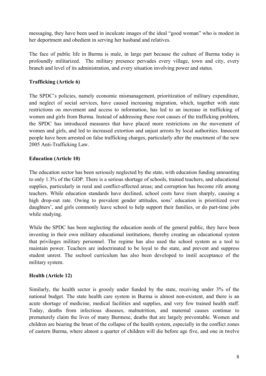messaging, they have been used in inculcate images of the ideal "good woman" who is modest in her deportment and obedient in serving her husband and relatives.

The face of public life in Burma is male, in large part because the culture of Burma today is profoundly militarized. The military presence pervades every village, town and city, every branch and level of its administration, and every situation involving power and status.

#### **Trafficking (Article 6)**

The SPDC's policies, namely economic mismanagement, prioritization of military expenditure, and neglect of social services, have caused increasing migration, which, together with state restrictions on movement and access to information, has led to an increase in trafficking of women and girls from Burma. Instead of addressing these root causes of the trafficking problem, the SPDC has introduced measures that have placed more restrictions on the movement of women and girls, and led to increased extortion and unjust arrests by local authorities. Innocent people have been arrested on false trafficking charges, particularly after the enactment of the new 2005 Anti-Trafficking Law.

#### **Education (Article 10)**

The education sector has been seriously neglected by the state, with education funding amounting to only 1.3% of the GDP. There is a serious shortage of schools, trained teachers, and educational supplies, particularly in rural and conflict-affected areas; and corruption has become rife among teachers. While education standards have declined, school costs have risen sharply, causing a high drop-out rate. Owing to prevalent gender attitudes, sons' education is prioritized over daughters', and girls commonly leave school to help support their families, or do part-time jobs while studying.

While the SPDC has been neglecting the education needs of the general public, they have been investing in their own military educational institutions, thereby creating an educational system that privileges military personnel. The regime has also used the school system as a tool to maintain power. Teachers are indoctrinated to be loyal to the state, and prevent and suppress student unrest. The sschool curriculum has also been developed to instil acceptance of the military system.

#### **Health (Article 12)**

Similarly, the health sector is grossly under funded by the state, receiving under 3% of the national budget. The state health care system in Burma is almost non-existent, and there is an acute shortage of medicine, medical facilities and supplies, and very few trained health staff. Today, deaths from infectious diseases, malnutrition, and maternal causes continue to prematurely claim the lives of many Burmese, deaths that are largely preventable. Women and children are bearing the brunt of the collapse of the health system, especially in the conflict zones of eastern Burma, where almost a quarter of children will die before age five, and one in twelve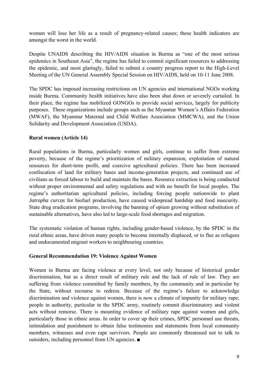women will lose her life as a result of pregnancy-related causes; these health indicators are amongst the worst in the world.

Despite UNAIDS describing the HIV/AIDS situation in Burma as "one of the most serious epidemics in Southeast Asia", the regime has failed to commit significant resources to addressing the epidemic, and most glaringly, failed to submit a country progress report to the High-Level Meeting of the UN General Assembly Special Session on HIV/AIDS, held on 10-11 June 2008.

The SPDC has imposed increasing restrictions on UN agencies and international NGOs working inside Burma. Community health initiatives have also been shut down or severely curtailed. In their place, the regime has mobilized GONGOs to provide social services, largely for publicity purposes. These organizations include groups such as the Myanmar Women's Affairs Federation (MWAF), the Myanmar Maternal and Child Welfare Association (MMCWA), and the Union Solidarity and Development Association (USDA).

#### **Rural women (Article 14)**

Rural populations in Burma, particularly women and girls, continue to suffer from extreme poverty, because of the regime's prioritization of military expansion, exploitation of natural resources for short-term profit, and coercive agricultural policies. There has been increased confiscation of land for military bases and income-generation projects, and continued use of civilians as forced labour to build and maintain the bases. Resource extraction is being conducted without proper environmental and safety regulations and with no benefit for local peoples. The regime's authoritarian agricultural policies, including forcing people nationwide to plant *Jatropha curcas* for biofuel production, have caused widespread hardship and food insecurity. State drug eradication programs, involving the banning of opium growing without substitution of sustainable alternatives, have also led to large-scale food shortages and migration.

The systematic violation of human rights, including gender-based violence, by the SPDC in the rural ethnic areas, have driven many people to become internally displaced, or to flee as refugees and undocumented migrant workers to neighbouring countries.

#### **General Recommendation 19: Violence Against Women**

Women in Burma are facing violence at every level, not only because of historical gender discrimination, but as a direct result of military rule and the lack of rule of law. They are suffering from violence committed by family members, by the community and in particular by the State, without recourse to redress. Because of the regime's failure to acknowledge discrimination and violence against women, there is now a climate of impunity for military rape; people in authority, particular in the SPDC army, routinely commit discriminatory and violent acts without remorse. There is mounting evidence of military rape against women and girls, particularly those in ethnic areas. In order to cover up their crimes, SPDC personnel use threats, intimidation and punishment to obtain false testimonies and statements from local community members, witnesses and even rape survivors. People are commonly threatened not to talk to outsiders, including personnel from UN agencies. ■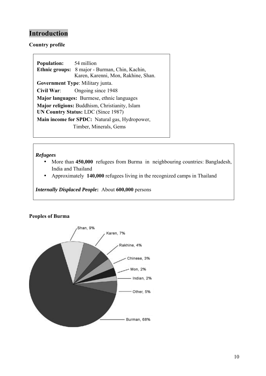### **Introduction**

#### **Country profile**

| <b>Population:</b>                                                                           | 54 million<br><b>Ethnic groups:</b> 8 major - Burman, Chin, Kachin,<br>Karen, Karenni, Mon, Rakhine, Shan. |  |  |  |  |  |
|----------------------------------------------------------------------------------------------|------------------------------------------------------------------------------------------------------------|--|--|--|--|--|
| Government Type: Military junta.                                                             |                                                                                                            |  |  |  |  |  |
|                                                                                              | Civil War: Ongoing since 1948                                                                              |  |  |  |  |  |
| <b>Major languages:</b> Burmese, ethnic languages                                            |                                                                                                            |  |  |  |  |  |
| Major religions: Buddhism, Christianity, Islam<br><b>UN Country Status: LDC (Since 1987)</b> |                                                                                                            |  |  |  |  |  |
| <b>Main income for SPDC:</b> Natural gas, Hydropower,                                        |                                                                                                            |  |  |  |  |  |
| Timber, Minerals, Gems                                                                       |                                                                                                            |  |  |  |  |  |

#### *Refugees*

- More than **450,000** refugees from Burma in neighbouring countries: Bangladesh, India and Thailand
- Approximately **140,000** refugees living in the recognized camps in Thailand

*Internally Displaced People***:** About **600,000** persons

#### **Peoples of Burma**

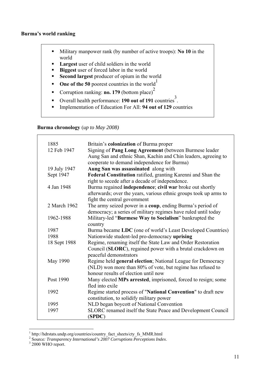#### **Burma's world ranking**

- Military manpower rank (by number of active troops): **No 10** in the world
- **Largest** user of child soldiers in the world
- **Biggest** user of forced labor in the world
- **Second largest** producer of opium in the world
- **One of the 50** poorest countries in the world<sup>1</sup>
- **Corruption ranking: <b>no. 179** (bottom place)<sup>2</sup>
- Overall health performance: **190 out of 191** countries<sup>3</sup>.
- Implementation of Education For All: **94 out of 129** countries

 **Burma chronology** (*up to May 2008)*

| 1885         | Britain's colonization of Burma proper                                           |
|--------------|----------------------------------------------------------------------------------|
| 12 Feb 1947  | Signing of Pang Long Agreement (between Burmese leader                           |
|              | Aung San and ethnic Shan, Kachin and Chin leaders, agreeing to                   |
|              | cooperate to demand independence for Burma)                                      |
| 19 July 1947 | Aung San was assassinated along with                                             |
| Sept 1947    | Federal Constitution ratified, granting Karenni and Shan the                     |
|              | right to secede after a decade of independence.                                  |
| 4 Jan 1948   | Burma regained independence; civil war broke out shortly                         |
|              | afterwards; over the years, various ethnic groups took up arms to                |
|              | fight the central government                                                     |
| 2 March 1962 | The army seized power in a coup, ending Burma's period of                        |
|              | democracy; a series of military regimes have ruled until today                   |
| 1962-1988    | Military-led "Burmese Way to Socialism" bankrupted the<br>country                |
| 1987         | Burma became LDC (one of world's Least Developed Countries)                      |
| 1988         | Nationwide student-led pro-democracy uprising                                    |
| 18 Sept 1988 | Regime, renaming itself the State Law and Order Restoration                      |
|              | Council (SLORC), regained power with a brutal crackdown on                       |
|              | peaceful demonstrators                                                           |
| May 1990     | Regime held general election; National League for Democracy                      |
|              | (NLD) won more than 80% of vote, but regime has refused to                       |
|              | honour results of election until now                                             |
| Post 1990    | Many elected MPs arrested, imprisoned, forced to resign; some<br>fled into exile |
| 1992         |                                                                                  |
|              | Regime started process of "National Convention" to draft new                     |
|              | constitution, to solidify military power                                         |
| 1995         | NLD began boycott of National Convention                                         |
| 1997         | SLORC renamed itself the State Peace and Development Council                     |
|              | (SPDC)                                                                           |

<sup>&</sup>lt;sup>1</sup> http://hdrstats.undp.org/countries/country\_fact\_sheets/cty\_fs\_MMR.html

<sup>&</sup>lt;sup>2</sup> Source: *Transparency International's 2007 Corruptions Perceptions Index.*<br><sup>3</sup> 2000 WIJO report

 $3$  2000 WHO report.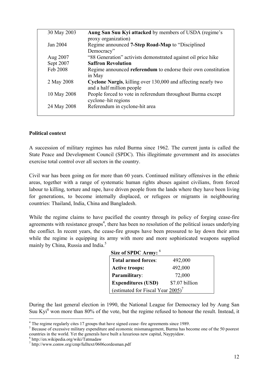| 30 May 2003 | Aung San Suu Kyi attacked by members of USDA (regime's        |
|-------------|---------------------------------------------------------------|
|             | proxy organization)                                           |
| Jan 2004    | Regime announced <b>7-Step Road-Map</b> to "Disciplined"      |
|             | Democracy"                                                    |
| Aug 2007    | "88 Generation" activists demonstrated against oil price hike |
| Sept 2007   | <b>Saffron Revolution</b>                                     |
| Feb 2008    | Regime announced referendum to endorse their own constitution |
|             | in May                                                        |
| 2 May 2008  | Cyclone Nargis, killing over 130,000 and affecting nearly two |
|             | and a half million people                                     |
|             | People forced to vote in referendum throughout Burma except   |
|             | cyclone-hit regions                                           |
|             | Referendum in cyclone-hit area                                |
|             |                                                               |
|             | 10 May 2008<br>24 May 2008                                    |

#### **Political context**

A succession of military regimes has ruled Burma since 1962. The current junta is called the State Peace and Development Council (SPDC). This illegitimate government and its associates exercise total control over all sectors in the country.

Civil war has been going on for more than 60 years. Continued military offensives in the ethnic areas, together with a range of systematic human rights abuses against civilians, from forced labour to killing, torture and rape, have driven people from the lands where they have been living for generations, to become internally displaced, or refugees or migrants in neighbouring countries: Thailand, India, China and Bangladesh.

While the regime claims to have pacified the country through its policy of forging cease-fire agreements with resistance groups<sup>4</sup>, there has been no resolution of the political issues underlying the conflict. In recent years, the cease-fire groups have been pressured to lay down their arms while the regime is equipping its army with more and more sophisticated weapons supplied mainly by China, Russia and India.<sup>5</sup>

| Size of SPDC Army: 6                             |                |
|--------------------------------------------------|----------------|
| <b>Total armed forces:</b>                       | 492,000        |
| <b>Active troops:</b>                            | 492,000        |
| Paramilitary:                                    | 72,000         |
| <b>Expenditures (USD)</b>                        | \$7.07 billion |
| (estimated for Fiscal Year $2005$ ) <sup>7</sup> |                |

During the last general election in 1990, the National League for Democracy led by Aung San Suu Kyi<sup>8</sup> won more than 80% of the vote, but the regime refused to honour the result. Instead, it

The regime regularly cites 17 groups that have signed cease–fire agreements since 1989.

<sup>&</sup>lt;sup>5</sup> Because of excessive military expenditure and economic mismanagement, Burma has become one of the 50 poorest countries in the world. Yet the generals have built a luxurious new capital, Naypyidaw.

<sup>6</sup> http://en.wikipedia.org/wiki/Tatmadaw

<sup>7</sup> http://www.comw.org/cmp/fulltext/0606cordesman.pdf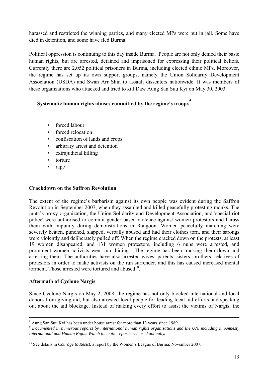harassed and restricted the winning parties, and many elected MPs were put in jail. Some have died in detention, and some have fled Burma.

Political oppression is continuing to this day inside Burma. People are not only denied their basic human rights, but are arrested, detained and imprisoned for expressing their political beliefs. Currently there are 2,052 political prisoners in Burma, including elected ethnic MPs. Moreover, the regime has set up its own support groups, namely the Union Solidarity Development Association (USDA) and Swan Arr Shin to assault dissenters nationwide. It was members of these organizations who attacked and tried to kill Daw Aung San Suu Kyi on May 30, 2003.

# **Systematic human rights abuses committed by the regime's troops**<sup>9</sup>

• forced labour • forced relocation • confiscation of lands and crops arbitrary arrest and detention • extrajudicial killing **torture** • rape

#### **Crackdown on the Saffron Revolution**

The extent of the regime's barbarism against its own people was evident during the Saffron Revolution in September 2007, when they assaulted and killed peacefully protesting monks. The junta's proxy organization, the Union Solidarity and Development Association, and 'special riot police' were authorised to commit gender based violence against women protestors and harass them with impunity during demonstrations in Rangoon. Women peacefully marching were severely beaten, punched, slapped, verbally abused and had their clothes torn, and their sarongs were violently and deliberately pulled off. When the regime cracked down on the protests, at least 19 women disappeared, and 131 women protestors, including 6 nuns were arrested, and prominent women activists went into hiding. The regime has been tracking them down and arresting them. The authorities have also arrested wives, parents, sisters, brothers, relatives of protestors in order to make activists on the run surrender, and this has caused increased mental torment. Those arrested were tortured and abused $10$ .

#### **Aftermath of Cyclone Nargis**

Since Cyclone Nargis on May 2, 2008, the regime has not only blocked international and local donors from giving aid, but also arrested local people for leading local aid efforts and speaking out about the aid blockage. Instead of making every effort to assist the victims of Nargis, the

 $\frac{1}{8}$ Aung San Suu Kyi has been under house arrest for more than 13 years since 1989.

<sup>9</sup> *Documented in numerous reports by international human rights organisations and the UN, including in Amnesty International and Human Rights Watch thematic reports released annually.* 

<sup>10</sup> See details in *Courage to Resist*, a report by the Women's League of Burma, November 2007.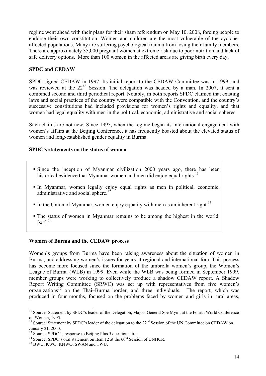regime went ahead with their plans for their sham referendum on May 10, 2008, forcing people to endorse their own constitution. Women and children are the most vulnerable of the cycloneaffected populations. Many are suffering psychological trauma from losing their family members. There are approximately 35,000 pregnant women at extreme risk due to poor nutrition and lack of safe delivery options. More than 100 women in the affected areas are giving birth every day.

#### **SPDC and CEDAW**

SPDC signed CEDAW in 1997. Its initial report to the CEDAW Committee was in 1999, and was reviewed at the  $22^{nd}$  Session. The delegation was headed by a man. In 2007, it sent a combined second and third periodical report. Notably, in both reports SPDC claimed that existing laws and social practices of the country were compatible with the Convention, and the country's successive constitutions had included provisions for women's rights and equality, and that women had legal equality with men in the political, economic, administrative and social spheres.

Such claims are not new. Since 1995, when the regime began its international engagement with women's affairs at the Beijing Conference, it has frequently boasted about the elevated status of women and long-established gender equality in Burma.

#### **SPDC's statements on the status of women**

- Since the inception of Myanmar civilization 2000 years ago, there has been historical evidence that Myanmar women and men did enjoy equal rights  $11$
- In Myanmar, women legally enjoy equal rights as men in political, economic, administrative and social sphere.<sup>12</sup>
- In the Union of Myanmar, women enjoy equality with men as an inherent right.<sup>13</sup>
- The status of women in Myanmar remains to be among the highest in the world.  $[sic]$ <sup>14</sup>

#### **Women of Burma and the CEDAW process**

Women's groups from Burma have been raising awareness about the situation of women in Burma, and addressing women's issues for years at regional and international fora. This process has become more focused since the formation of the umbrella women's group, the Women's League of Burma (WLB) in 1999. Even while the WLB was being formed in September 1999, member groups were working to collectively produce a shadow CEDAW report. A Shadow Report Writing Committee (SRWC) was set up with representatives from five women's organizations<sup>15</sup> on the Thai–Burma border, and three individuals. The report, which was produced in four months, focused on the problems faced by women and girls in rural areas,

<sup>&</sup>lt;sup>11</sup> Source: Statement by SPDC's leader of the Delegation, Major- General Soe Myint at the Fourth World Conference on Women, 1995.

<sup>&</sup>lt;sup>12</sup> Source: Statement by SPDC's leader of the delegation to the 22<sup>nd</sup> Session of the UN Committee on CEDAW on January 21, 2000.

<sup>&</sup>lt;sup>13</sup> Source: SPDC 's response to Beijing Plus 5 questionnaire.

<sup>&</sup>lt;sup>14</sup> Source: SPDC's oral statement on Item 12 at the  $60<sup>th</sup>$  Session of UNHCR.<br><sup>15</sup> BWU, KWO, KNWO, SWAN and TWU.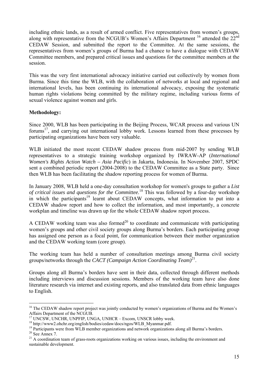including ethnic lands, as a result of armed conflict. Five representatives from women's groups, along with representative from the NCGUB's Women's Affairs Department <sup>16</sup> attended the 22<sup>nd</sup> CEDAW Session, and submitted the report to the Committee. At the same sessions, the representatives from women's groups of Burma had a chance to have a dialogue with CEDAW Committee members, and prepared critical issues and questions for the committee members at the session.

This was the very first international advocacy initiative carried out collectively by women from Burma. Since this time the WLB, with the collaboration of networks at local and regional and international levels, has been continuing its international advocacy, exposing the systematic human rights violations being committed by the military regime, including various forms of sexual violence against women and girls.

#### **Methodology:**

Since 2000, WLB has been participating in the Beijing Process, WCAR process and various UN forums<sup>17</sup>, and carrying out international lobby work. Lessons learned from these processes by participating organizations have been very valuable.

WLB initiated the most recent CEDAW shadow process from mid-2007 by sending WLB representatives to a strategic training workshop organized by IWRAW-AP (*International Women's Rights Action Watch – Asia Pacific*) in Jakarta, Indonesia. In November 2007, SPDC sent a combined periodic report (2004-2008) to the CEDAW Committee as a State party. Since then WLB has been facilitating the shadow reporting process for women of Burma.

In January 2008, WLB held a one-day consultation workshop for women's groups to gather a *List of critical issues and questions for the Committee.*18 This was followed by a four-day workshop in which the participants<sup>19</sup> learnt about CEDAW concepts, what information to put into a CEDAW shadow report and how to collect the information, and most importantly, a concrete workplan and timeline was drawn up for the whole CEDAW shadow report process.

A CEDAW working team was also formed<sup>20</sup> to coordinate and communicate with participating women's groups and other civil society groups along Burma's borders. Each participating group has assigned one person as a focal point, for communication between their mother organization and the CEDAW working team (core group).

The working team has held a number of consultation meetings among Burma civil society groups/networks through the *CACT (Campaign Action Coordinating Team)*21.

Groups along all Burma's borders have sent in their data, collected through different methods including interviews and discussion sessions. Members of the working team have also done literature research via internet and existing reports, and also translated data from ethnic languages to English.

<sup>&</sup>lt;sup>16</sup> The CEDAW shadow report project was jointly conducted by women's organizations of Burma and the Women's Affairs Department of the NCGUB.<br><sup>17</sup> UNCSW, UNCHR, UNPFIP, UNGA, UNHCR – Excom, UNSCR lobby week.

 $^{18}$  http://www2.ohchr.org/english/bodies/cedaw/docs/ngos/WLB\_Myanmar.pdf.<br> $^{19}$  Participants were from WLB member organizations and network organizations along all Burma's borders.

 $20$  See Annex 7.

<sup>&</sup>lt;sup>21</sup> A coordination team of grass-roots organizations working on various issues, including the environment and sustainable development.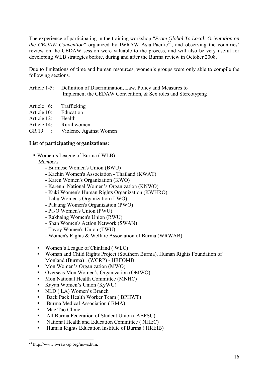The experience of participating in the training workshop "*From Global To Local: Orientation on the CEDAW Convention*" organized by IWRAW Asia-Pacific<sup>22</sup>, and observing the countries' review on the CEDAW session were valuable to the process, and will also be very useful for developing WLB strategies before, during and after the Burma review in October 2008.

Due to limitations of time and human resources, women's groups were only able to compile the following sections.

- Article 1-5: Definition of Discrimination, Law, Policy and Measures to Implement the CEDAW Convention, & Sex roles and Stereotyping
- Article 6: Trafficking
- Article 10: Education
- Article 12: Health
- Article 14: Rural women
- GR 19 : Violence Against Women

#### **List of participating organizations:**

- Women's League of Burma ( WLB)
	- *Members* 
		- Burmese Women's Union (BWU)
		- Kachin Women's Association Thailand (KWAT)
		- Karen Women's Organization (KWO)
		- Karenni National Women's Organization (KNWO)
		- Kuki Women's Human Rights Organization (KWHRO)
		- Lahu Women's Organization (LWO)
		- Palaung Women's Organization (PWO)
		- Pa-O Women's Union (PWU)
		- Rakhaing Women's Union (RWU)
		- Shan Women's Action Network (SWAN)
		- Tavoy Women's Union (TWU)
		- Women's Rights & Welfare Association of Burma (WRWAB)
	- Women's League of Chinland ( WLC)
	- Woman and Child Rights Project (Southern Burma), Human Rights Foundation of Monland (Burma) : (WCRP) - HRFOMB
	- Mon Women's Organization (MWO)
	- Overseas Mon Women's Organization (OMWO)
	- Mon National Health Committee (MNHC)
	- Kayan Women's Union (KyWU)
	- NLD ( LA) Women's Branch
	- Back Pack Health Worker Team ( BPHWT)
	- Burma Medical Association ( BMA)
	- Mae Tao Clinic
	- All Burma Federation of Student Union ( ABFSU)
	- National Health and Education Committee (NHEC)
	- Human Rights Education Institute of Burma (HREIB)

<sup>22</sup> http://www.iwraw-ap.org/news.htm.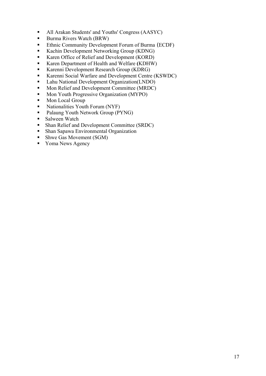- All Arakan Students' and Youths' Congress (AASYC)
- Burma Rivers Watch (BRW)
- **Ethnic Community Development Forum of Burma (ECDF)**
- Kachin Development Networking Group (KDNG)
- Karen Office of Relief and Development (KORD)
- Karen Department of Health and Welfare **(**KDHW)
- Karenni Development Research Group (KDRG)
- Karenni Social Warfare and Development Centre (KSWDC)
- Lahu National Development Organization(LNDO)
- Mon Relief and Development Committee (MRDC)
- Mon Youth Progressive Organization (MYPO)
- Mon Local Group
- Nationalities Youth Forum (NYF)
- Palaung Youth Network Group (PYNG)
- **Salween Watch**
- Shan Relief and Development Committee (SRDC)
- Shan Sapawa Environmental Organization
- Shwe Gas Movement (SGM)
- **•** Yoma News Agency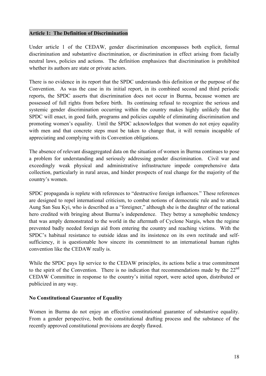#### **Article 1: The Definition of Discrimination**

Under article 1 of the CEDAW, gender discrimination encompasses both explicit, formal discrimination and substantive discrimination, or discrimination in effect arising from facially neutral laws, policies and actions. The definition emphasizes that discrimination is prohibited whether its authors are state or private actors.

There is no evidence in its report that the SPDC understands this definition or the purpose of the Convention. As was the case in its initial report, in its combined second and third periodic reports, the SPDC asserts that discrimination does not occur in Burma, because women are possessed of full rights from before birth. Its continuing refusal to recognize the serious and systemic gender discrimination occurring within the country makes highly unlikely that the SPDC will enact, in good faith, programs and policies capable of eliminating discrimination and promoting women's equality. Until the SPDC acknowledges that women do not enjoy equality with men and that concrete steps must be taken to change that, it will remain incapable of appreciating and complying with its Convention obligations.

The absence of relevant disaggregated data on the situation of women in Burma continues to pose a problem for understanding and seriously addressing gender discrimination. Civil war and exceedingly weak physical and administrative infrastructure impede comprehensive data collection, particularly in rural areas, and hinder prospects of real change for the majority of the country's women.

SPDC propaganda is replete with references to "destructive foreign influences." These references are designed to repel international criticism, to combat notions of democratic rule and to attack Aung San Suu Kyi, who is described as a "foreigner," although she is the daughter of the national hero credited with bringing about Burma's independence. They betray a xenophobic tendency that was amply demonstrated to the world in the aftermath of Cyclone Nargis, when the regime prevented badly needed foreign aid from entering the country and reaching victims. With the SPDC's habitual resistance to outside ideas and its insistence on its own rectitude and selfsufficiency, it is questionable how sincere its commitment to an international human rights convention like the CEDAW really is.

While the SPDC pays lip service to the CEDAW principles, its actions belie a true commitment to the spirit of the Convention. There is no indication that recommendations made by the  $22<sup>nd</sup>$ CEDAW Committee in response to the country's initial report, were acted upon, distributed or publicized in any way.

#### **No Constitutional Guarantee of Equality**

Women in Burma do not enjoy an effective constitutional guarantee of substantive equality. From a gender perspective, both the constitutional drafting process and the substance of the recently approved constitutional provisions are deeply flawed.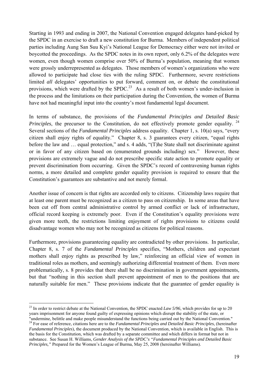Starting in 1993 and ending in 2007, the National Convention engaged delegates hand-picked by the SPDC in an exercise to draft a new constitution for Burma. Members of independent political parties including Aung San Suu Kyi's National League for Democracy either were not invited or boycotted the proceedings. As the SPDC notes in its own report, only 6.2% of the delegates were women, even though women comprise over 50% of Burma's population, meaning that women were grossly underrepresented as delegates. Those members of women's organizations who were allowed to participate had close ties with the ruling SPDC. Furthermore, severe restrictions limited *all* delegates' opportunities to put forward, comment on, or debate the constitutional provisions, which were drafted by the SPDC.<sup>23</sup> As a result of both women's under-inclusion in the process and the limitations on their participation during the Convention, the women of Burma have not had meaningful input into the country's most fundamental legal document.

In terms of substance, the provisions of the *Fundamental Principles and Detailed Basic Principles*, the precursor to the Constitution, do not effectively promote gender equality. <sup>24</sup> Several sections of the *Fundamental Principles* address equality. Chapter 1, s. 10(a) says, "every citizen shall enjoy rights of equality." Chapter 8, s. 3 guarantees every citizen, "equal rights before the law and ... equal protection," and s. 4 adds, "(T)he State shall not discriminate against or in favor of any citizen based on (enumerated grounds including) sex." However, these provisions are extremely vague and do not prescribe specific state action to promote equality or prevent discrimination from occurring. Given the SPDC's record of contravening human rights norms, a more detailed and complete gender equality provision is required to ensure that the Constitution's guarantees are substantive and not merely formal.

Another issue of concern is that rights are accorded only to citizens. Citizenship laws require that at least one parent must be recognized as a citizen to pass on citizenship. In some areas that have been cut off from central administrative control by armed conflict or lack of infrastructure, official record keeping is extremely poor. Even if the Constitution's equality provisions were given more teeth, the restrictions limiting enjoyment of rights provisions to citizens could disadvantage women who may not be recognized as citizens for political reasons.

Furthermore, provisions guaranteeing equality are contradicted by other provisions. In particular, Chapter 8, s. 7 of the *Fundamental Principles* specifies, "Mothers, children and expectant mothers shall enjoy rights as prescribed by law," reinforcing an official view of women in traditional roles as mothers, and seemingly authorizing differential treatment of them. Even more problematically, s. 8 provides that there shall be no discrimination in government appointments, but that "nothing in this section shall prevent appointment of men to the positions that are naturally suitable for men." These provisions indicate that the guarantee of gender equality is

 $^{23}$  In order to restrict debate at the National Convention, the SPDC enacted *Law 5/96*, which provides for up to 20 years imprisonment for anyone found guilty of expressing opinions which disrupt the stability of the state, or "undermine, belittle and make people misunderstand the functions being carried out by the National Convention."

<sup>&</sup>lt;sup>24</sup> For ease of reference, citations here are to the *Fundamental Principles and Detailed Basic Principles*, (hereinafter *Fundamental Principles*), the document produced by the National Convention, which is available in English. This is the basis for the Constitution, which was drafted by a separate committee and which differs in format but not in substance. See Susan H. Williams, *Gender Analysis of the SPDC's "Fundamental Principles and Detailed Basic Principles,"* Prepared for the Women's League of Burma, May 25, 2008 (hereinafter Williams).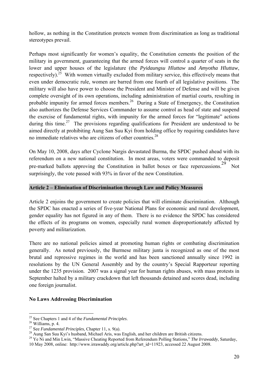hollow, as nothing in the Constitution protects women from discrimination as long as traditional stereotypes prevail.

Perhaps most significantly for women's equality, the Constitution cements the position of the military in government, guaranteeing that the armed forces will control a quarter of seats in the lower and upper houses of the legislature (the *Pyidaungsu Hluttaw* and *Amyotha Hluttaw*, respectively).<sup>25</sup> With women virtually excluded from military service, this effectively means that even under democratic rule, women are barred from one fourth of all legislative positions. The military will also have power to choose the President and Minister of Defense and will be given complete oversight of its own operations, including administration of martial courts, resulting in probable impunity for armed forces members.<sup>26</sup> During a State of Emergency, the Constitution also authorizes the Defense Services Commander to assume control as head of state and suspend the exercise of fundamental rights, with impunity for the armed forces for "legitimate" actions during this time.<sup>27</sup> The provisions regarding qualifications for President are understood to be aimed directly at prohibiting Aung San Suu Kyi from holding office by requiring candidates have no immediate relatives who are citizens of other countries.<sup>28</sup>

On May 10, 2008, days after Cyclone Nargis devastated Burma, the SPDC pushed ahead with its referendum on a new national constitution. In most areas, voters were commanded to deposit pre-marked ballots approving the Constitution in ballot boxes or face repercussions.<sup>29</sup> Not surprisingly, the vote passed with 93% in favor of the new Constitution.

#### **Article 2 – Elimination of Discrimination through Law and Policy Measures**

Article 2 enjoins the government to create policies that will eliminate discrimination. Although the SPDC has enacted a series of five-year National Plans for economic and rural development, gender equality has not figured in any of them. There is no evidence the SPDC has considered the effects of its programs on women, especially rural women disproportionately affected by poverty and militarization.

There are no national policies aimed at promoting human rights or combating discrimination generally. As noted previously, the Burmese military junta is recognized as one of the most brutal and repressive regimes in the world and has been sanctioned annually since 1992 in resolutions by the UN General Assembly and by the country's Special Rapporteur reporting under the 1235 provision. 2007 was a signal year for human rights abuses, with mass protests in September halted by a military crackdown that left thousands detained and scores dead, including one foreign journalist.

#### **No Laws Addressing Discrimination**

<sup>25</sup> See Chapters 1 and 4 of the *Fundamental Principles*. 26 Williams, p. 4.

<sup>&</sup>lt;sup>26</sup> Williams, p. 4.<br><sup>27</sup> See *Fundamental Principles*, Chapter 11, s. 9(a).<br><sup>27</sup> See *Fundamental Principles*, Chapter 11, s. 9(a).<br><sup>28</sup> Aung San Suu Kyi's husband, Michael Aris, was English, and her children are British 10 May 2008, online: http://www.irrawaddy.org/article.php?art\_id=11923, accessed 22 August 2008.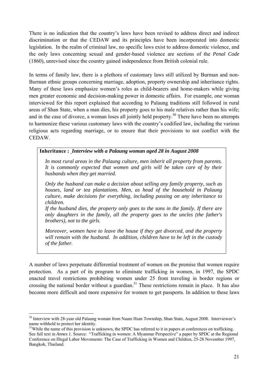There is no indication that the country's laws have been revised to address direct and indirect discrimination or that the CEDAW and its principles have been incorporated into domestic legislation. In the realm of criminal law, no specific laws exist to address domestic violence, and the only laws concerning sexual and gender-based violence are sections of the *Penal Code* (1860), unrevised since the country gained independence from British colonial rule.

In terms of family law, there is a plethora of customary laws still utilized by Burman and non-Burman ethnic groups concerning marriage, adoption, property ownership and inheritance rights. Many of these laws emphasize women's roles as child-bearers and home-makers while giving men greater economic and decision-making power in domestic affairs. For example, one woman interviewed for this report explained that according to Palaung traditions still followed in rural areas of Shan State, when a man dies, his property goes to his male relatives rather than his wife; and in the case of divorce, a woman loses all jointly held property.<sup>30</sup> There have been no attempts to harmonize these various customary laws with the country's codified law, including the various religious acts regarding marriage, or to ensure that their provisions to not conflict with the CEDAW.

#### **Inheritance :** *Interview with a Palaung woman aged 28 in August 2008*

*In most rural areas in the Palaung culture, men inherit all property from parents. It is commonly expected that women and girls will be taken care of by their husbands when they get married.* 

*Only the husband can make a decision about selling any family property, such as houses, land or tea plantations. Men, as head of the household in Palaung culture, make decisions for everything, including passing on any inheritance to children.* 

*If the husband dies, the property only goes to the sons in the family. If there are only daughters in the family, all the property goes to the uncles (the father's brothers), not to the girls.* 

*Moreover, women have to leave the house if they get divorced, and the property will remain with the husband. In addition, children have to be left in the custody of the father.* 

A number of laws perpetuate differential treatment of women on the premise that women require protection. As a part of its program to eliminate trafficking in women, in 1997, the SPDC enacted travel restrictions prohibiting women under 25 from traveling in border regions or crossing the national border without a guardian.<sup>31</sup> These restrictions remain in place. It has also become more difficult and more expensive for women to get passports. In addition to these laws

<sup>&</sup>lt;sup>30</sup> Interview with 28-year old Palaung woman from Naam Hsan Township, Shan State, August 2008. Interviewee's name withheld to protect her identity.

 $31$ While the name of this provision is unknown, the SPDC has referred to it in papers at conferences on trafficking. See full text in *Annex 1*. Source: "Trafficking in women: A Myanmar Perspective" a paper by SPDC at the Regional Conference on Illegal Labor Movements: The Case of Trafficking in Women and Children, 25-28 November 1997, Bangkok, Thailand.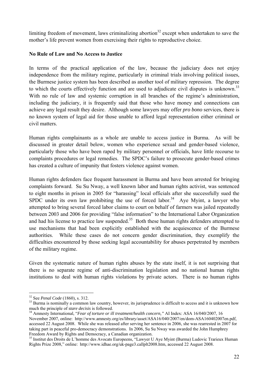limiting freedom of movement, laws criminalizing abortion<sup>32</sup> except when undertaken to save the mother's life prevent women from exercising their rights to reproductive choice.

#### **No Rule of Law and No Access to Justice**

In terms of the practical application of the law, because the judiciary does not enjoy independence from the military regime, particularly in criminal trials involving political issues, the Burmese justice system has been described as another tool of military repression. The degree to which the courts effectively function and are used to adjudicate civil disputes is unknown.<sup>33</sup> With no rule of law and systemic corruption in all branches of the regime's administration, including the judiciary, it is frequently said that those who have money and connections can achieve any legal result they desire. Although some lawyers may offer *pro bono* services, there is no known system of legal aid for those unable to afford legal representation either criminal or civil matters.

Human rights complainants as a whole are unable to access justice in Burma. As will be discussed in greater detail below, women who experience sexual and gender-based violence, particularly those who have been raped by military personnel or officials, have little recourse to complaints procedures or legal remedies. The SPDC's failure to prosecute gender-based crimes has created a culture of impunity that fosters violence against women.

Human rights defenders face frequent harassment in Burma and have been arrested for bringing complaints forward. Su Su Nway, a well known labor and human rights activist, was sentenced to eight months in prison in 2005 for "harassing" local officials after she successfully sued the SPDC under its own law prohibiting the use of forced labor.<sup>34</sup> Aye Myint, a lawyer who attempted to bring several forced labor claims to court on behalf of farmers was jailed repeatedly between 2003 and 2006 for providing "false information" to the International Labor Organization and had his license to practice law suspended.<sup>35</sup> Both these human rights defenders attempted to use mechanisms that had been explicitly established with the acquiescence of the Burmese authorities. While these cases do not concern gender discrimination, they exemplify the difficulties encountered by those seeking legal accountability for abuses perpetrated by members of the military regime.

Given the systematic nature of human rights abuses by the state itself, it is not surprising that there is no separate regime of anti-discrimination legislation and no national human rights institutions to deal with human rights violations by private actors. There is no human rights

<u>.</u>

<sup>&</sup>lt;sup>32</sup> See *Penal Code* (1860), s. 312.<br><sup>33</sup> Burma is nominally a common law country, however, its jurisprudence is difficult to access and it is unknown how

much the principle of *stare decisis* is followed.<br><sup>34</sup> Amnesty International, "*Fear of torture or ill treatment/health concern*," AI Index: ASA 16/040/2007, 16 November 2007, online: http://www.amnesty.org/es/library/asset/ASA16/040/2007/en/dom-ASA160402007en.pdf, accessed 22 August 2008. While she was released after serving her sentence in 2006, she was rearrested in 2007 for taking part in peaceful pro-democracy demonstrations. In 2006, Su Su Nway was awarded the John Humphrey Freedom Award by Rights and Democracy, a Canadian organization.

<sup>&</sup>lt;sup>35</sup> Institut des Droits de L'homme des Avocats Europeens, "Lawyer U Aye Myint (Burma) Ludovic Trarieux Human Rights Prize 2008," online: http://www.idhae.org/uk-page3.callplt2008.htm, accessed 22 August 2008.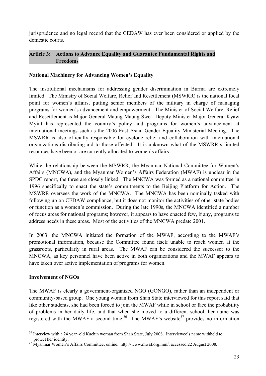jurisprudence and no legal record that the CEDAW has ever been considered or applied by the domestic courts.

#### **Article 3: Actions to Advance Equality and Guarantee Fundamental Rights and Freedoms**

#### **National Machinery for Advancing Women's Equality**

The institutional mechanisms for addressing gender discrimination in Burma are extremely limited. The Ministry of Social Welfare, Relief and Resettlement (MSWRR) is the national focal point for women's affairs, putting senior members of the military in charge of managing programs for women's advancement and empowerment. The Minister of Social Welfare, Relief and Resettlement is Major-General Maung Maung Swe. Deputy Minister Major-General Kyaw Myint has represented the country's policy and programs for women's advancement at international meetings such as the 2006 East Asian Gender Equality Ministerial Meeting. The MSWRR is also officially responsible for cyclone relief and collaboration with international organizations distributing aid to those affected. It is unknown what of the MSWRR's limited resources have been or are currently allocated to women's affairs.

While the relationship between the MSWRR, the Myanmar National Committee for Women's Affairs (MNCWA), and the Myanmar Women's Affairs Federation (MWAF) is unclear in the SPDC report, the three are closely linked. The MNCWA was formed as a national committee in 1996 specifically to enact the state's commitments to the Beijing Platform for Action. The MSWRR oversees the work of the MNCWA. The MNCWA has been nominally tasked with following up on CEDAW compliance, but it does not monitor the activities of other state bodies or function as a women's commission. During the late 1990s, the MNCWA identified a number of focus areas for national programs; however, it appears to have enacted few, if any, programs to address needs in these areas. Most of the activities of the MNCWA predate 2001.

In 2003, the MNCWA initiated the formation of the MWAF, according to the MWAF's promotional information, because the Committee found itself unable to reach women at the grassroots, particularly in rural areas. The MWAF can be considered the successor to the MNCWA, as key personnel have been active in both organizations and the MWAF appears to have taken over active implementation of programs for women.

#### **Involvement of NGOs**

The MWAF is clearly a government-organized NGO (GONGO), rather than an independent or community-based group. One young woman from Shan State interviewed for this report said that like other students, she had been forced to join the MWAF while in school or face the probability of problems in her daily life, and that when she moved to a different school, her name was registered with the MWAF a second time.<sup>36</sup> The MWAF's website<sup>37</sup> provides no information

<sup>1</sup> <sup>36</sup> Interview with a 24 year-old Kachin woman from Shan State, July 2008. Interviewee's name withheld to protect her identity.

<sup>&</sup>lt;sup>37</sup> Myanmar Women's Affairs Committee, online: http://www.mwaf.org.mm/, accessed 22 August 2008.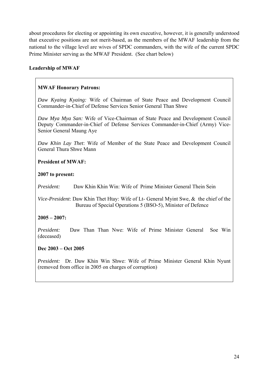about procedures for electing or appointing its own executive, however, it is generally understood that executive positions are not merit-based, as the members of the MWAF leadership from the national to the village level are wives of SPDC commanders, with the wife of the current SPDC Prime Minister serving as the MWAF President. (See chart below)

#### **Leadership of MWAF**

#### **MWAF Honorary Patrons:**

*Daw Kyaing Kyaing:* Wife of Chairman of State Peace and Development Council Commander-in-Chief of Defense Services Senior General Than Shwe

*Daw Mya Mya San:* Wife of Vice-Chairman of State Peace and Development Council Deputy Commander-in-Chief of Defense Services Commander-in-Chief (Army) Vice-Senior General Maung Aye

*Daw Khin Lay Thet*: Wife of Member of the State Peace and Development Council General Thura Shwe Mann

#### **President of MWAF:**

#### **2007 to present:**

*President:* Daw Khin Khin Win: Wife of Prime Minister General Thein Sein

*Vice-President*: Daw Khin Thet Htay: Wife of Lt- General Myint Swe, & the chief of the Bureau of Special Operations 5 (BSO-5), Minister of Defence

#### **2005 – 2007:**

*President:* Daw Than Than Nwe: Wife of Prime Minister General Soe Win (deceased)

#### **Dec 2003 – Oct 2005**

*President:* Dr. Daw Khin Win Shwe: Wife of Prime Minister General Khin Nyunt (removed from office in 2005 on charges of corruption)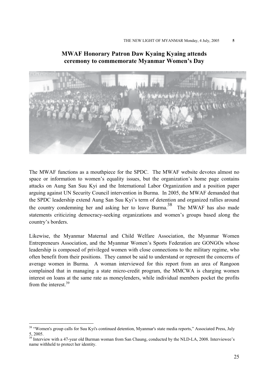#### **MWAF Honorary Patron Daw Kyaing Kyaing attends ceremony to commemorate Myanmar Women's Day**



The MWAF functions as a mouthpiece for the SPDC. The MWAF website devotes almost no space or information to women's equality issues, but the organization's home page contains attacks on Aung San Suu Kyi and the International Labor Organization and a position paper arguing against UN Security Council intervention in Burma. In 2005, the MWAF demanded that the SPDC leadership extend Aung San Suu Kyi's term of detention and organized rallies around the country condemning her and asking her to leave Burma.<sup>38</sup> The MWAF has also made statements criticizing democracy-seeking organizations and women's groups based along the country's borders.

Likewise, the Myanmar Maternal and Child Welfare Association, the Myanmar Women Entrepreneurs Association, and the Myanmar Women's Sports Federation are GONGOs whose leadership is composed of privileged women with close connections to the military regime, who often benefit from their positions. They cannot be said to understand or represent the concerns of average women in Burma. A woman interviewed for this report from an area of Rangoon complained that in managing a state micro-credit program, the MMCWA is charging women interest on loans at the same rate as moneylenders, while individual members pocket the profits from the interest.39

<sup>&</sup>lt;sup>38</sup> "Women's group calls for Suu Kyi's continued detention, Myanmar's state media reports," Associated Press, July  $\frac{5}{39}$ ,  $\frac{2005}{\text{Intary}}$ 

Interview with a 47-year old Burman woman from San Chaung, conducted by the NLD-LA, 2008. Interviewee's name withheld to protect her identity.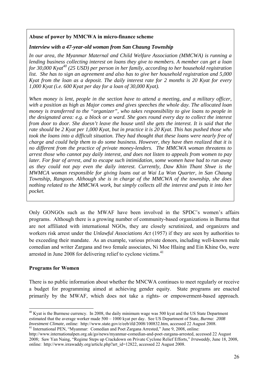#### **Abuse of power by MMCWA in micro-finance scheme**

#### *Interview with a 47-year-old woman from San Chaung Township*

*In our area, the Myanmar Maternal and Child Welfare Association (MMCWA) is running a lending business collecting interest on loans they give to members. A member can get a loan for 30,000 Kyat40 (25 USD) per person in her family, according to her household registration list. She has to sign an agreement and also has to give her household registration and 5,000 Kyat from the loan as a deposit. The daily interest rate for 2 months is 20 Kyat for every 1,000 Kyat (i.e. 600 Kyat per day for a loan of 30,000 Kyat).* 

*When money is lent, people in the section have to attend a meeting, and a military officer, with a position as high as Major comes and gives speeches the whole day. The allocated loan money is transferred to the "organizer", who takes responsibility to give loans to people in the designated area: e.g. a block or a ward. She goes round every day to collect the interest from door to door. She doesn't leave the house until she gets the interest. It is said that the rate should be 2 Kyat per 1,000 Kyat, but in practice it is 20 Kyat. This has pushed those who took the loans into a difficult situation. They had thought that these loans were nearly free of charge and could help them to do some business. However, they have then realized that it is no different from the practice of private money-lenders. The MMCWA woman threatens to arrest those who cannot pay daily interest, and does not listen to appeals from women to pay later. For fear of arrest, and to escape such intimidation, some women have had to run away as they could not pay even the daily interest. Currently, Daw Khin Thant Shwe is the MWMCA woman responsible for giving loans out at Wai Lu Won Quarter, in San Chaung Township, Rangoon. Although she is in charge of the MMCWA of the township, she does nothing related to the MMCWA work, but simply collects all the interest and puts it into her pocket.*

Only GONGOs such as the MWAF have been involved in the SPDC's women's affairs programs. Although there is a growing number of community-based organizations in Burma that are not affiliated with international NGOs, they are closely scrutinized, and organizers and workers risk arrest under the *Unlawful Associations Act* (1957) if they are seen by authorities to be exceeding their mandate. As an example, various private donors, including well-known male comedian and writer Zargana and two female associates, Ni Moe Hlaing and Ein Khine Oo, were arrested in June 2008 for delivering relief to cyclone victims. $41$ 

#### **Programs for Women**

1

There is no public information about whether the MNCWA continues to meet regularly or receive a budget for programming aimed at achieving gender equity. State programs are enacted primarily by the MWAF, which does not take a rights- or empowerment-based approach.

 $40$  Kyat is the Burmese currency. In 2008, the daily minimum wage was 500 kyat and the US State Department estimated that the average worker made 500 – 1000 kyat per day. See US Department of State, *Burma: 2008 Investment Climate*, online: http://www.state.gov/e/eeb/ifd/2008/100832.htm, accessed 22 August 2008.<br><sup>41</sup> International PEN, "Myanmar: Comedian and Poet Zargana Arrested," June 9, 2008, online:

http://www.internationalpen.org.uk/go/news/myanmar-comedian-and-poet-zargana-arrested, accessed 22 August 2008; Saw Yan Naing, "Regime Steps up Crackdown on Private Cyclone Relief Efforts," *Irrawaddy*, June 18, 2008, online: http://www.irrawaddy.org/article.php?art\_id=12822, accessed 22 August 2008.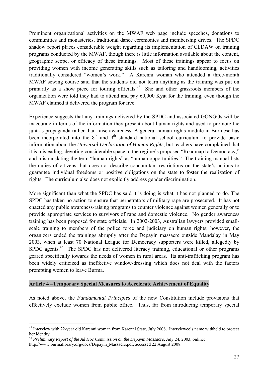Prominent organizational activities on the MWAF web page include speeches, donations to communities and monasteries, traditional dance ceremonies and membership drives. The SPDC shadow report places considerable weight regarding its implementation of CEDAW on training programs conducted by the MWAF, though there is little information available about the content, geographic scope, or efficacy of these trainings. Most of these trainings appear to focus on providing women with income generating skills such as tailoring and handlooming, activities traditionally considered "women's work." A Karenni woman who attended a three-month MWAF sewing course said that the students did not learn anything as the training was put on primarily as a show piece for touring officials.<sup>42</sup> She and other grassroots members of the organization were told they had to attend and pay 60,000 Kyat for the training, even though the MWAF claimed it delivered the program for free.

Experience suggests that any trainings delivered by the SPDC and associated GONGOs will be inaccurate in terms of the information they present about human rights and used to promote the junta's propaganda rather than raise awareness. A general human rights module in Burmese has been incorporated into the  $8<sup>th</sup>$  and  $9<sup>th</sup>$  standard national school curriculum to provide basic information about the *Universal Declaration of Human Rights*, but teachers have complained that it is misleading, devoting considerable space to the regime's proposed "Roadmap to Democracy," and mistranslating the term "human rights" as "human opportunities." The training manual lists the duties of citizens, but does not describe concomitant restrictions on the state's actions to guarantee individual freedoms or positive obligations on the state to foster the realization of rights. The curriculum also does not explicitly address gender discrimination.

More significant than what the SPDC has said it is doing is what it has not planned to do. The SPDC has taken no action to ensure that perpetrators of military rape are prosecuted. It has not enacted any public awareness-raising programs to counter violence against women generally or to provide appropriate services to survivors of rape and domestic violence. No gender awareness training has been proposed for state officials. In 2002-2003, Australian lawyers provided smallscale training to members of the police force and judiciary on human rights; however, the organizers ended the trainings abruptly after the Depayin massacre outside Mandalay in May 2003, when at least 70 National League for Democracy supporters were killed, allegedly by SPDC agents.<sup>43</sup> The SPDC has not delivered literacy training, educational or other programs geared specifically towards the needs of women in rural areas. Its anti-trafficking program has been widely criticized as ineffective window-dressing which does not deal with the factors prompting women to leave Burma.

#### **Article 4 –Temporary Special Measures to Accelerate Achievement of Equality**

As noted above, the *Fundamental Principles* of the new Constitution include provisions that effectively exclude women from public office. Thus, far from introducing temporary special

<sup>&</sup>lt;sup>42</sup> Interview with 22-year old Karenni woman from Karenni State, July 2008. Interviewee's name withheld to protect her identity.

<sup>43</sup> *Preliminary Report of the Ad Hoc Commission on the Depayin Massacre,* July 24, 2003, online:

http://www.burmalibrary.org/docs/Depayin\_Massacre.pdf, accessed 22 August 2008.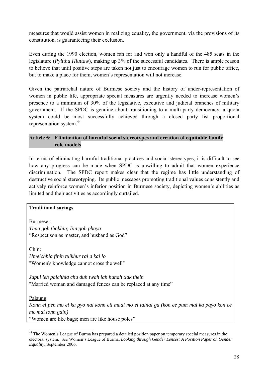measures that would assist women in realizing equality, the government, via the provisions of its constitution, is guaranteeing their exclusion.

Even during the 1990 election, women ran for and won only a handful of the 485 seats in the legislature (*Pyitthu Hluttaw*), making up 3% of the successful candidates. There is ample reason to believe that until positive steps are taken not just to encourage women to run for public office, but to make a place for them, women's representation will not increase.

Given the patriarchal nature of Burmese society and the history of under-representation of women in public life, appropriate special measures are urgently needed to increase women's presence to a minimum of 30% of the legislative, executive and judicial branches of military government. If the SPDC is genuine about transitioning to a multi-party democracy, a quota system could be most successfully achieved through a closed party list proportional representation system.<sup>44</sup>

#### **Article 5: Elimination of harmful social stereotypes and creation of equitable family role models**

In terms of eliminating harmful traditional practices and social stereotypes, it is difficult to see how any progress can be made when SPDC is unwilling to admit that women experience discrimination. The SPDC report makes clear that the regime has little understanding of destructive social stereotyping. Its public messages promoting traditional values consistently and actively reinforce women's inferior position in Burmese society, depicting women's abilities as limited and their activities as accordingly curtailed.

#### **Traditional sayings**

Burmese : *Thaa goh thakhin; liin goh phaya*  "Respect son as master, and husband as God"

Chin: *Hmeichhia finin tuikhur ral a kai lo*  "Women's knowledge cannot cross the well"

*Jupui leh palchhia chu duh twah lah hunah tlak theih*  "Married woman and damaged fences can be replaced at any time"

Palaung

1

*Konn ei pen mo ei ka pyo nai konn eii maai mo ei tainai ga (kon ee pum mai ka payo kon ee me mai tonn gain)* 

"Women are like bags; men are like house poles"

<sup>&</sup>lt;sup>44</sup> The Women's League of Burma has prepared a detailed position paper on temporary special measures in the electoral system. See Women's League of Burma, *Looking through Gender Lenses: A Position Paper on Gender Equality*, September 2006.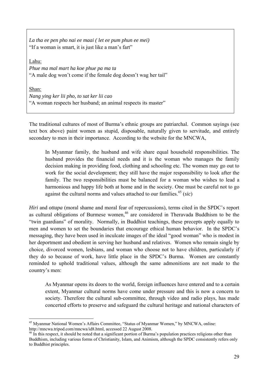*La tha ee pen pho nai ee maai ( let ee pum phun ee mei)* "If a woman is smart, it is just like a man's fart"

Lahu: *Phue ma mal mart ha koe phue pa ma ta* "A male dog won't come if the female dog doesn't wag her tail"

Shan:

*Nang ying ker lii pho, to sat ker lii cao* "A woman respects her husband; an animal respects its master"

The traditional cultures of most of Burma's ethnic groups are patriarchal. Common sayings (see text box above) paint women as stupid, disposable, naturally given to servitude, and entirely secondary to men in their importance. According to the website for the MNCWA,

In Myanmar family, the husband and wife share equal household responsibilities. The husband provides the financial needs and it is the woman who manages the family decision making in providing food, clothing and schooling etc. The women may go out to work for the social development; they still have the major responsibility to look after the family. The two responsibilities must be balanced for a woman who wishes to lead a harmonious and happy life both at home and in the society. One must be careful not to go against the cultural norms and values attached to our families.<sup>45</sup> ( $\dot{sic}$ )

*Hiri* and *ottapa* (moral shame and moral fear of repercussions), terms cited in the SPDC's report as cultural obligations of Burmese women,  $46$  are considered in Theravada Buddhism to be the "twin guardians" of morality. Normally, in Buddhist teachings, these precepts apply equally to men and women to set the boundaries that encourage ethical human behavior. In the SPDC's messaging, they have been used in inculcate images of the ideal "good woman" who is modest in her deportment and obedient in serving her husband and relatives. Women who remain single by choice, divorced women, lesbians, and woman who choose not to have children, particularly if they do so because of work, have little place in the SPDC's Burma. Women are constantly reminded to uphold traditional values, although the same admonitions are not made to the country's men:

As Myanmar opens its doors to the world, foreign influences have entered and to a certain extent, Myanmar cultural norms have come under pressure and this is now a concern to society. Therefore the cultural sub-committee, through video and radio plays, has made concerted efforts to preserve and safeguard the cultural heritage and national characters of

<sup>1</sup> <sup>45</sup> Myanmar National Women's Affairs Committee, "Status of Myanmar Women," by MNCWA, online: http://mncwa.tripod.com/mncwa/id8.html, accessed 22 August 2008.<br><sup>46</sup> In this respect, it should be noted that a significant portion of Burma's population practices religions other than

Buddhism, including various forms of Christianity, Islam, and Animism, although the SPDC consistently refers only to Buddhist principles.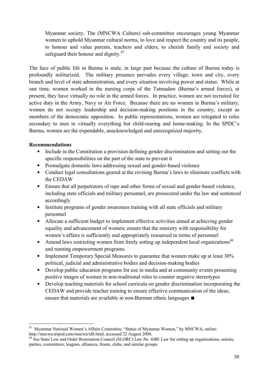Myanmar society. The (MNCWA Culture) sub-committee encourages young Myanmar women to uphold Myanmar cultural norms, to love and respect the country and its people, to honour and value parents, teachers and elders, to cherish family and society and safeguard their honour and dignity.<sup>47</sup>

The face of public life in Burma is male, in large part because the culture of Burma today is profoundly militarized. The military presence pervades every village, town and city, every branch and level of state administration, and every situation involving power and status. While at one time, women worked in the nursing corps of the Tatmadaw (Burma's armed forces), at present, they have virtually no role in the armed forces. In practice, women are not recruited for active duty in the Army, Navy or Air Force. Because there are no women in Burma's military, women do not occupy leadership and decision-making positions in the country, except as members of the democratic opposition. In public representations, women are relegated to roles secondary to men in virtually everything but child-rearing and home-making. In the SPDC's Burma, women are the expendable, unacknowledged and unrecognized majority.

#### **Recommendations**

- Include in the Constitution a provision defining gender discrimination and setting out the specific responsibilities on the part of the state to prevent it
- Promulgate domestic laws addressing sexual and gender-based violence
- Conduct legal consultations geared at the revising Burma's laws to eliminate conflicts with the CEDAW
- Ensure that all perpetrators of rape and other forms of sexual and gender-based violence, including state officials and military personnel, are prosecuted under the law and sentenced accordingly
- Institute programs of gender awareness training with all state officials and military personnel
- Allocate a sufficient budget to implement effective activities aimed at achieving gender equality and advancement of women; ensure that the ministry with responsibility for women's affairs is sufficiently and appropriately resourced in terms of personnel
- Amend laws restricting women from freely setting up independent local organizations<sup>48</sup> and running empowerment programs
- **Implement Temporary Special Measures to guarantee that women make up at least 30%** political, judicial and administrative bodies and decision-making bodies
- Develop public education programs for use in media and at community events presenting positive images of women in non-traditional roles to counter negative stereotypes
- Develop teaching materials for school curricula on gender discrimination incorporating the CEDAW and provide teacher training to ensure effective communication of the ideas; ensure that materials are available in non-Burman ethnic languages **■**

<sup>1</sup> <sup>47</sup> Myanmar National Women's Affairs Committee, "Status of Myanmar Women," by MNCWA, online:<br>http://mncwa.tripod.com/mncwa/id8.html, accessed 22 August 2008.

<sup>&</sup>lt;sup>48</sup> See State Law and Order Restoration Council (SLORC) Law No. 6/88: Law for setting up organizations, unions, parties, committees, leagues, alliances, fronts, clubs, and similar groups.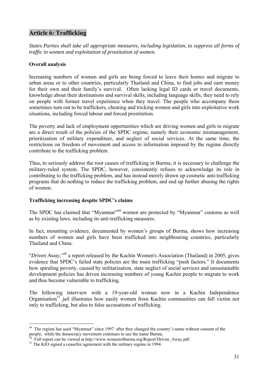#### **Article 6: Trafficking**

*States Parties shall take all appropriate measures, including legislation, to suppress all forms of traffic in women and exploitation of prostitution of women.* 

#### **Overall analysis**

1

Increasing numbers of women and girls are being forced to leave their homes and migrate to urban areas or to other countries, particularly Thailand and China, to find jobs and earn money for their own and their family's survival. Often lacking legal ID cards or travel documents, knowledge about their destinations and survival skills, including language skills, they need to rely on people with former travel experience when they travel. The people who accompany them sometimes turn out to be traffickers, cheating and tricking women and girls into exploitative work situations, including forced labour and forced prostitution.

The poverty and lack of employment opportunities which are driving women and girls to migrate are a direct result of the policies of the SPDC regime, namely their economic mismanagement, prioritization of military expenditure, and neglect of social services. At the same time, the restrictions on freedom of movement and access to information imposed by the regime directly contribute to the trafficking problem.

Thus, to seriously address the root causes of trafficking in Burma, it is necessary to challenge the military-ruled system. The SPDC, however, consistently refuses to acknowledge its role in contributing to the trafficking problem, and has instead merely drawn up cosmetic anti-trafficking programs that do nothing to reduce the trafficking problem, and end up further abusing the rights of women.

#### **Trafficking increasing despite SPDC's claims**

The SPDC has claimed that "Myanmar"<sup>49</sup> women are protected by "Myanmar" customs as well as by existing laws, including its anti-trafficking measures.

In fact, mounting evidence, documented by women's groups of Burma, shows how increasing numbers of women and girls have been trafficked into neighbouring countries, particularly Thailand and China.

"*Driven Away,"*50 a report released by the Kachin Women's Association (Thailand) in 2005, gives evidence that SPDC's failed state policies are the main trafficking "push factors." It documents how spiraling poverty, caused by militarization, state neglect of social services and unsustainable development policies has driven increasing numbers of young Kachin people to migrate to work and thus become vulnerable to trafficking.

The following interview with a 19-year-old woman now in a Kachin Independence Organisation<sup>51</sup> jail illustrates how easily women from Kachin communities can fall victim not only to trafficking, but also to false accusations of trafficking.

<sup>&</sup>lt;sup>49</sup> The regime has used "Myanmar" since 1997 after they changed the country's name without consent of the people, while the democracy movement continues to use the name Burma.

 $50$  Full report can be viewed at http://www.womenofburma.org/Report/Driven\_Away.pdf.  $51$  The KIO signed a ceasefire agreement with the military regime in 1994.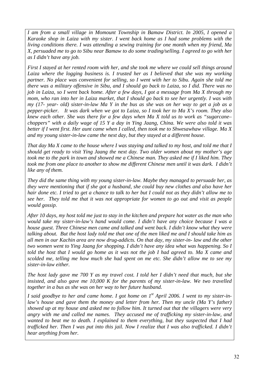*I am from a small village in Momount Township in Bamaw District. In 2005, I opened a Karaoke shop in Laiza with my sister. I went back home as I had some problems with the living conditions there. I was attending a sewing training for one month when my friend, Ma X, persuaded me to go to Sibu near Bamaw to do some trading/selling. I agreed to go with her as I didn't have any job.* 

*First I stayed at her rented room with her, and she took me where we could sell things around Laiza where the logging business is. I trusted her as I believed that she was my working partner. No place was convenient for selling, so I went with her to Sibu. Again she told me there was a military offensive in Sibu, and I should go back to Laiza, so I did. There was no job in Laiza, so I went back home. After a few days, I got a message from Ma X through my mom, who ran into her in Laiza market, that I should go back to see her urgently. I was with my (17- year- old) sister-in-law Ma Y in the bus as she was on her way to get a job as a pepper-picker. It was dark when we got to Laiza, so I took her to Ma X's room. They also knew each other. She was there for a few days when Ma X told us to work as "sugarcane– choppers" with a daily wage of 15 Y a day in Ying Jaang, China. We were also told it was better if I went first. Her aunt came when I called, then took me to Shwesawhaw village. Ma X and my young sister-in-law came the next day, but they stayed at a different house.* 

*That day Ma X came to the house where I was staying and talked to my host, and told me that I should get ready to visit Ying Jaang the next day. Two older women about my mother's age took me to the park in town and showed me a Chinese man. They asked me if I liked him. They took me from one place to another to show me different Chinese men until it was dark. I didn't like any of them.* 

*They did the same thing with my young sister-in-law. Maybe they managed to persuade her, as they were mentioning that if she got a husband, she could buy new clothes and also have her hair done etc. I tried to get a chance to talk to her but I could not as they didn't allow me to see her. They told me that it was not appropriate for women to go out and visit as people would gossip.* 

*After 10 days, my host told me just to stay in the kitchen and prepare hot water as the man who would take my sister-in-law's hand would come. I didn't have any choice because I was a house guest. Three Chinese men came and talked and went back. I didn't know what they were talking about. But the host lady told me that one of the men liked me and I should take him as all men in our Kachin area are now drug-addicts. On that day, my sister-in- law and the other two women went to Ying Jaang for shopping. I didn't have any idea what was happening. So I told the host that I would go home as it was not the job I had agreed to. Ma X came and scolded me, telling me how much she had spent on me etc. She didn't allow me to see my sister-in-law either.* 

*The host lady gave me 700 Y as my travel cost. I told her I didn't need that much, but she insisted, and also gave me 10,000 K for the parents of my sister-in-law. We two travelled together in a bus as she was on her way to her future husband.* 

*I said goodbye to her and came home. I got home on 1st April 2006. I went to my sister-inlaw's house and gave them the money and letter from her. Then my uncle (Ma Y's father) showed up at my house and asked me to follow him. It turned out that the villagers were very angry with me and called me names. They accused me of trafficking my sister-in-law, and wanted to beat me to death. I explained to them everything, but they suspected that I had trafficked her. Then I was put into this jail. Now I realize that I was also trafficked. I didn't hear anything from her.*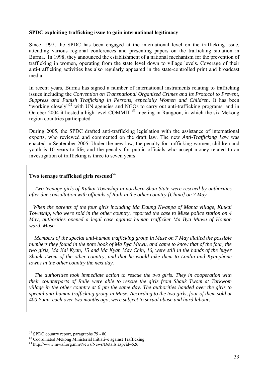#### **SPDC exploiting trafficking issue to gain international legitimacy**

Since 1997, the SPDC has been engaged at the international level on the trafficking issue, attending various regional conferences and presenting papers on the trafficking situation in Burma. In 1998, they announced the establishment of a national mechanism for the prevention of trafficking in women, operating from the state level down to village levels. Coverage of their anti-trafficking activities has also regularly appeared in the state-controlled print and broadcast media.

In recent years, Burma has signed a number of international instruments relating to trafficking issues including the *Convention on Transnational Organized Crimes and its Protocol to Prevent, Suppress and Punish Trafficking in Persons, especially Women and Children*. It has been "working closely"<sup>52</sup> with UN agencies and NGOs to carry out anti-trafficking programs, and in October 2004 it hosted a high-level COMMIT<sup>53</sup> meeting in Rangoon, in which the six Mekong region countries participated.

During 2005, the SPDC drafted anti-trafficking legislation with the assistance of international experts, who reviewed and commented on the draft law. The new *Anti-Trafficking Law* was enacted in September 2005. Under the new law, the penalty for trafficking women, children and youth is 10 years to life; and the penalty for public officials who accept money related to an investigation of trafficking is three to seven years.

#### **Two teenage trafficked girls rescued**<sup>54</sup>

 *Two teenage girls of Kutkai Township in northern Shan State were rescued by authorities after due consultation with officials of Ruili in the other country [China] on 7 May.* 

 *When the parents of the four girls including Ma Daung Nwanpa of Manta village, Kutkai Township, who were sold in the other country, reported the case to Muse police station on 4 May, authorities opened a legal case against human trafficker Ma Bya Muwu of Homon ward, Muse.* 

 *Members of the special anti-human trafficking group in Muse on 7 May dialled the possible numbers they found in the note book of Ma Bya Muwu, and came to know that of the four, the two girls, Ma Kai Kyan, 15 and Ma Kyan May Chin, 16, were still in the hands of the buyer Shauk Twom of the other country, and that he would take them to Lonlin and Kyanphone towns in the other country the next day.* 

 *The authorities took immediate action to rescue the two girls. They in cooperation with their counterparts of Rulie were able to rescue the girls from Shauk Twom at Tarkwom village in the other country at 6 pm the same day. The authorities handed over the girls to special anti-human trafficking group in Muse. According to the two girls, four of them sold at 400 Yuan each over two months ago, were subject to sexual abuse and hard labour.* 

<sup>52</sup> SPDC country report, paragraphs 79 - 80.

<sup>53</sup> Coordinated Mekong Ministerial Initiative against Trafficking.

<sup>54</sup> http://www.mwaf.org.mm/News/News/Details.asp?id=626.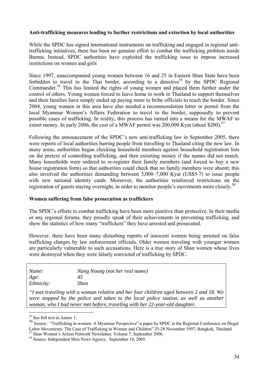#### **Anti-trafficking measures leading to further restrictions and extortion by local authorities**

While the SPDC has signed international instruments on trafficking and engaged in regional antitrafficking initiatives, there has been no genuine effort to combat the trafficking problem inside Burma. Instead, SPDC authorities have exploited the trafficking issue to impose increased restrictions on women and girls

Since 1997, unaccompanied young women between 16 and 25 in Eastern Shan State have been forbidden to travel to the Thai border, according to a directive<sup>55</sup> by the SPDC Regional Commander.<sup>56</sup> This has limited the rights of young women and placed them further under the control of others. Young women forced to leave home to work in Thailand to support themselves and their families have simply ended up paying more to bribe officials to reach the border. Since 2004, young women in this area have also needed a recommendation letter or permit from the local Myanmar Women's Affairs Federation to travel to the border, supposedly to prevent possible cases of trafficking. In reality, this process has turned into a means for the MWAF to extort money. In early 2006, the cost of a MWAF permit was 200,000 Kyat (about \$200).<sup>57</sup>

Following the announcement of the SPDC's new anti-trafficking law in September 2005, there were reports of local authorities barring people from travelling to Thailand citing the new law. In many areas, authorities began checking household members against household registration lists on the pretext of controlling trafficking, and then extorting money if the names did not match. Many households were ordered to re-register their family members (and forced to buy a new house registration form) so that authorities could check that no family members were absent; this also involved the authorities demanding between 5,000–7,000 Kyat (US\$5-7) to issue people with new national identity cards. Moreover, the authorities reinforced restrictions on the registration of guests staying overnight, in order to monitor people's movements more closely.<sup>58</sup>

#### **Women suffering from false prosecution as traffickers**

The SPDC's efforts to combat trafficking have been more punitive than protective. In their media or any regional forums, they proudly speak of their achievements in preventing trafficking, and show the statistics of how many "traffickers" they have arrested and prosecuted.

However, there have been many disturbing reports of innocent women being arrested on false trafficking charges by law enforcement officials. Older women traveling with younger women are particularly vulnerable to such accusations. Here is a true story of Shan women whose lives were destroyed when they were falsely convicted of trafficking by SPDC.

| Name:                          |      |        | Nang Noung (not her real name) |  |          |  |        |         |
|--------------------------------|------|--------|--------------------------------|--|----------|--|--------|---------|
| Age:                           |      |        |                                |  |          |  |        |         |
| <i>Ethnicity:</i>              | Shan |        |                                |  |          |  |        |         |
| $\alpha$ , the set of $\alpha$ |      | $\sim$ |                                |  | $\cdots$ |  | $\sim$ | 1.10.11 |

*"I was traveling with a woman relative and her four children aged between 2 and 18. We were stopped by the police and taken to the local police station, as well as another woman, who I had never met before, traveling with her 22-year-old daughter.* 

<sup>55</sup> See full text in Annex 1.

<sup>56</sup> Source: "Trafficking in women: A Myanmar Perspective" a paper by SPDC at the Regional Conference on Illegal Labor Movements: The Case of Trafficking in Women and Children" 25-28 November 1997, Bangkok, Thailand 57 Shan Women's Action Network Newsletter, Volume 7, September 2006.

<sup>58</sup> Source: Independent Mon News Agency, September 14, 2005.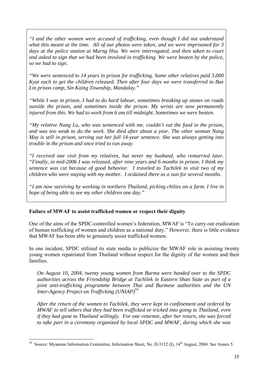*"I and the other women were accused of trafficking, even though I did not understand what this meant at the time. All of our photos were taken, and we were imprisoned for 3 days at the police station at Murng Hsu. We were interrogated, and then taken to court and asked to sign that we had been involved in trafficking. We were beaten by the police, so we had to sign.* 

*"We were sentenced to 14 years in prison for trafficking. Some other relatives paid 3,000 Kyat each to get the children released. Then after four days we were transferred to Bae Lin prison camp, Sin Kaing Township, Mandalay."* 

*"While I was in prison, I had to do hard labour, sometimes breaking up stones on roads outside the prison, and sometimes inside the prison. My wrists are now permanently injured from this. We had to work from 6 am till midnight. Sometimes we were beaten.* 

*"My relative Nang Lu, who was sentenced with me, couldn't eat the food in the prison, and was too weak to do the work. She died after about a year. The other woman Nang May is still in prison, serving out her full 14-year sentence. She was always getting into trouble in the prison and once tried to run away.* 

*"I received one visit from my relatives, but never my husband, who remarried later. "Finally, in mid-2006 I was released, after nine years and 6 months in prison. I think my sentence was cut because of good behavior. I traveled to Tachilek to visit two of my children who were staying with my mother. I ordained there as a nun for several months.* 

*"I am now surviving by working in northern Thailand, picking chilies on a farm. I live in hope of being able to see my other children one day."* 

#### **Failure of MWAF to assist trafficked women or respect their dignity**

One of the aims of the SPDC-controlled women's federation, MWAF is "To carry out eradication of human trafficking of women and children as a national duty." However, there is little evidence that MWAF has been able to genuinely assist trafficked women.

In one incident, SPDC utilized its state media to publicize the MWAF role in assisting twenty young women repatriated from Thailand without respect for the dignity of the women and their families.

*On August 10, 2004, twenty young women from Burma were handed over to the SPDC authorities across the Friendship Bridge at Tachilek in Eastern Shan State as part of a joint anti-trafficking programme between Thai and Burmese authorities and the UN Inter-Agency Project on Trafficking (UNIAP)*59

*After the return of the women to Tachilek, they were kept in confinement and ordered by MWAF to tell others that they had been trafficked or tricked into going to Thailand, even if they had gone to Thailand willingly. For one returnee, after her return, she was forced to take part in a ceremony organized by local SPDC and MWAF, during which she was* 

<sup>1</sup> Source: Myanmar Information Committee, Information Sheet, No. D-3132 (I), 14<sup>th</sup> August, 2004. See Annex 5.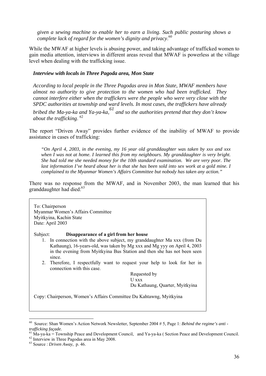*given a sewing machine to enable her to earn a living. Such public posturing shows a complete lack of regard for the women's dignity and privacy*. 60

While the MWAF at higher levels is abusing power, and taking advantage of trafficked women to gain media attention, interviews in different areas reveal that MWAF is powerless at the village level when dealing with the trafficking issue.

#### *Interview with locals in Three Pagoda area, Mon State*

*According to local people in the Three Pagodas area in Mon State, MWAF members have almost no authority to give protection to the women who had been trafficked. They cannot interfere either when the traffickers were the people who were very close with the SPDC authorities at township and ward levels. In most cases, the traffickers have already* 

*bribed the Ma-ya-ka and Ya-ya-ka,61 and so the authorities pretend that they don't know about the trafficking*. 62

The report "Driven Away" provides further evidence of the inability of MWAF to provide assistance in cases of trafficking:

*"On April 4, 2003, in the evening, my 16 year old granddaughter was taken by xxx and xxx when I was not at home. I learned this from my neighbours. My granddaughter is very bright. She had told me she needed money for the 10th standard examination. We are very poor. The*  last information I've heard about her is that she has been sold into sex work at a gold mine. I *complained to the Myanmar Women's Affairs Committee but nobody has taken any action."* 

There was no response from the MWAF, and in November 2003, the man learned that his granddaughter had died:<sup>63</sup>

#### To: Chairperson Myanmar Women's Affairs Committee Myitkyina, Kachin State Date: April 2003 Subject: **Disappearance of a girl from her house** 1. In connection with the above subject, my granddaughter Ma xxx (from Du Kathaung), 16-years-old, was taken by Mg xxx and Mg yyy on April 4, 2003 in the evening from Myitkyina Bus Station and then she has not been seen since. 2. Therefore, I respectfully want to request your help to look for her in connection with this case. Requested by U xxx Du Kathaung, Quarter, Myitkyina Copy: Chairperson, Women's Affairs Committee Du Kahtawng, Myitkyina

<sup>1</sup> 60 Source: Shan Women's Action Network Newsletter, September 2004 # 5, Page 1: *Behind the regime's anti trafficking façade.*

 $^{61}$  Ma-ya-ka = Township Peace and Development Council, and Ya-ya-ka (Section Peace and Development Council.  $^{62}$  Interview in Three Pagodas area in May 2008.

<sup>63</sup> Source : *Driven Away*, p. 46.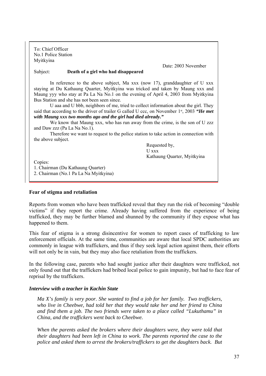To: Chief Officer No.1 Police Station Myitkyina

Date: 2003 November

### Subject: **Death of a girl who had disappeared**

In reference to the above subject, Ma xxx (now 17), granddaughter of U xxx staying at Du Kathaung Quarter, Myitkyina was tricked and taken by Maung xxx and Maung yyy who stay at Pa La Na No.1 on the evening of April 4, 2003 from Myitkyina Bus Station and she has not been seen since.

 U aaa and U bbb, neighbors of me, tried to collect information about the girl. They said that according to the driver of trailer G called U ccc, on November 1st, 2003 *"He met with Maung xxx two months ago and the girl had died already."* 

We know that Maung xxx, who has run away from the crime, is the son of U zzz and Daw zzz (Pa La Na No.1).

 Therefore we want to request to the police station to take action in connection with the above subject.

 Requested by, U xxx Kathaung Quarter, Myitkyina

Copies:

1. Chairman (Du Kathaung Quarter)

2. Chairman (No.1 Pa La Na Myitkyina)

### **Fear of stigma and retaliation**

Reports from women who have been trafficked reveal that they run the risk of becoming "double victims" if they report the crime. Already having suffered from the experience of being trafficked, they may be further blamed and shunned by the community if they expose what has happened to them.

This fear of stigma is a strong disincentive for women to report cases of trafficking to law enforcement officials. At the same time, communities are aware that local SPDC authorities are commonly in league with traffickers, and thus if they seek legal action against them, their efforts will not only be in vain, but they may also face retaliation from the traffickers.

In the following case, parents who had sought justice after their daughters were trafficked, not only found out that the traffickers had bribed local police to gain impunity, but had to face fear of reprisal by the traffickers.

# *Interview with a teacher in Kachin State*

*Ma X's family is very poor. She wanted to find a job for her family. Two traffickers, who live in Cheebwe, had told her that they would take her and her friend to China and find them a job. The two friends were taken to a place called "Lukuthamu" in China, and the traffickers went back to Cheebwe.* 

*When the parents asked the brokers where their daughters were, they were told that their daughters had been left in China to work. The parents reported the case to the police and asked them to arrest the brokers/traffickers to get the daughters back. But*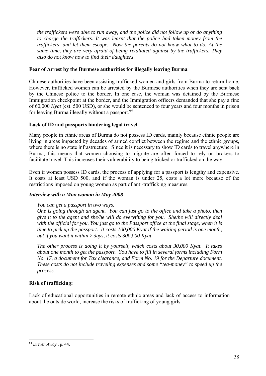*the traffickers were able to run away, and the police did not follow up or do anything*  to charge the traffickers. It was learnt that the police had taken money from the *traffickers, and let them escape. Now the parents do not know what to do. At the same time, they are very afraid of being retaliated against by the traffickers. They also do not know how to find their daughters*.

## **Fear of Arrest by the Burmese authorities for illegally leaving Burma**

Chinese authorities have been assisting trafficked women and girls from Burma to return home. However, trafficked women can be arrested by the Burmese authorities when they are sent back by the Chinese police to the border. In one case, the woman was detained by the Burmese Immigration checkpoint at the border, and the Immigration officers demanded that she pay a fine of 60,000 *Kyat* (est. 500 USD), or she would be sentenced to four years and four months in prison for leaving Burma illegally without a passport.<sup>64</sup>

## **Lack of ID and passports hindering legal travel**

Many people in ethnic areas of Burma do not possess ID cards, mainly because ethnic people are living in areas impacted by decades of armed conflict between the regime and the ethnic groups, where there is no state infrastructure. Since it is necessary to show ID cards to travel anywhere in Burma, this means that women choosing to migrate are often forced to rely on brokers to facilitate travel. This increases their vulnerability to being tricked or trafficked on the way.

Even if women possess ID cards, the process of applying for a passport is lengthy and expensive. It costs at least USD 500, and if the woman is under 25, costs a lot more because of the restrictions imposed on young women as part of anti-trafficking measures.

# *Interview with a Mon woman in May 2008*

*You can get a passport in two ways.* 

*One is going through an agent. You can just go to the office and take a photo, then give it to the agent and she/he will do everything for you. She/he will directly deal with the official for you. You just go to the Passport office at the final stage, when it is time to pick up the passport. It costs 100,000 Kyat if the waiting period is one month, but if you want it within 7 days, it costs 300,000 Kyat.* 

*The other process is doing it by yourself, which costs about 30,000 Kyat. It takes about one month to get the passport. You have to fill in several forms including Form No. 17, a document for Tax clearance, and Form No. 19 for the Departure document. These costs do not include traveling expenses and some "tea-money" to speed up the process.* 

# **Risk of trafficking:**

Lack of educational opportunities in remote ethnic areas and lack of access to information about the outside world, increase the risks of trafficking of young girls.

<sup>1</sup> <sup>64</sup> *Driven Away* , p. 44.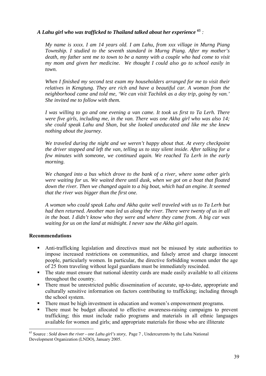# *A Lahu girl who was trafficked to Thailand talked about her experience <sup>65</sup> :*

*My name is xxxx. I am 14 years old. I am Lahu, from xxx village in Murng Piang Township. I studied to the seventh standard in Murng Piang. After my mother's death, my father sent me to town to be a nanny with a couple who had come to visit my mom and given her medicine. We thought I could also go to school easily in town.* 

*When I finished my second test exam my householders arranged for me to visit their relatives in Kengtung. They are rich and have a beautiful car. A woman from the neighborhood came and told me, 'We can visit Tachilek as a day trip, going by van.' She invited me to follow with them.* 

*I was willing to go and one evening a van came. It took us first to Ta Lerh. There were five girls, including me, in the van. There was one Akha girl who was also 14; she could speak Lahu and Shan, but she looked uneducated and like me she knew nothing about the journey.* 

*We traveled during the night and we weren't happy about that. At every checkpoint the driver stopped and left the van, telling us to stay silent inside. After talking for a few minutes with someone, we continued again. We reached Ta Lerh in the early morning.* 

*We changed into a bus which drove to the bank of a river, where some other girls were waiting for us. We waited there until dusk, when we got on a boat that floated*  down the river. Then we changed again to a big boat, which had an engine. It seemed *that the river was bigger than the first one.* 

*A woman who could speak Lahu and Akha quite well traveled with us to Ta Lerh but had then returned. Another man led us along the river. There were twenty of us in all in the boat. I didn't know who they were and where they came from. A big car was waiting for us on the land at midnight. I never saw the Akha girl again.* 

# **Recommendations**

- Anti-trafficking legislation and directives must not be misused by state authorities to impose increased restrictions on communities, and falsely arrest and charge innocent people, particularly women. In particular, the directive forbidding women under the age of 25 from traveling without legal guardians must be immediately rescinded.
- The state must ensure that national identity cards are made easily available to all citizens throughout the country.
- There must be unrestricted public dissemination of accurate, up-to-date, appropriate and culturally sensitive information on factors contributing to trafficking; including through the school system.
- There must be high investment in education and women's empowerment programs.
- There must be budget allocated to effective awareness-raising campaigns to prevent trafficking; this must include radio programs and materials in all ethnic languages available for women and girls; and appropriate materials for those who are illiterate

<sup>65</sup> Source : *Sold down the river - one Lahu girl's story*, Page 7 , Undercurrents by the Lahu National Development Organization (LNDO), January 2005.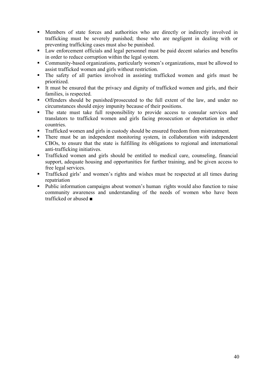- Members of state forces and authorities who are directly or indirectly involved in trafficking must be severely punished; those who are negligent in dealing with or preventing trafficking cases must also be punished.
- Law enforcement officials and legal personnel must be paid decent salaries and benefits in order to reduce corruption within the legal system.
- Community-based organizations, particularly women's organizations, must be allowed to assist trafficked women and girls without restriction.
- The safety of all parties involved in assisting trafficked women and girls must be prioritized.
- It must be ensured that the privacy and dignity of trafficked women and girls, and their families, is respected.
- Offenders should be punished/prosecuted to the full extent of the law, and under no circumstances should enjoy impunity because of their positions.
- The state must take full responsibility to provide access to consular services and translators to trafficked women and girls facing prosecution or deportation in other countries.
- Trafficked women and girls in custody should be ensured freedom from mistreatment.
- There must be an independent monitoring system, in collaboration with independent CBOs, to ensure that the state is fulfilling its obligations to regional and international anti-trafficking initiatives.
- Trafficked women and girls should be entitled to medical care, counseling, financial support, adequate housing and opportunities for further training, and be given access to free legal services.
- Trafficked girls' and women's rights and wishes must be respected at all times during repatriation
- Public information campaigns about women's human rights would also function to raise community awareness and understanding of the needs of women who have been trafficked or abused **■**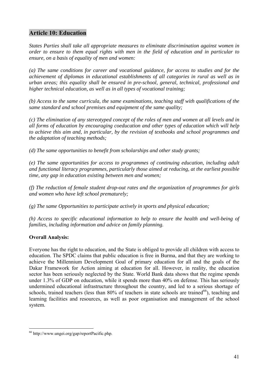# **Article 10: Education**

*States Parties shall take all appropriate measures to eliminate discrimination against women in order to ensure to them equal rights with men in the field of education and in particular to ensure, on a basis of equality of men and women:* 

*(a) The same conditions for career and vocational guidance, for access to studies and for the achievement of diplomas in educational establishments of all categories in rural as well as in urban areas; this equality shall be ensured in pre-school, general, technical, professional and higher technical education, as well as in all types of vocational training;* 

*(b) Access to the same curricula, the same examinations, teaching staff with qualifications of the same standard and school premises and equipment of the same quality;* 

*(c) The elimination of any stereotyped concept of the roles of men and women at all levels and in all forms of education by encouraging coeducation and other types of education which will help to achieve this aim and, in particular, by the revision of textbooks and school programmes and the adaptation of teaching methods;* 

*(d) The same opportunities to benefit from scholarships and other study grants;* 

*(e) The same opportunities for access to programmes of continuing education, including adult and functional literacy programmes, particularly those aimed at reducing, at the earliest possible time, any gap in education existing between men and women;* 

*(f) The reduction of female student drop-out rates and the organization of programmes for girls and women who have left school prematurely;* 

*(g) The same Opportunities to participate actively in sports and physical education;* 

*(h) Access to specific educational information to help to ensure the health and well-being of families, including information and advice on family planning.* 

# **Overall Analysis:**

1

Everyone has the right to education, and the State is obliged to provide all children with access to education. The SPDC claims that public education is free in Burma, and that they are working to achieve the Millennium Development Goal of primary education for all and the goals of the Dakar Framework for Action aiming at education for all. However, in reality, the education sector has been seriously neglected by the State. World Bank data shows that the regime spends under 1.3% of GDP on education, while it spends more than 40% on defense. This has seriously undermined educational infrastructure throughout the country, and led to a serious shortage of schools, trained teachers (less than  $80\%$  of teachers in state schools are trained<sup>66</sup>), teaching and learning facilities and resources, as well as poor organisation and management of the school system.

<sup>66</sup> http://www.ungei.org/gap/reportPacific.php.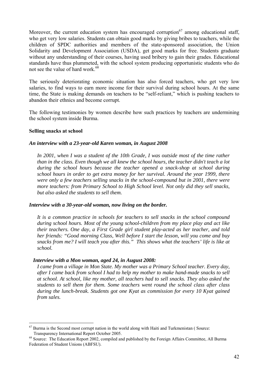Moreover, the current education system has encouraged corruption<sup>67</sup> among educational staff, who get very low salaries. Students can obtain good marks by giving bribes to teachers, while the children of SPDC authorities and members of the state-sponsored association, the Union Solidarity and Development Association (USDA), get good marks for free. Students graduate without any understanding of their courses, having used bribery to gain their grades. Educational standards have thus plummeted, with the school system producing opportunistic students who do not see the value of hard work.<sup>68</sup>

The seriously deteriorating economic situation has also forced teachers, who get very low salaries, to find ways to earn more income for their survival during school hours. At the same time, the State is making demands on teachers to be "self-reliant," which is pushing teachers to abandon their ethnics and become corrupt.

The following testimonies by women describe how such practices by teachers are undermining the school system inside Burma.

### **Selling snacks at school**

1

### *An interview with a 23-year-old Karen woman, in August 2008*

In 2001, when I was a student of the 10th Grade, I was outside most of the time rather *than in the class. Even though we all knew the school hours, the teacher didn't teach a lot during the school hours because the teacher opened a snack-shop at school during school hours in order to get extra money for her survival. Around the year 1999, there were only a few teachers selling snacks in the school-compound but in 2001, there were more teachers: from Primary School to High School level. Not only did they sell snacks, but also asked the students to sell them.* 

### *Interview with a 30-year-old woman, now living on the border.*

*It is a common practice in schools for teachers to sell snacks in the school compound during school hours. Most of the young school-children from my place play and act like their teachers. One day, a First Grade girl student play-acted as her teacher, and told her friends: "Good morning Class, Well before I start the lesson, will you come and buy snacks from me? I will teach you after this." This shows what the teachers' life is like at school.* 

### *Interview with a Mon woman, aged 24, in August 2008:*

*I came from a village in Mon State. My mother was a Primary School teacher. Every day, after I came back from school I had to help my mother to make hand-made snacks to sell at school. At school, like my mother, all teachers had to sell snacks. They also asked the students to sell them for them. Some teachers went round the school class after class during the lunch-break. Students got one Kyat as commission for every 10 Kyat gained from sales.* 

 $67$  Burma is the Second most corrupt nation in the world along with Haiti and Turkmenistan (Source: Transparency International Report October 2005.

<sup>&</sup>lt;sup>68</sup> Source: The Education Report 2002, compiled and published by the Foreign Affairs Committee, All Burma Federation of Student Unions (ABFSU).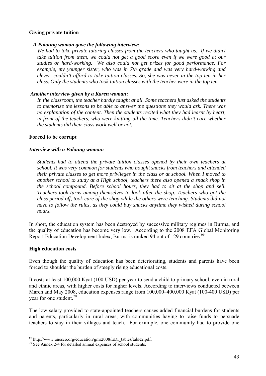# **Giving private tuition**

### *A Palaung woman gave the following interview:*

*We had to take private tutoring classes from the teachers who taught us. If we didn't take tuition from them, we could not get a good score even if we were good at our studies or hard-working. We also could not get prizes for good performance. For example, my younger sister, who was in 7th grade and was very hard-working and clever, couldn't afford to take tuition classes. So, she was never in the top ten in her class. Only the students who took tuition classes with the teacher were in the top ten.* 

### *Another interview given by a Karen woman***:**

*In the classroom, the teacher hardly taught at all. Some teachers just asked the students to memorize the lessons to be able to answer the questions they would ask. There was no explanation of the content. Then the students recited what they had learnt by heart,*  in front of the teachers, who were knitting all the time. Teachers didn't care whether *the students did their class work well or not.* 

### **Forced to be corrupt**

### *Interview with a Palaung woman:*

*Students had to attend the private tuition classes opened by their own teachers at school. It was very common for students who bought snacks from teachers and attended their private classes to get more privileges in the class or at school. When I moved to another school to study at a High school, teachers there also opened a snack shop in the school compound. Before school hours, they had to sit at the shop and sell. Teachers took turns among themselves to look after the shop. Teachers who got the class period off, took care of the shop while the others were teaching. Students did not have to follow the rules, as they could buy snacks anytime they wished during school hours.* 

In short, the education system has been destroyed by successive military regimes in Burma, and the quality of education has become very low. According to the 2008 EFA Global Monitoring Report Education Development Index, Burma is ranked 94 out of 129 countries.<sup>69</sup>

### **High education costs**

1

Even though the quality of education has been deteriorating, students and parents have been forced to shoulder the burden of steeply rising educational costs.

It costs at least 100,000 Kyat (100 USD) per year to send a child to primary school, even in rural and ethnic areas, with higher costs for higher levels. According to interviews conducted between March and May 2008, education expenses range from 100,000–400,000 Kyat (100-400 USD) per year for one student.<sup>70</sup>

The low salary provided to state-appointed teachers causes added financial burdens for students and parents, particularly in rural areas, with communities having to raise funds to persuade teachers to stay in their villages and teach. For example, one community had to provide one

<sup>69</sup> http://www.unesco.org/education/gmr2008/EDI\_tables/table2.pdf.

 $70$  See Annex 2-4 for detailed annual expenses of school students.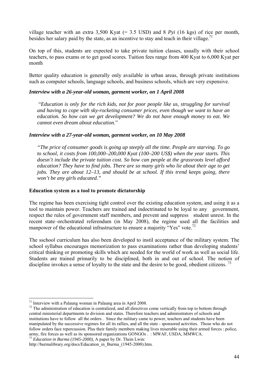village teacher with an extra 3,500 Kyat (= 3.5 USD) and 8 *Pyi* (16 kgs) of rice per month, besides her salary paid by the state, as an incentive to stay and teach in their village.<sup>71</sup>

On top of this, students are expected to take private tuition classes, usually with their school teachers, to pass exams or to get good scores. Tuition fees range from 400 Kyat to 6,000 Kyat per month

Better quality education is generally only available in urban areas, through private institutions such as computer schools, language schools, and business schools, which are very expensive.

### *Interview with a 26-year-old woman, garment worker, on 1 April 2008*

 "*Education is only for the rich kids, not for poor people like us, struggling for survival and having to cope with sky-rocketing consumer prices, even though we want to have an education. So how can we get development? We do not have enough money to eat. We cannot even dream about education*."

### *Interview with a 27-year-old woman, garment worker, on 10 May 2008*

*"The price of consumer goods is going up steeply all the time. People are starving. To go to school, it costs from 100,000–200,000 Kyat (100–200 US\$) when the year starts. This doesn't include the private tuition cost. So how can people at the grassroots level afford education? They have to find jobs. There are so many girls who lie about their age to get jobs. They are about 12–13, and should be at school. If this trend keeps going, there won't be any girls educated."* 

### **Education system as a tool to promote dictatorship**

The regime has been exercising tight control over the existing education system, and using it as a tool to maintain power. Teachers are trained and indoctrinated to be loyal to any government, respect the rules of government staff members, and prevent and suppress student unrest. In the recent state–orchestrated referendum (in May 2008), the regime used all the facilities and manpower of the educational infrastructure to ensure a majority "Yes" vote.<sup>72</sup>

The sschool curriculum has also been developed to instil acceptance of the military system. The school syllabus encourages memorization to pass examinations rather than developing students' critical thinking or promoting skills which are needed for the world of work as well as social life. Students are trained primarily to be disciplined, both in and out of school. The notion of discipline invokes a sense of loyalty to the state and the desire to be good, obedient citizens.  $^{73}$ 

1

<sup>73</sup> *Education in Burma (1945-2000),* A paper by Dr. Thein Lwin:

 $71$  Interview with a Palaung woman in Palaung area in April 2008.

 $72$  The administration of education is centralized, and all directives come vertically from top to bottom through central ministerial departments to division and states. Therefore teachers and administrators of schools and institutions have to follow all the orders . Since the military came to power, teachers and students have been manipulated by the successive regimes for all its rallies, and all the state - sponsored activities. Those who do not follow orders face repercussion. Plus their family members making lives miserable using their armed forces : police, army, fire forces as well as its sponsored organizations GONGOs . : MWAF, USDA, MMWCA.

http://burmalibrary.org/docs/Education\_in\_Burma\_(1945-2000).htm.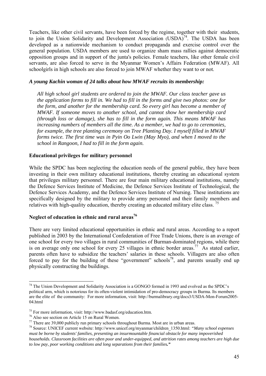Teachers, like other civil servants, have been forced by the regime, together with their students, to join the Union Solidarity and Development Association  $(USDA)^{74}$ . The USDA has been developed as a nationwide mechanism to conduct propaganda and exercise control over the general population. USDA members are used to organize sham mass rallies against democratic opposition groups and in support of the junta's policies. Female teachers, like other female civil servants, are also forced to serve in the Myanmar Women's Affairs Federation (MWAF). All schoolgirls in high schools are also forced to join MWAF whether they want to or not.

### *A young Kachin woman of 24 talks about how MWAF recruits its membership:*

*All high school girl students are ordered to join the MWAF. Our class teacher gave us the application forms to fill in. We had to fill in the forms and give two photos: one for the form, and another for the membership card. So every girl has become a member of MWAF. If someone moves to another school, and cannot show her membership card (through loss or damage), she has to fill in the form again. This means MWAF has increasing numbers of members all the time. As a member, we had to go to ceremonies, for example, the tree planting ceremony on Tree Planting Day. I myself filled in MWAF forms twice. The first time was in Pyin Oo Lwin (May Myo), and when I moved to the school in Rangoon, I had to fill in the form again.* 

### **Educational privileges for military personnel**

While the SPDC has been neglecting the education needs of the general public, they have been investing in their own military educational institutions, thereby creating an educational system that privileges military personnel. There are four main military educational institutions, namely the Defence Services Institute of Medicine, the Defence Services Institute of Technological, the Defence Services Academy, and the Defence Services Institute of Nursing. These institutions are specifically designed by the military to provide army personnel and their family members and relatives with high-quality education, thereby creating an educated military elite class.  $^{75}$ 

# Neglect of education in ethnic and rural areas<sup>76</sup>

There are very limited educational opportunities in ethnic and rural areas. According to a report published in 2003 by the International Confederation of Free Trade Unions, there is an average of one school for every two villages in rural communities of Burman-dominated regions, while there is on average only one school for every 25 villages in ethnic border areas.<sup>77</sup> As stated earlier, parents often have to subsidize the teachers' salaries in these schools. Villagers are also often forced to pay for the building of these "government" schools<sup>78</sup>, and parents usually end up physically constructing the buildings.

 $74$  The Union Development and Solidarity Association is a GONGO formed in 1993 and evolved as the SPDC's political arm, which is notorious for its often-violent intimidation of pro-democracy groups in Burma. Its members are the elite of the community: For more information, visit: http://burmalibrary.org/docs3/USDA-Mon-Forum2005- 04.html

<sup>&</sup>lt;sup>75</sup> For more information, visit: http://www.badasf.org/education.htm.<br><sup>76</sup> Also see section on Article 15 on Rural Women.

 $77$  There are 39,000 publicly run primary schools throughout Burma. Most are in urban areas.

<sup>78</sup> Source: UNICEF current website: http://www.unicef.org/myanmar/children\_1350.html: *"Many school expenses must be borne by students' families, presenting an insurmountable financial obstacle for many impoverished households. Classroom facilities are often poor and under-equipped, and attrition rates among teachers are high due to low pay, poor working conditions and long separations from their families."*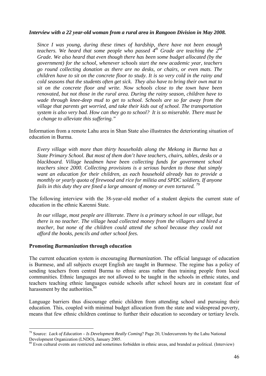### *Interview with a 22 year-old woman from a rural area in Rangoon Division in May 2008.*

*Since I was young, during these times of hardship, there have not been enough teachers. We heard that some people who passed 4<sup>th</sup> Grade are teaching the 2<sup>nd</sup> Grade. We also heard that even though there has been some budget allocated (by the government) for the school, whenever schools start the new academic year, teachers go round collecting donation as there are no desks, or chairs, or even mats. The children have to sit on the concrete floor to study. It is so very cold in the rainy and cold seasons that the students often get sick. They also have to bring their own mat to sit on the concrete floor and write. Now schools close to the town have been renovated, but not those in the rural area. During the rainy season, children have to wade through knee-deep mud to get to school. Schools are so far away from the village that parents get worried, and take their kids out of school. The transportation system is also very bad. How can they go to school? It is so miserable. There must be a change to alleviate this suffering."*

Information from a remote Lahu area in Shan State also illustrates the deteriorating situation of education in Burma.

*Every village with more than thirty households along the Mekong in Burma has a State Primary School. But most of them don't have teachers, chairs, tables, desks or a blackboard. Village headmen have been collecting funds for government school teachers since 2000. Collecting provisions is a serious burden to those that simply want an education for their children, as each household already has to provide a monthly or yearly quota of firewood and rice for militia and SPDC soldiers. If anyone fails in this duty they are fined a large amount of money or even tortured. 79*

The following interview with the 38-year-old mother of a student depicts the current state of education in the ethnic Karenni State.

In our village, most people are illiterate. There is a primary school in our village, but *there is no teacher. The village head collected money from the villagers and hired a teacher, but none of the children could attend the school because they could not afford the books, pencils and other school fees.* 

### **Promoting** *Burmanization* **through education**

1

The current education system is encouraging *Burmanization*. The official language of education is Burmese, and all subjects except English are taught in Burmese. The regime has a policy of sending teachers from central Burma to ethnic areas rather than training people from local communities. Ethnic languages are not allowed to be taught in the schools in ethnic states, and teachers teaching ethnic languages outside schools after school hours are in constant fear of harassment by the authorities.<sup>80</sup>

Language barriers thus discourage ethnic children from attending school and pursuing their education. This, coupled with minimal budget allocation from the state and widespread poverty, means that few ethnic children continue to further their education to secondary or tertiary levels.

<sup>79</sup> Source: *Lack of Education – Is Development Really Coming*? Page 20, Undercurrents by the Lahu National Development Organization (LNDO), January 2005.

<sup>&</sup>lt;sup>80</sup> Even cultural events are restricted and sometimes forbidden in ethnic areas, and branded as political. (Interview)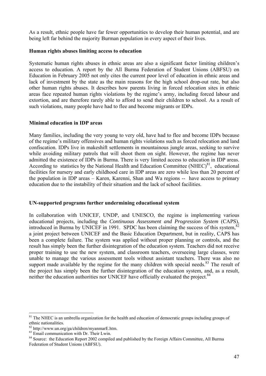As a result, ethnic people have far fewer opportunities to develop their human potential, and are being left far behind the majority Burman population in every aspect of their lives.

### **Human rights abuses limiting access to education**

Systematic human rights abuses in ethnic areas are also a significant factor limiting children's access to education. A report by the All Burma Federation of Student Unions (ABFSU) on Education in February 2005 not only cites the current poor level of education in ethnic areas and lack of investment by the state as the main reasons for the high school drop-out rate, but also other human rights abuses. It describes how parents living in forced relocation sites in ethnic areas face repeated human rights violations by the regime's army, including forced labour and extortion, and are therefore rarely able to afford to send their children to school. As a result of such violations, many people have had to flee and become migrants or IDPs.

## **Minimal education in IDP areas**

Many families, including the very young to very old, have had to flee and become IDPs because of the regime's military offensives and human rights violations such as forced relocation and land confiscation. IDPs live in makeshift settlements in mountainous jungle areas, seeking to survive while avoiding military patrols that will shoot them on sight. However, the regime has never admitted the existence of IDPs in Burma. There is very limited access to education in IDP areas. According to statistics by the National Health and Education Committee (NHEC) $^{81}$ , educational facilities for nursery and early childhood care in IDP areas are zero while less than 20 percent of the population in IDP areas – Karen, Karenni, Shan and Wa regions -- have access to primary education due to the instability of their situation and the lack of school facilities.

### **UN-supported programs further undermining educational system**

In collaboration with UNICEF, UNDP, and UNESCO, the regime is implementing various educational projects, including the *Continuous Assessment and Progression System* (CAPS), introduced in Burma by UNICEF in 1991. SPDC has been claiming the success of this system,  $82$ a joint project between UNICEF and the Basic Education Department, but in reality, CAPS has been a complete failure. The system was applied without proper planning or controls, and the result has simply been the further disintegration of the education system. Teachers did not receive proper training to use the new system, and classroom teachers, overseeing large classes, were unable to manage the various assessment tools without assistant teachers. There was also no support made available by the regime for the many children with special needs. $83$  The result of the project has simply been the further disintegration of the education system, and, as a result, neither the education authorities nor UNICEF have officially evaluated the project.<sup>84</sup>

 $81$  The NHEC is an umbrella organization for the health and education of democratic groups including groups of ethnic nationalities.

<sup>82</sup> http://www.un.org/ga/children/myanmarE.htm.

<sup>&</sup>lt;sup>83</sup> Email communication with Dr. Their Lwin.

<sup>&</sup>lt;sup>84</sup> Source: the Education Report 2002 compiled and published by the Foreign Affairs Committee, All Burma Federation of Student Unions (ABFSU).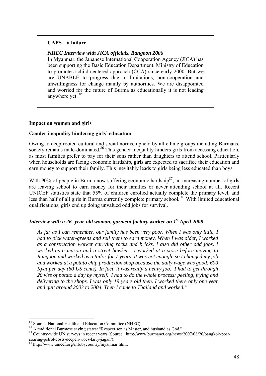## **CAPS – a failure**

### *NHEC Interview with JICA officials, Rangoon 2006*

In Myanmar, the Japanese International Cooperation Agency (JICA) has been supporting the Basic Education Department, Ministry of Education to promote a child-centered approach (CCA) since early 2000. But we are UNABLE to progress due to limitations, non-cooperation and unwillingness for change mainly by authorities. We are disappointed and worried for the future of Burma as educationally it is not leading anywhere yet. 85

## **Impact on women and girls**

## **Gender inequality hindering girls' education**

Owing to deep-rooted cultural and social norms, upheld by all ethnic groups including Burmans, society remains male-dominated. $86$  This gender inequality hinders girls from accessing education, as most families prefer to pay for their sons rather than daughters to attend school. Particularly when households are facing economic hardship, girls are expected to sacrifice their education and earn money to support their family. This inevitably leads to girls being less educated than boys.

With 90% of people in Burma now suffering economic hardship<sup>87</sup>, an increasing number of girls are leaving school to earn money for their families or never attending school at all. Recent UNICEF statistics state that 55% of children enrolled actually complete the primary level, and less than half of all girls in Burma currently complete primary school*.* 88 With limited educational qualifications, girls end up doing unvalued odd jobs for survival.

# *Interview with a 26- year-old woman, garment factory worker on 1st April 2008*

*As far as I can remember, our family has been very poor. When I was only little, I had to pick water-greens and sell them to earn money. When I was older, I worked as a construction worker carrying rocks and bricks. I also did other odd jobs. I worked as a mason and a street hawker. I worked at a store before moving to Rangoon and worked as a tailor for 7 years. It was not enough, so I changed my job and worked at a potato chip production shop because the daily wage was good: 600 Kyat per day (60 US cents). In fact, it was really a heavy job. I had to get through 20 viss of potato a day by myself. I had to do the whole process: peeling, frying and delivering to the shops. I was only 19 years old then. I worked there only one year and quit around 2003 to 2004. Then I came to Thailand and worked."* 

<sup>85</sup> Source: National Health and Education Committee (NHEC).

<sup>86</sup> A traditional Burmese saying states: "Respect son as Master, and husband as God."

<sup>87</sup> Country-wide UN surveys in recent years (Source: http://www.burmanet.org/news/2007/08/20/bangkok-post-

soaring-petrol-costs-deepen-woes-larry-jagan/).<br><sup>88</sup> http://www.unicef.org/infobycountry/myanmar.html.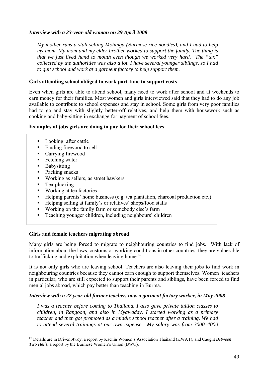# *Interview with a 23-year-old woman on 29 April 2008*

*My mother runs a stall selling Mohinga (Burmese rice noodles), and I had to help my mom. My mom and my elder brother worked to support the family. The thing is that we just lived hand to mouth even though we worked very hard. The "tax" collected by the authorities was also a lot. I have several younger siblings, so I had to quit school and work at a garment factory to help support them.* 

### **Girls attending school obliged to work part-time to support costs**

Even when girls are able to attend school, many need to work after school and at weekends to earn money for their families. Most women and girls interviewed said that they had to do any job available to contribute to school expenses and stay in school. Some girls from very poor families had to go and stay with slightly better-off relatives, and help them with housework such as cooking and baby-sitting in exchange for payment of school fees.

## **Examples of jobs girls are doing to pay for their school fees**

- **Looking after cattle**
- Finding firewood to sell
- **Carrying firewood**
- Fetching water
- Babysitting
- Packing snacks
- Working as sellers, as street hawkers
- Tea-plucking

1

- Working at tea factories
- Helping parents' home business (e.g. tea plantation, charcoal production etc.)
- Helping selling at family's or relatives' shops/food stalls
- **Working on the family farm or somebody else's farm**
- Teaching younger children, including neighbours' children

### **Girls and female teachers migrating abroad**

Many girls are being forced to migrate to neighbouring countries to find jobs. With lack of information about the laws, customs or working conditions in other countries, they are vulnerable to trafficking and exploitation when leaving home.<sup>89</sup>

It is not only girls who are leaving school. Teachers are also leaving their jobs to find work in neighbouring countries because they cannot earn enough to support themselves. Women teachers in particular, who are still expected to support their parents and siblings, have been forced to find menial jobs abroad, which pay better than teaching in Burma.

### *Interview with a 22 year-old former teacher, now a garment factory worker, in May 2008*

*I was a teacher before coming to Thailand. I also gave private tuition classes to children, in Rangoon, and also in Myawaddy. I started working as a primary teacher and then got promoted as a middle school teacher after a training. We had to attend several trainings at our own expense. My salary was from 3000–4000* 

<sup>89</sup> Details are in Driven *Away*, a report by Kachin Women's Association Thailand (KWAT), and Caught *Between Two Hells*, a report by the Burmese Women's Union (BWU).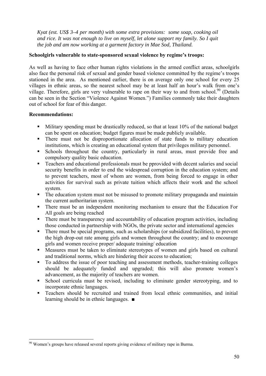*Kyat (est. US\$ 3–4 per month) with some extra provisions: some soap, cooking oil and rice. It was not enough to live on myself, let alone support my family. So I quit the job and am now working at a garment factory in Mae Sod, Thailand.* 

## **Schoolgirls vulnerable to state-sponsored sexual violence by regime's troops:**

As well as having to face other human rights violations in the armed conflict areas, schoolgirls also face the personal risk of sexual and gender based violence committed by the regime's troops stationed in the area. As mentioned earlier, there is on average only one school for every 25 villages in ethnic areas, so the nearest school may be at least half an hour's walk from one's village. Therefore, girls are very vulnerable to rape on their way to and from school.<sup>90</sup> (Details can be seen in the Section "Violence Against Women.") Families commonly take their daughters out of school for fear of this danger.

## **Recommendations:**

- Military spending must be drastically reduced, so that at least 10% of the national budget can be spent on education; budget figures must be made publicly available.
- There must not be disproportionate allocation of state funds to military education institutions, which is creating an educational system that privileges military personnel.
- Schools throughout the country, particularly in rural areas, must provide free and compulsory quality basic education.
- **Teachers and educational professionals must be pprovided with decent salaries and social** security benefits in order to end the widespread corruption in the education system; and to prevent teachers, most of whom are women, from being forced to engage in other activities for survival such as private tuition which affects their work and the school system.
- The education system must not be misused to promote military propaganda and maintain the current authoritarian system.
- There must be an independent monitoring mechanism to ensure that the Education For All goals are being reached
- There must be transparency and accountability of education program activities, including those conducted in partnership with NGOs, the private sector and international agencies
- There must be special programs, such as scholarships (or subsidized facilities), to prevent the high drop-out rate among girls and women throughout the country; and to encourage girls and women receive proper/ adequate training/ education
- Measures must be taken to eliminate stereotypes of women and girls based on cultural and traditional norms, which are hindering their access to education;
- To address the issue of poor teaching and assessment methods, teacher-training colleges should be adequately funded and upgraded; this will also promote women's advancement, as the majority of teachers are women.
- School curricula must be revised, including to eliminate gender stereotyping, and to incorporate ethnic languages.
- Teachers should be recruited and trained from local ethnic communities, and initial learning should be in ethnic languages. ■

<sup>&</sup>lt;sup>90</sup> Women's groups have released several reports giving evidence of military rape in Burma.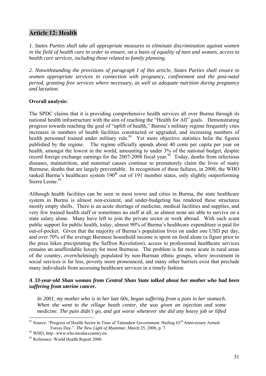# **Article 12: Health**

*1. States Parties shall take all appropriate measures to eliminate discrimination against women in the field of health care in order to ensure, on a basis of equality of men and women, access to health care services, including those related to family planning.* 

*2. Notwithstanding the provisions of paragraph I of this article, States Parties shall ensure to women appropriate services in connection with pregnancy, confinement and the post-natal period, granting free services where necessary, as well as adequate nutrition during pregnancy and lactation.* 

# **Overall analysis:**

The SPDC claims that it is providing comprehensive health services all over Burma through its national health infrastructure with the aim of reaching the "Health for All" goals. Demonstrating progress towards reaching the goal of "uplift of health," Burma's military regime frequently cites increases in numbers of health facilities constructed or upgraded, and increasing numbers of health personnel trained under military rule.<sup>91</sup> Yet more objective statistics belie the figures published by the regime. The regime officially spends about 40 cents per capita per year on health, amongst the lowest in the world, amounting to under 3% of the national budget, despite record foreign exchange earnings for the 2007-2008 fiscal year.<sup>92</sup> Today, deaths from infectious diseases, malnutrition, and maternal causes continue to prematurely claim the lives of many Burmese, deaths that are largely preventable. In recognition of these failures, in 2000, the WHO ranked Burma's healthcare system  $190<sup>th</sup>$  out of 191 member states, only slightly outperforming Sierra Leone.<sup>93</sup>

Although health facilities can be seen in most towns and cities in Burma, the state healthcare system in Burma is almost non-existent, and under-budgeting has rendered these structures mostly empty shells. There is an acute shortage of medicine, medical facilities and supplies, and very few trained health staff or sometimes no staff at all, as almost none are able to survive on a state salary alone. Many have left to join the private sector or work abroad. With such scant public support for public health, today, almost 90% of Burma's healthcare expenditure is paid for out-of-pocket. Given that the majority of Burma's population lives on under one USD per day, and over 70% of the average Burmese household income is spent on food alone (a figure prior to the price hikes precipitating the Saffron Revolution), access to professional healthcare services remains an unaffordable luxury for most Burmese. The problem is far more acute in rural areas of the country, overwhelmingly populated by non-Burman ethnic groups, where investment in social services is far less, poverty more pronounced, and many other barriers exist that preclude many individuals from accessing healthcare services in a timely fashion.

# *A 33-year-old Shan woman from Central Shan State talked about her mother who had been suffering from uterine cancer.*

*In 2001, my mother who is in her late 60s, began suffering from a pain in her stomach. When she went to the village heath center, she was given an injection and some medicine. The pain didn't go, and got worse whenever she did any heavy job or lifted* 

<sup>&</sup>lt;sup>91</sup> Source: "Progress of Health Sector in Time of Tatmadaw Government: Hailing 63<sup>rd</sup> Anniversary Armed Forces Day." *The New Light of Myanmar*, March 25, 2008, p. 7.<br><sup>92</sup> WHO, http://www.who.int/nha/country/en/.

<sup>&</sup>lt;sup>93</sup> Reference: World Health Report 2000.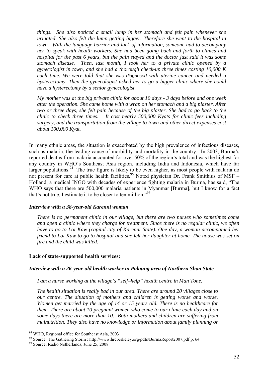*things. She also noticed a small lump in her stomach and felt pain whenever she urinated. She also felt the lump getting bigger. Therefore she went to the hospital in town. With the language barrier and lack of information, someone had to accompany her to speak with health workers. She had been going back and forth to clinics and hospital for the past 6 years, but the pain stayed and the doctor just said it was some stomach disease. Then, last month, I took her to a private clinic opened by a gynecologist in town, and she had a thorough check-up three times costing 10,000 K each time. We were told that she was diagnosed with uterine cancer and needed a hysterectomy. Then the gynecologist asked her to go a bigger clinic where she could have a hysterectomy by a senior gynecologist.* 

*My mother was at the big private clinic for about 10 days - 3 days before and one week after the operation. She came home with a wrap on her stomach and a big plaster. After two or three days, she felt pain because of the big plaster. She had to go back to the clinic to check three times. It cost nearly 500,000 Kyats for clinic fees including surgery, and the transportation from the village to town and other direct expenses cost about 100,000 Kyat.*

In many ethnic areas, the situation is exacerbated by the high prevalence of infectious diseases, such as malaria, the leading cause of morbidity and mortality in the country. In 2003, Burma's reported deaths from malaria accounted for over 50% of the region's total and was the highest for any country in WHO's Southeast Asia region, including India and Indonesia, which have far larger populations.<sup>94</sup> The true figure is likely to be even higher, as most people with malaria do not present for care at public health facilities.<sup>95</sup> Noted physician Dr. Frank Smithius of MSF – Holland, a medical INGO with decades of experience fighting malaria in Burma, has said, "The WHO says that there are 500,000 malaria patients in Myanmar [Burma], but I know for a fact that's not true. I estimate it to be closer to ten million."<sup>96</sup>

### *Interview with a 38-year-old Karenni woman*

*There is no permanent clinic in our village, but there are two nurses who sometimes come and open a clinic where they charge for treatment. Since there is no regular clinic, we often have to go to Loi Kaw (capital city of Karenni State). One day, a woman accompanied her friend to Loi Kaw to go to hospital and she left her daughter at home. The house was set on fire and the child was killed.* 

### **Lack of state-supported health services:**

### *Interview with a 26-year-old health worker in Palaung area of Northern Shan State*

*I am a nurse working at the village's "self–help" health centre in Man Tone.* 

*The health situation is really bad in our area. There are around 20 villages close to our centre. The situation of mothers and children is getting worse and worse. Women get married by the age of 14 or 15 years old. There is no healthcare for them. There are about 10 pregnant women who come to our clinic each day and on some days there are more than 10. Both mothers and children are suffering from malnutrition. They also have no knowledge or information about family planning or* 

<sup>&</sup>lt;sup>94</sup> WHO, Regional office for Southeast Asia, 2003

<sup>&</sup>lt;sup>95</sup> Source: The Gathering Storm : http://www.hrcberkeley.org/pdfs/BurmaReport2007.pdf p. 64<br><sup>96</sup> Source: Radio Netherlands, June 25, 2008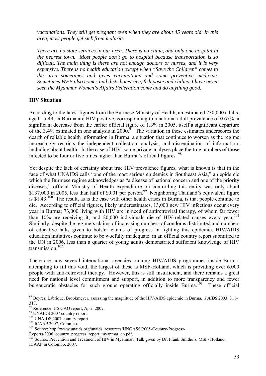*vaccinations. They still get pregnant even when they are about 45 years old. In this area, most people get sick from malaria.* 

*There are no state services in our area. There is no clinic, and only one hospital in the nearest town. Most people don't go to hospital because transportation is so difficult. The main thing is there are not enough doctors or nurses, and it is very expensive. There is no health education except when "Save the Children" comes to the area sometimes and gives vaccinations and some preventive medicine. Sometimes WFP also comes and distributes rice, fish paste and chilies. I have never seen the Myanmar Women's Affairs Federation come and do anything good.* 

## **HIV Situation**

According to the latest figures from the Burmese Ministry of Health, an estimated 230,000 adults, aged 15-49, in Burma are HIV positive, corresponding to a national adult prevalence of 0.67%, a significant decrease from the earlier official figure of 1.3% in 2005, itself a significant departure of the 3.4% estimated in one analysis in  $2000^{97}$ . The variation in these estimates underscores the dearth of reliable health information in Burma, a situation that continues to worsen as the regime increasingly restricts the independent collection, analysis, and dissemination of information, including about health. In the case of HIV, some private analyses place the true numbers of those infected to be four or five times higher than Burma's official figures. 98

Yet despite the lack of certainty about true HIV prevalence figures, what is known is that in the face of what UNAIDS calls "one of the most serious epidemics in Southeast Asia," an epidemic which the Burmese regime acknowledges as "a disease of national concern and one of the priority diseases," official Ministry of Health expenditure on controlling this entity was only about \$137,000 in 2005, less than half of \$0.01 per person.<sup>99</sup> Neighboring Thailand's equivalent figure is \$1.43.100 The result, as is the case with other health crises in Burma, is that people continue to die. According to official figures, likely underestimates, 13,000 new HIV infections occur every year in Burma; 73,000 living with HIV are in need of antiretroviral therapy, of whom far fewer than 10% are receiving it; and 20,000 individuals die of HIV-related causes every vear.<sup>101</sup> Similarly, despite the regime's claims of increasing numbers of condoms distributed and numbers of educative talks given to bolster claims of progress in fighting this epidemic, HIV/AIDS education initiatives continue to be woefully inadequate: in an official country report submitted to the UN in 2006, less than a quarter of young adults demonstrated sufficient knowledge of HIV transmission.<sup>102</sup>

There are now several international agencies running HIV/AIDS programmes inside Burma, attempting to fill this void; the largest of these is MSF-Holland, which is providing over 6,000 people with anti-retroviral therapy. However, this is still insufficient, and there remains a great need for national level commitment and support, in addition to more transparency and fewer bureaucratic obstacles for such groups operating officially inside Burma.<sup>103</sup> These official

<u>.</u>

<sup>97</sup> Beyrer, Labrique, Brookmeyer, assessing the magnitude of the HIV/AIDS epidemic in Burma. *J AIDS* 2003; 311- 317.

<sup>98</sup> Reference: US GAO report, April 2007.

 $^{99}$  UNAIDS 2007 country report.<br> $^{100}$  UNAIDS 2007 country report

<sup>&</sup>lt;sup>101</sup> ICAAP 2007, Colombo. 102 Source: http://www.unaids.org/unaids\_resources/UNGASS/2005-Country-Progress-

Reports/2006\_country\_progress\_report\_myanmar\_en.pdf.

<sup>&</sup>lt;sup>103</sup> Source: Prevention and Treatment of HIV in Myanmar. Talk given by Dr. Frank Smithuis, MSF- Holland, ICAAP in Colombo, 2007.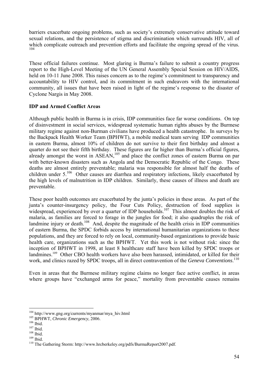barriers exacerbate ongoing problems, such as society's extremely conservative attitude toward sexual relations, and the persistence of stigma and discrimination which surrounds HIV, all of which complicate outreach and prevention efforts and facilitate the ongoing spread of the virus. 104

These official failures continue. Most glaring is Burma's failure to submit a country progress report to the High-Level Meeting of the UN General Assembly Special Session on HIV/AIDS, held on 10-11 June 2008. This raises concern as to the regime's commitment to transparency and accountability to HIV control, and its commitment in such endeavors with the international community, all issues that have been raised in light of the regime's response to the disaster of Cyclone Nargis in May 2008.

# **IDP and Armed Conflict Areas**

Although public health in Burma is in crisis, IDP communities face far worse conditions. On top of disinvestment in social services, widespread systematic human rights abuses by the Burmese military regime against non-Burman civilians have produced a health catastrophe. In surveys by the Backpack Health Worker Team (BPHWT), a mobile medical team serving IDP communities in eastern Burma, almost 10% of children do not survive to their first birthday and almost a quarter do not see their fifth birthday. These figures are far higher than Burma's official figures, already amongst the worst in ASEAN,<sup>105</sup> and place the conflict zones of eastern Burma on par with better-known disasters such as Angola and the Democratic Republic of the Congo. These deaths are almost entirely preventable; malaria was responsible for almost half the deaths of children under 5.<sup>106</sup> Other causes are diarrhea and respiratory infections, likely exacerbated by the high levels of malnutrition in IDP children. Similarly, these causes of illness and death are preventable.

These poor health outcomes are exacerbated by the junta's policies in these areas. As part of the junta's counter-insurgency policy, the Four Cuts Policy, destruction of food supplies is widespread, experienced by over a quarter of IDP households.<sup>107</sup> This almost doubles the risk of malaria, as families are forced to forage in the jungles for food; it also quadruples the risk of landmine injury or death.<sup>108</sup> And, despite the magnitude of the health crisis in IDP communities of eastern Burma, the SPDC forbids access by international humanitarian organizations to these populations, and they are forced to rely on local, community-based organizations to provide basic health care, organizations such as the BPHWT. Yet this work is not without risk: since the inception of BPHWT in 1998, at least 8 healthcare staff have been killed by SPDC troops or landmines.<sup>109</sup> Other CBO health workers have also been harassed, intimidated, or killed for their work, and clinics razed by SPDC troops, all in direct contravention of the *Geneva Conventions*. 110

Even in areas that the Burmese military regime claims no longer face active conflict, in areas where groups have "exchanged arms for peace," mortality from preventable causes remains

<sup>104</sup> http://www.gng.org/currents/myanmar/mya\_hiv.html<br>
<sup>105</sup> BPHWT, *Chronic Emergency*, 2006.<br>
<sup>106</sup> Ibid.<br>
<sup>107</sup> Ibid. <sup>108</sup> Ibid.<br>
<sup>109</sup> Ibid. <sup>110</sup> The Gathering Storm: http://www.hrcberkeley.org/pdfs/BurmaReport2007.pd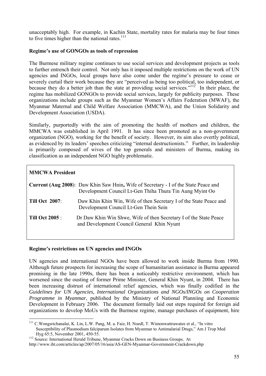unacceptably high. For example, in Kachin State, mortality rates for malaria may be four times to five times higher than the national rates. $111$ 

## **Regime's use of GONGOs as tools of repression**

The Burmese military regime continues to use social services and development projects as tools to further entrench their control. Not only has it imposed multiple restrictions on the work of UN agencies and INGOs, local groups have also come under the regime's pressure to cease or severely curtail their work because they are "perceived as being too political, too independent, or because they do a better job than the state at providing social services." $\frac{112}{10}$  In their place, the regime has mobilized GONGOs to provide social services, largely for publicity purposes. These organizations include groups such as the Myanmar Women's Affairs Federation (MWAF), the Myanmar Maternal and Child Welfare Association (MMCWA), and the Union Solidarity and Development Association (USDA).

Similarly, purportedly with the aim of promoting the health of mothers and children, the MMCWA was established in April 1991. It has since been promoted as a non-government organization (NGO), working for the benefit of society. However, its aim also overtly political, as evidenced by its leaders' speeches criticizing "internal destructionists." Further, its leadership is primarily composed of wives of the top generals and ministers of Burma, making its classification as an independent NGO highly problematic.

| <b>MMCWA President</b> |                                                                                                                                                 |  |  |  |  |  |
|------------------------|-------------------------------------------------------------------------------------------------------------------------------------------------|--|--|--|--|--|
|                        | Current (Aug 2008): Daw Khin Saw Hnin, Wife of Secretary - I of the State Peace and<br>Development Council Lt-Gen Thiha Thura Tin Aung Myint Oo |  |  |  |  |  |
| <b>Till Oct 2007:</b>  | Daw Khin Khin Win, Wife of then Secretary I of the State Peace and<br>Development Council Lt-Gen Thein Sein                                     |  |  |  |  |  |
| <b>Till Oct 2005</b> : | Dr Daw Khin Win Shwe, Wife of then Secretary I of the State Peace<br>and Development Council General Khin Nyunt                                 |  |  |  |  |  |

### **Regime's restrictions on UN agencies and INGOs**

UN agencies and international NGOs have been allowed to work inside Burma from 1990. Although future prospects for increasing the scope of humanitarian assistance in Burma appeared promising in the late 1990s, there has been a noticeably restrictive environment, which has worsened since the ousting of former Prime Minister, General Khin Nyunt, in 2004. There has been increasing distrust of international relief agencies, which was finally codified in the *Guidelines for UN Agencies, International Organizations and NGOs/INGOs on Cooperation Programme in Myanmar*, published by the Ministry of National Planniing and Economic Development in February 2006.The document formally laid out steps required for foreign aid organizations to develop MoUs with the Burmese regime, manage purchases of equipment, hire

<sup>1</sup> <sup>111</sup> C.Wongsrichanalai, K. Lin, L.W. Pang, M. a. Faiz, H. Noedl, T. Wimonwattrawatee et al., "In vitro

Susceptibility of Plasmodium falciparum Isolates from Myanmar to Antimalarial Drugs," Am J Trop Med Hyg 65:5, November 2001, 450-55.

<sup>&</sup>lt;sup>112</sup> Source: International Herald Tribune, Myanmar Cracks Down on Business Groups. At

http://www.iht.com/articles/ap/2007/05/16/asia/AS-GEN-Myanmar-Government-Crackdown.php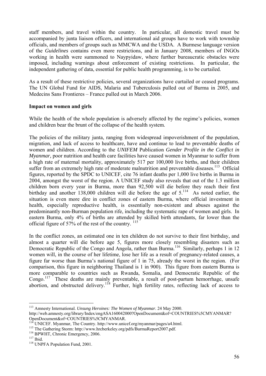staff members, and travel within the country. In particular, all domestic travel must be accompanied by junta liaison officers, and international aid groups have to work with township officials, and members of groups such as MMCWA and the USDA. A Burmese language version of the *Guidelines* contains even more restrictions, and in January 2008, members of INGOs working in health were summoned to Naypyidaw, where further bureaucratic obstacles were imposed, including warnings about enforcement of existing restrictions. In particular, the independent gathering of data, essential for public health programming, is to be curtailed.

As a result of these restrictive policies, several organizations have curtailed or ceased programs. The UN Global Fund for AIDS, Malaria and Tuberculosis pulled out of Burma in 2005, and Medecins Sans Frontieres – France pulled out in March 2006.

## **Impact on women and girls**

While the health of the whole population is adversely affected by the regime's policies, women and children bear the brunt of the collapse of the health system.

The policies of the military junta, ranging from widespread impoverishment of the population, migration, and lack of access to healthcare, have and continue to lead to preventable deaths of women and children. According to the *UNIFEM* Publication *Gender Profile in the Conflict in Myanmar,* poor nutrition and health care facilities have caused women in Myanmar to suffer from a high rate of maternal mortality, approximately 517 per 100,000 live births, and their children suffer from an extremely high rate of moderate malnutrition and preventable diseases.<sup>113</sup> Official figures, reported by the SPDC to UNICEF, cite 76 infant deaths per 1,000 live births in Burma in 2004, amongst the worst of the region. A UNICEF study also reveals that out of the 1.3 million children born every year in Burma, more than 92,500 will die before they reach their first birthday and another 138,000 children will die before the age of  $5^{114}$ . As noted earlier, the situation is even more dire in conflict zones of eastern Burma, where official investment in health, especially reproductive health, is essentially non-existent and abuses against the predominantly non-Burman population rife, including the systematic rape of women and girls. In eastern Burma, only 4% of births are attended by skilled birth attendants, far lower than the official figure of 57% of the rest of the country.  $^{115}$ 

In the conflict zones, an estimated one in ten children do not survive to their first birthday, and almost a quarter will die before age 5, figures more closely resembling disasters such as Democratic Republic of the Congo and Angola, rather than Burma.<sup>116</sup> Similarly, perhaps 1 in 12 women will, in the course of her lifetime, lose her life as a result of pregnancy-related causes, a figure far worse than Burma's national figure of 1 in 75, already the worst in the region. (For comparison, this figure in neighboring Thailand is 1 in 900). This figure from eastern Burma is more comparable to countries such as Rwanda, Somalia, and Democratic Republic of the Congo.<sup>117</sup> These deaths are mainly preventable, a result of post-partum hemorrhage, unsafe abortion, and obstructed delivery.<sup>118</sup> Further, high fertility rates, reflecting lack of access to

<sup>113</sup> Amnesty International. *Unsung Heroines: The Women of Myanmar*. 24 May 2000.

http://web.amnesty.org/library/Index/engASA160042000?OpenDocument&of=COUNTRIES%5CMYANMAR? OpenDocument&of=COUNTRIES%5CMYANMAR.<br><sup>114</sup> UNICEF. Myanmar, The Country. http://www.unicef.org/myanmar/pages/a4.html.

<sup>&</sup>lt;sup>115</sup> The Gathering Storm: http://www.hrcberkeley.org/pdfs/BurmaReport2007.pdf.<br><sup>116</sup> BPWHT, Chronic Emergency, 2006.<br><sup>117</sup> Ibid.<br><sup>118</sup> UNPFA Population Fund, 2001.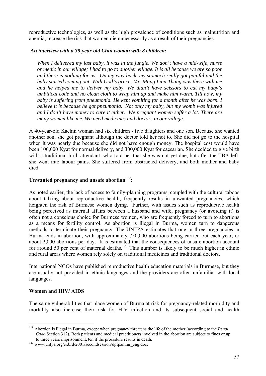reproductive technologies, as well as the high prevalence of conditions such as malnutrition and anemia, increase the risk that women die unnecessarily as a result of their pregnancies.

### *An interview with a 39-year-old Chin woman with 8 children:*

*When I delivered my last baby, it was in the jungle. We don't have a mid-wife, nurse or medic in our village; I had to go to another village. It is all because we are so poor and there is nothing for us. On my way back, my stomach really got painful and the baby started coming out. With God's grace, Mr. Mang Lian Thang was there with me and he helped me to deliver my baby. We didn't have scissors to cut my baby's umbilical code and no clean cloth to wrap him up and make him warm. Till now, my*  baby is suffering from pneumonia. He kept vomiting for a month after he was born. I *believe it is because he got pneumonia. Not only my baby, but my womb was injured and I don't have money to cure it either. We pregnant women suffer a lot. There are many women like me. We need medicines and doctors in our village.* 

A 40-year-old Kachin woman had six children - five daughters and one son. Because she wanted another son, she got pregnant although the doctor told her not to. She did not go to the hospital when it was nearly due because she did not have enough money. The hospital cost would have been 100,000 Kyat for normal delivery, and 300,000 Kyat for caesarian. She decided to give birth with a traditional birth attendant, who told her that she was not yet due, but after the TBA left, she went into labour pains. She suffered from obstructed delivery, and both mother and baby died.

# **Unwanted pregnancy and unsafe abortion**<sup>119</sup>:

As noted earlier, the lack of access to family-planning programs, coupled with the cultural taboos about talking about reproductive health, frequently results in unwanted pregnancies, which heighten the risk of Burmese women dying. Further, with issues such as reproductive health being perceived as internal affairs between a husband and wife, pregnancy (or avoiding it) is often not a conscious choice for Burmese women, who are frequently forced to turn to abortions as a means for fertility control. As abortion is illegal in Burma, women turn to dangerous methods to terminate their pregnancy. The UNFPA estimates that one in three pregnancies in Burma ends in abortion, with approximately 750,000 abortions being carried out each year, or about 2,000 abortions per day. It is estimated that the consequences of unsafe abortion account for around 50 per cent of maternal deaths.<sup>120</sup> This number is likely to be much higher in ethnic and rural areas where women rely solely on traditional medicines and traditional doctors.

International NGOs have published reproductive health education materials in Burmese, but they are usually not provided in ethnic languages and the providers are often unfamiliar with local languages.

# **Women and HIV/ AIDS**

1

The same vulnerabilities that place women of Burma at risk for pregnancy-related morbidity and mortality also increase their risk for HIV infection and its subsequent social and health

<sup>119</sup> Abortion is illegal in Burma, except when pregnancy threatens the life of the mother (according to the *Penal Code* Section 312). Both patients and medical practitioners involved in the abortion are subject to fines or up

to three years imprisonment, ten if the procedure results in death. 120 www.unfpa.org/exbrd/2001/secondsession/dpfpammr\_eng.doc.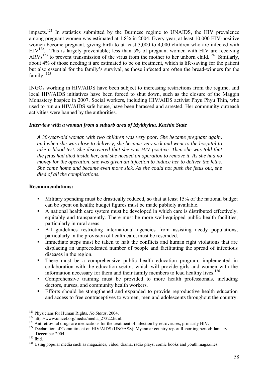impacts.121 In statistics submitted by the Burmese regime to UNAIDS, the HIV prevalence among pregnant women was estimated at 1.8% in 2004. Every year, at least 10,000 HIV-positive women become pregnant, giving birth to at least 3,000 to 4,000 children who are infected with  $HIV<sup>122</sup>$ . This is largely preventable; less than 5% of pregnant women with HIV are receiving  $ARVs^{123}$  to prevent transmission of the virus from the mother to her unborn child.<sup>124</sup> Similarly, about 4% of those needing it are estimated to be on treatment, which is life-saving for the patient but also essential for the family's survival, as those infected are often the bread-winners for the family.<sup>125</sup>

INGOs working in HIV/AIDS have been subject to increasing restrictions from the regime, and local HIV/AIDS initiatives have been forced to shut down, such as the closure of the Maggin Monastery hospice in 2007. Social workers, including HIV/AIDS activist Phyu Phyu Thin, who used to run an HIV/AIDS safe house, have been harassed and arrested. Her community outreach activities were banned by the authorities.

# *Interview with a woman from a suburb area of Myitkyina, Kachin State*

*A 38-year-old woman with two children was very poor. She became pregnant again, and when she was close to delivery, she became very sick and went to the hospital to take a blood test. She discovered that she was HIV positive. Then she was told that the fetus had died inside her, and she needed an operation to remove it. As she had no money for the operation, she was given an injection to induce her to deliver the fetus. She came home and became even more sick. As she could not push the fetus out, she died of all the complications.*

## **Recommendations:**

- Military spending must be drastically reduced, so that at least 15% of the national budget can be spent on health; budget figures must be made publicly available.
- A national health care system must be developed in which care is distributed effectively, equitably and transparently. There must be more well-equipped public health facilities, particularly in rural areas.
- All guidelines restricting international agencies from assisting needy populations, particularly in the provision of health care, must be rescinded.
- Immediate steps must be taken to halt the conflicts and human right violations that are displacing an unprecedented number of people and facilitating the spread of infectious diseases in the region.
- There must be a comprehensive public health education program, implemented in collaboration with the education sector, which will provide girls and women with the information necessary for them and their family members to lead healthy lives.<sup>126</sup>
- Comprehensive training must be provided to more health professionals, including doctors, nurses, and community health workers.
- Efforts should be strengthened and expanded to provide reproductive health education and access to free contraceptives to women, men and adolescents throughout the country.

<sup>&</sup>lt;sup>121</sup> Physicians for Human Rights, No Status, 2004.

<sup>&</sup>lt;sup>122</sup> http://www.unicef.org/media/media\_27322.html.<br><sup>123</sup> Antiretroviral drugs are medications for the treatment of infection by retroviruses, primarily HIV.<br><sup>124</sup> Declaration of Commitment on HIV/AIDS (UNGASS); Myanmar c December 2004.<br><sup>125</sup> Ihid

<sup>&</sup>lt;sup>126</sup> Using popular media such as magazines, video, drama, radio plays, comic books and youth magazines.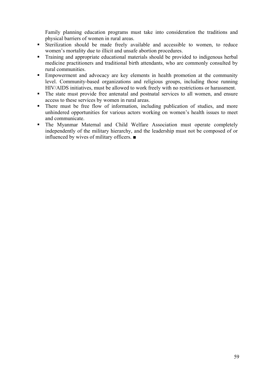Family planning education programs must take into consideration the traditions and physical barriers of women in rural areas.

- Sterilization should be made freely available and accessible to women, to reduce women's mortality due to illicit and unsafe abortion procedures.
- **Training and appropriate educational materials should be provided to indigenous herbal** medicine practitioners and traditional birth attendants, who are commonly consulted by rural communities.
- Empowerment and advocacy are key elements in health promotion at the community level. Community-based organizations and religious groups, including those running HIV/AIDS initiatives, must be allowed to work freely with no restrictions or harassment.
- The state must provide free antenatal and postnatal services to all women, and ensure access to these services by women in rural areas.
- There must be free flow of information, including publication of studies, and more unhindered opportunities for various actors working on women's health issues to meet and communicate.
- The Myanmar Maternal and Child Welfare Association must operate completely independently of the military hierarchy, and the leadership must not be composed of or influenced by wives of military officers. ■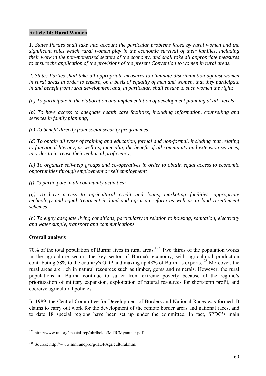# **Article 14: Rural Women**

*1. States Parties shall take into account the particular problems faced by rural women and the significant roles which rural women play in the economic survival of their families, including their work in the non-monetized sectors of the economy, and shall take all appropriate measures to ensure the application of the provisions of the present Convention to women in rural areas.* 

*2. States Parties shall take all appropriate measures to eliminate discrimination against women in rural areas in order to ensure, on a basis of equality of men and women, that they participate in and benefit from rural development and, in particular, shall ensure to such women the right:* 

*(a) To participate in the elaboration and implementation of development planning at all levels;* 

*(b) To have access to adequate health care facilities, including information, counselling and services in family planning;* 

*(c) To benefit directly from social security programmes;* 

*(d) To obtain all types of training and education, formal and non-formal, including that relating to functional literacy, as well as, inter alia, the benefit of all community and extension services, in order to increase their technical proficiency;* 

*(e) To organize self-help groups and co-operatives in order to obtain equal access to economic opportunities through employment or self employment;* 

*(f) To participate in all community activities;* 

*(g) To have access to agricultural credit and loans, marketing facilities, appropriate technology and equal treatment in land and agrarian reform as well as in land resettlement schemes;* 

*(h) To enjoy adequate living conditions, particularly in relation to housing, sanitation, electricity and water supply, transport and communications.* 

# **Overall analysis**

1

70% of the total population of Burma lives in rural areas.<sup>127</sup> Two thirds of the population works in the agriculture sector, the key sector of Burma's economy, with agricultural production contributing 58% to the country's GDP and making up  $48\%$  of Burma's exports.<sup>128</sup> Moreover, the rural areas are rich in natural resources such as timber, gems and minerals. However, the rural populations in Burma continue to suffer from extreme poverty because of the regime's prioritization of military expansion, exploitation of natural resources for short-term profit, and coercive agricultural policies.

In 1989, the Central Committee for Development of Borders and National Races was formed. It claims to carry out work for the development of the remote border areas and national races, and to date 18 special regions have been set up under the committee. In fact, SPDC's main

<sup>127</sup> http://www.un.org/special-rep/ohrlls/ldc/MTR/Myanmar.pdf

<sup>128</sup> Source: http://www.mm.undp.org/HDI/Agricultural.html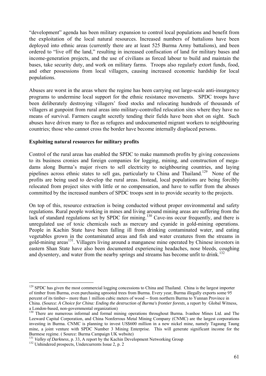"development" agenda has been military expansion to control local populations and benefit from the exploitation of the local natural resources. Increased numbers of battalions have been deployed into ethnic areas (currently there are at least 525 Burma Army battalions), and been ordered to "live off the land," resulting in increased confiscation of land for military bases and income-generation projects, and the use of civilians as forced labour to build and maintain the bases, take security duty, and work on military farms. Troops also regularly extort funds, food, and other possessions from local villagers, causing increased economic hardship for local populations.

Abuses are worst in the areas where the regime has been carrying out large-scale anti-insurgency programs to undermine local support for the ethnic resistance movements. SPDC troops have been deliberately destroying villagers' food stocks and relocating hundreds of thousands of villagers at gunpoint from rural areas into military-controlled relocation sites where they have no means of survival. Farmers caught secretly tending their fields have been shot on sight. Such abuses have driven many to flee as refugees and undocumented migrant workers to neighbouring countries; those who cannot cross the border have become internally displaced persons.

## **Exploiting natural resources for military profits**

Control of the rural areas has enabled the SPDC to make mammoth profits by giving concessions to its business cronies and foreign companies for logging, mining, and construction of megadams along Burma's major rivers to sell electricity to neighbouring countries, and laying pipelines across ethnic states to sell gas, particularly to China and Thailand.<sup>129</sup> None of the profits are being used to develop the rural areas. Instead, local populations are being forcibly relocated from project sites with little or no compensation, and have to suffer from the abuses committed by the increased numbers of SPDC troops sent in to provide security to the projects.

On top of this, resource extraction is being conducted without proper environmental and safety regulations. Rural people working in mines and living around mining areas are suffering from the lack of standard regulations set by SPDC for mining.<sup>130</sup> Cave-ins occur frequently, and there is unregulated use of toxic chemicals such as mercury and cyanide in gold-mining operations. People in Kachin State have been falling ill from drinking contaminated water, and eating vegetables grown in the contaminated areas and fish and water creatures from the streams in gold-mining areas<sup>131</sup>. Villagers living around a manganese mine operated by Chinese investors in eastern Shan State have also been documented experiencing headaches, nose bleeds, coughing and dysentery, and water from the nearby springs and streams has become unfit to drink.<sup>132</sup>

<sup>&</sup>lt;sup>129</sup> SPDC has given the most commercial logging concessions to China and Thailand. China is the largest importer of timber from Burma, even purchasing uprooted trees from Burma. Every year, Burma illegally exports some 95 percent of its timber-- more than 1 million cubic meters of wood -- from northern Burma to Yunnan Province in China. (Source: *A Choice for China: Ending the destruction of Burma's frontier forests*, a report by Global Witness, a London-based, non-governmental organization)

<sup>&</sup>lt;sup>130</sup> There are numerous informal and formal mining operations throughout Burma. Ivanhoe Mines Ltd. and The Leeward Capital Corporation, and China Nonferrous Metal Mining Company (CNMC) are the largest corporations investing in Burma. CNMC is planning to invest US\$600 million in a new nickel mine, namely Tagaung Taung mine, a joint venture with SPDC Number 3 Mining Enterprise. This will generate significant income for the Burmese regime. ( Source: Burma Campaign UK website)

<sup>&</sup>lt;sup>131</sup> *Valley of Darkness*, p. 33, A report by the Kachin Development Networking Group <sup>132</sup> Unhindered prospects, Undercurrents Issue 2, p. 2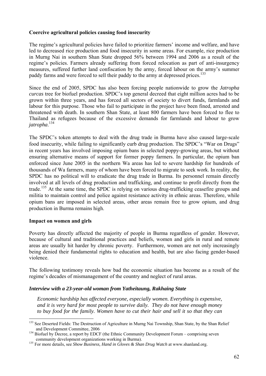# **Coercive agricultural policies causing food insecurity**

The regime's agricultural policies have failed to prioritize farmers' income and welfare, and have led to decreased rice production and food insecurity in some areas. For example, rice production in Murng Nai in southern Shan State dropped 56% between 1994 and 2006 as a result of the regime's policies. Farmers already suffering from forced relocation as part of anti-insurgency measures, suffered further land confiscation by the army, forced labour on the army's summer paddy farms and were forced to sell their paddy to the army at depressed prices.<sup>133</sup>

Since the end of 2005, SPDC has also been forcing people nationwide to grow the *Jatropha curcas* tree for biofuel production. SPDC's top general decreed that eight million acres had to be grown within three years, and has forced all sectors of society to divert funds, farmlands and labour for this purpose. Those who fail to participate in the project have been fined, arrested and threatened with death. In southern Shan State, at least 800 farmers have been forced to flee to Thailand as refugees because of the excessive demands for farmlands and labour to grow *jatropha*. 134

The SPDC's token attempts to deal with the drug trade in Burma have also caused large-scale food insecurity, while failing to significantly curb drug production. The SPDC's "War on Drugs" in recent years has involved imposing opium bans in selected poppy-growing areas, but without ensuring alternative means of support for former poppy farmers. In particular, the opium ban enforced since June 2005 in the northern Wa areas has led to severe hardship for hundreds of thousands of Wa farmers, many of whom have been forced to migrate to seek work. In reality, the SPDC has no political will to eradicate the drug trade in Burma. Its personnel remain directly involved at all levels of drug production and trafficking, and continue to profit directly from the trade.135 At the same time, the SPDC is relying on various drug-trafficking ceasefire groups and militia to maintain control and police against resistance activity in ethnic areas. Therefore, while opium bans are imposed in selected areas, other areas remain free to grow opium, and drug production in Burma remains high.

# **Impact on women and girls**

Poverty has directly affected the majority of people in Burma regardless of gender. However, because of cultural and traditional practices and beliefs, women and girls in rural and remote areas are usually hit harder by chronic poverty. Furthermore, women are not only increasingly being denied their fundamental rights to education and health, but are also facing gender-based violence.

The following testimony reveals how bad the economic situation has become as a result of the regime's decades of mismanagement of the country and neglect of rural areas.

# *Interview with a 23-year-old woman from Yatheitaung, Rakhaing State*

*Economic hardship has affected everyone, especially women. Everything is expensive, and it is very hard for most people to survive daily. They do not have enough money to buy food for the family. Women have to cut their hair and sell it so that they can* 

<sup>1</sup> <sup>133</sup> See Deserted Fields: The Destruction of Agriculture in Murng Nai Township, Shan State, by the Shan Relief and Development Committee, 2006

 $134$  Biofuel by Decree, a report by EDCF (the Ethnic Community Development Forum – comprising seven community development organizations working in Burma).

<sup>&</sup>lt;sup>135</sup> For more details, see *Show Business, Hand in Gloves & Shan Drug Watch* at www.shanland.org.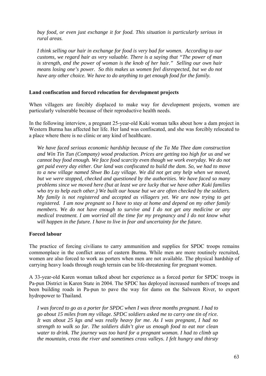*buy food, or even just exchange it for food. This situation is particularly serious in rural areas.* 

*I think selling our hair in exchange for food is very bad for women. According to our customs, we regard hair as very valuable. There is a saying that "The power of man is strength, and the power of woman is the knob of her hair." Selling our own hair means losing one's power. So this makes us women feel disrespected, but we do not have any other choice. We have to do anything to get enough food for the family.*

## **Land confiscation and forced relocation for development projects**

When villagers are forcibly displaced to make way for development projects, women are particularly vulnerable because of their reproductive health needs.

In the following interview, a pregnant 25-year-old Kuki woman talks about how a dam project in Western Burma has affected her life. Her land was confiscated, and she was forcibly relocated to a place where there is no clinic or any kind of healthcare.

*We have faced serious economic hardship because of the Ta Ma Thee dam construction and Win Tin Tun (Company) wood production. Prices are getting too high for us and we cannot buy food enough. We face food scarcity even though we work everyday. We do not get paid every day either. Our land was confiscated to build the dam. So, we had to move to a new village named Shwe Bo Lay village. We did not get any help when we moved, but we were stopped, checked and questioned by the authorities. We have faced so many problems since we moved here (but at least we are lucky that we have other Kuki families who try to help each other.) We built our house but we are often checked by the soldiers. My family is not registered and accepted as villagers yet. We are now trying to get registered. I am now pregnant so I have to stay at home and depend on my other family members. We do not have enough to survive and I do not get any medicine or any medical treatment. I am worried all the time for my pregnancy and I do not know what* will happen in the future. I have to live in fear and uncertainty for the future.

# **Forced labour**

The practice of forcing civilians to carry ammunition and supplies for SPDC troops remains commonplace in the conflict areas of eastern Burma. While men are more routinely recruited, women are also forced to work as porters when men are not available. The physical hardship of carrying heavy loads through rough terrain can be life-threatening for pregnant women.

A 33-year-old Karen woman talked about her experience as a forced porter for SPDC troops in Pa-pun District in Karen State in 2004. The SPDC has deployed increased numbers of troops and been building roads in Pa-pun to pave the way for dams on the Salween River, to export hydropower to Thailand.

*I was forced to go as a porter for SPDC when I was three months pregnant. I had to go about 15 miles from my village. SPDC soldiers asked me to carry one tin of rice. It was about 25 kgs and was really heavy for me. As I was pregnant, I had no strength to walk so far. The soldiers didn't give us enough food to eat nor clean water to drink. The journey was too hard for a pregnant woman. I had to climb up the mountain, cross the river and sometimes cross valleys. I felt hungry and thirsty*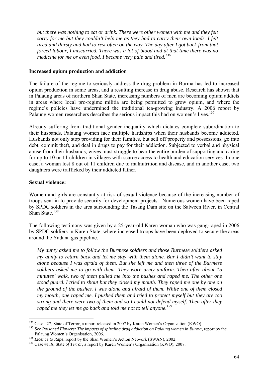*but there was nothing to eat or drink. There were other women with me and they felt sorry for me but they couldn't help me as they had to carry their own loads. I felt tired and thirsty and had to rest often on the way. The day after I got back from that forced labour, I miscarried. There was a lot of blood and at that time there was no medicine for me or even food. I became very pale and tired.136*

### **Increased opium production and addiction**

The failure of the regime to seriously address the drug problem in Burma has led to increased opium production in some areas, and a resulting increase in drug abuse. Research has shown that in Palaung areas of northern Shan State, increasing numbers of men are becoming opium addicts in areas where local pro-regime militia are being permitted to grow opium, and where the regime's policies have undermined the traditional tea-growing industry. A 2006 report by Palaung women researchers describes the serious impact this had on women's lives.<sup>137</sup>

Already suffering from traditional gender inequality which dictates complete subordination to their husbands, Palaung women face multiple hardships when their husbands become addicted. Husbands not only stop providing for their families, but sell off property and possessions, go into debt, commit theft, and deal in drugs to pay for their addiction. Subjected to verbal and physical abuse from their husbands, wives must struggle to bear the entire burden of supporting and caring for up to 10 or 11 children in villages with scarce access to health and education services. In one case, a woman lost 8 out of 11 children due to malnutrition and disease, and in another case, two daughters were trafficked by their addicted father.

### **Sexual violence:**

Women and girls are constantly at risk of sexual violence because of the increasing number of troops sent in to provide security for development projects. Numerous women have been raped by SPDC soldiers in the area surrounding the Tasang Dam site on the Salween River, in Central Shan State<sup>138</sup>

The following testimony was given by a 25-year-old Karen woman who was gang-raped in 2006 by SPDC soldiers in Karen State, where increased troops have been deployed to secure the areas around the Yadana gas pipeline.

*My aunty asked me to follow the Burmese soldiers and those Burmese soldiers asked my aunty to return back and let me stay with them alone. Bur I didn't want to stay alone because I was afraid of them. But she left me and then three of the Burmese soldiers asked me to go with them. They wore army uniform. Then after about 15 minutes' walk, two of them pulled me into the bushes and raped me. The other one stood guard. I tried to shout but they closed my mouth. They raped me one by one on the ground of the bushes. I was alone and afraid of them. While one of them closed my mouth, one raped me. I pushed them and tried to protect myself but they are too strong and there were two of them and so I could not defend myself. Then after they raped me they let me go back and told me not to tell anyone.139*

<sup>&</sup>lt;sup>136</sup> Case #27. State of Terror, a report released in 2007 by Karen Women's Organization (KWO).

<sup>&</sup>lt;sup>137</sup> See Poisoned Flowers: The impacts of spiraling drug addiction on Palaung women in Burma, report by the Palaung Women's Organisation, 2006.<br><sup>138</sup> Licence to Rape, report by the Shan Women's Action Network (SWAN), 2002.

<sup>&</sup>lt;sup>139</sup> Case #118, State of Terror, a report by Karen Women's Organization (KWO), 2007.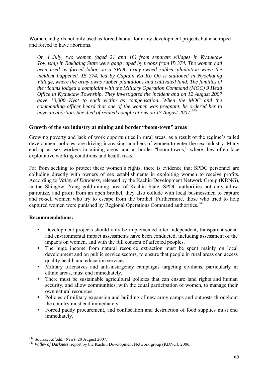Women and girls not only used as forced labour for army development projects but also raped and forced to have abortions.

*On 4 July, two women (aged 21 and 18) from separate villages in Kyauktaw Township in Rakhaing State were gang raped by troops from IB 374. The women had been used as forced labor on a SPDC army-owned rubber plantation when the incident happened. IB 374, led by Captain Ko Ko Oo is stationed in Nyochaung Village, where the army owns rubber plantations and cultivated land. The families of the victims lodged a complaint with the Military Operation Command (MOC) 9 Head Office in Kyauktaw Township. They investigated the incident and on 12 August 2007 gave 10,000 Kyat to each victim as compensation. When the MOC and the commanding officer heard that one of the women was pregnant, he ordered her to*  have an abortion. She died of related complications on 17 August 2007.<sup>140</sup>

### **Growth of the sex industry at mining and border "boom-town" areas**

Growing poverty and lack of work opportunities in rural areas, as a result of the regime's failed development policies, are driving increasing numbers of women to enter the sex industry. Many end up as sex workers in mining areas, and at border "boom-towns," where they often face exploitative working conditions and health risks.

Far from seeking to protect these women's rights, there is evidence that SPDC personnel are colluding directly with owners of sex establishments in exploiting women to receive profits. According to *Valley of Darkness*, released by the Kachin Development Network Group (KDNG), in the Shingbwi Yang gold-mining area of Kachin State, SPDC authorities not only allow, patronize, and profit from an open brothel, they also collude with local businessmen to capture and re-sell women who try to escape from the brothel. Furthermore, those who tried to help captured women were punished by Regional Operations Command authorities.<sup>141</sup>

### **Recommendations:**

- Development projects should only be implemented after independent, transparent social and environmental impact assessments have been conducted, including assessment of the impacts on women, and with the full consent of affected peoples.
- The huge income from natural resource extraction must be spent mainly on local development and on public service sectors, to ensure that people in rural areas can access quality health and education services.
- Military offensives and anti-insurgency campaigns targeting civilians, particularly in ethnic areas, must end immediately.
- There must be sustainable agricultural policies that can ensure land rights and human security, and allow communities, with the equal participation of women, to manage their own natural resources.
- Policies of military expansion and building of new army camps and outposts throughout the country must end immediately.
- Forced paddy procurement, and confiscation and destruction of food supplies must end immediately.

<sup>&</sup>lt;sup>140</sup> Source, Kaladan News, 20 August 2007.

<sup>&</sup>lt;sup>141</sup> Valley of Darkness, report by the Kachin Development Network group (KDNG), 2006.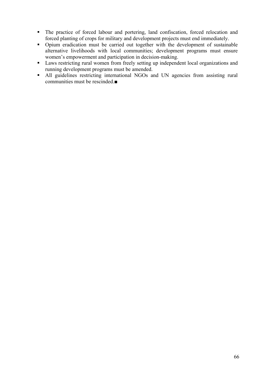- The practice of forced labour and portering, land confiscation, forced relocation and forced planting of crops for military and development projects must end immediately.
- Opium eradication must be carried out together with the development of sustainable alternative livelihoods with local communities; development programs must ensure women's empowerment and participation in decision-making.
- **Laws restricting rural women from freely setting up independent local organizations and** running development programs must be amended.
- All guidelines restricting international NGOs and UN agencies from assisting rural communities must be rescinded.■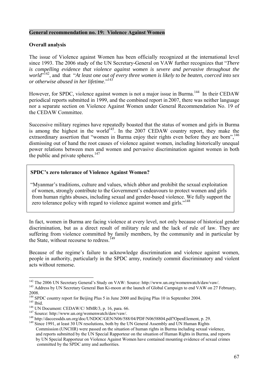## **General recommendation no. 19: Violence Against Women**

## **Overall analysis**

The issue of Violence against Women has been officially recognized at the international level since 1993. The 2006 study of the UN Secretary-General on VAW further recognizes that "*There is compelling evidence that violence against women is severe and pervasive throughout the*  world<sup>",142</sup>, and that "At least one out of every three women is likely to be beaten, coerced into sex *or otherwise abused in her lifetime*."143

However, for SPDC, violence against women is not a major issue in Burma.<sup>144</sup> In their CEDAW periodical reports submitted in 1999, and the combined report in 2007, there was neither language nor a separate section on Violence Against Women under General Recommendation No. 19 of the CEDAW Committee.

Successive military regimes have repeatedly boasted that the status of women and girls in Burma is among the highest in the world<sup>145</sup>. In the 2007 CEDAW country report, they make the extraordinary assertion that "women in Burma enjoy their rights even before they are born",<sup>146</sup> dismissing out of hand the root causes of violence against women, including historically unequal power relations between men and women and pervasive discrimination against women in both the public and private spheres. $147$ 

# **SPDC's zero tolerance of Violence Against Women?**

 "Myanmar's traditions, culture and values, which abhor and prohibit the sexual exploitation of women, strongly contribute to the Government's endeavours to protect women and girls from human rights abuses, including sexual and gender-based violence. We fully support the zero tolerance policy with regard to violence against women and girls."<sup>148</sup>

In fact, women in Burma are facing violence at every level, not only because of historical gender discrimination, but as a direct result of military rule and the lack of rule of law. They are suffering from violence committed by family members, by the community and in particular by the State, without recourse to redress.<sup>149</sup>

Because of the regime's failure to acknowledge discrimination and violence against women, people in authority, particularly in the SPDC army, routinely commit discriminatory and violent acts without remorse.

<sup>&</sup>lt;sup>142</sup> The 2006 UN Secretary General's Study on VAW: Source: http://www.un.org/womenwatch/daw/vaw/.

<sup>&</sup>lt;sup>143</sup> Address by UN Secretary General Ban Ki-moon at the launch of Global Campaign to end VAW on 27 February,

<sup>2008.&</sup>lt;br><sup>144</sup> SPDC country report for Beijing Plus 5 in June 2000 and Beijing Plus 10 in September 2004.

<sup>&</sup>lt;sup>146</sup> UN Document: CEDAW/C/ MMR/3, p. 16, para. 66.<br><sup>146</sup> UN Document: CEDAW/C/ MMR/3, p. 16, para. 66.<br><sup>147</sup> Source: http://www.un.org/womenwatch/daw/vaw/.<br><sup>148</sup> http://daccessdds.un.org/doc/UNDOC/GEN/N06/588/04/PDF/N0658

Commission (UNCHR) were passed on the situation of human rights in Burma including sexual violence, and reports submitted by the UN Special Rapporteur on the situation of Human Rights in Burma, and reports by UN Special Rapporteur on Violence Against Women have contained mounting evidence of sexual crimes committed by the SPDC army and authorities.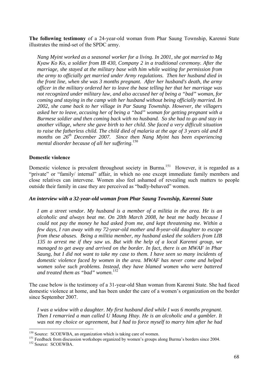**The following testimony** of a 24-year-old woman from Phar Saung Township, Karenni State illustrates the mind-set of the SPDC army.

*Nang Myint worked as a seasonal worker for a living. In 2001, she got married to Mg Kyaw Ko Ko, a soldier from IB 430, Company 2 in a traditional ceremony. After the marriage, she stayed at the military base with him while waiting for permission from the army to officially get married under Army regulations. Then her husband died in the front line, when she was 3 months pregnant. After her husband's death, the army officer in the military ordered her to leave the base telling her that her marriage was not recognized under military law, and also accused her of being a "bad" woman, for coming and staying in the camp with her husband without being officially married. In 2002, she came back to her village in Par Saung Township. However, the villagers asked her to leave, accusing her of being a "bad" woman for getting pregnant with a Burmese soldier and then coming back with no husband. So she had to go and stay in another village, where she gave birth to her child. She faced a very difficult situation to raise the fatherless child. The child died of malaria at the age of 3 years old and 8 months on 26th December 2007. Since then Nang Myint has been experiencing mental disorder because of all her suffering*. 150

### **Domestic violence**

Domestic violence is prevalent throughout society in Burma.<sup>151</sup> However, it is regarded as a "private" or "family/ internal" affair, in which no one except immediate family members and close relatives can intervene. Women also feel ashamed of revealing such matters to people outside their family in case they are perceived as "badly-behaved" women.

### *An interview with a 32-year-old woman from Phar Saung Township, Karenni State*

*I am a street vendor. My husband is a member of a militia in the area. He is an alcoholic and always beat me. On 20th March 2008, he beat me badly because I could not pay the money he had asked from me, and kept threatening me. Within a few days, I ran away with my 72-year-old mother and 8-year-old daughter to escape from these abuses. Being a militia member, my husband asked the soldiers from LIB 135 to arrest me if they saw us. But with the help of a local Karenni group, we managed to get away and arrived on the border. In fact, there is an MWAF in Phar Saung, but I did not want to take my case to them. I have seen so many incidents of domestic violence faced by women in the area. MWAF has never come and helped women solve such problems. Instead, they have blamed women who were battered and treated them as "bad" women*. 152

The case below is the testimony of a 31-year-old Shan woman from Karenni State. She had faced domestic violence at home, and has been under the care of a women's organization on the border since September 2007.

*I was a widow with a daughter. My first husband died while I was 6 months pregnant. Then I remarried a man called U Maung Htay. He is an alcoholic and a gambler. It was not my choice or agreement, but I had to force myself to marry him after he had* 

<sup>&</sup>lt;sup>150</sup> Source: SCOEWBA, an organization which is taking care of women.

<sup>151</sup> Feedback from discussion workshops organized by women's groups along Burma's borders since 2004.<br>
<sup>151</sup> Source: SCOEWBA.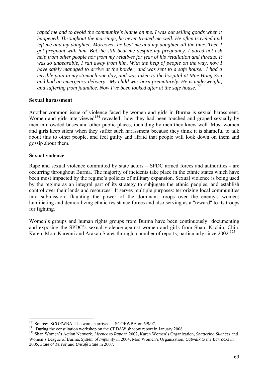*raped me and to avoid the community's blame on me. I was out selling goods when it happened. Throughout the marriage, he never treated me well. He often traveled and*  left me and my daughter. Moreover, he beat me and my daughter all the time. Then I *got pregnant with him. But, he still beat me despite my pregnancy. I dared not ask help from other people nor from my relatives for fear of his retaliation and threats. It was so unbearable, I ran away from him. With the help of people on the way, now I have safely managed to arrive at the border, and was sent to a safe house. I had a terrible pain in my stomach one day, and was taken to the hospital at Mae Hong Son and had an emergency delivery. My child was born prematurely. He is underweight, and suffering from jaundice. Now I've been looked after at the safe house.153*

### **Sexual harassment**

Another common issue of violence faced by women and girls in Burma is sexual harassment. Women and girls interviewed<sup>154</sup> revealed how they had been touched and groped sexually by men in crowded buses and other public places, including by men they knew well. Most women and girls keep silent when they suffer such harassment because they think it is shameful to talk about this to other people, and feel guilty and afraid that people will look down on them and gossip about them.

## **Sexual violence**

Rape and sexual violence committed by state actors – SPDC armed forces and authorities - are occurring throughout Burma. The majority of incidents take place in the ethnic states which have been most impacted by the regime's policies of military expansion. Sexual violence is being used by the regime as an integral part of its strategy to subjugate the ethnic peoples, and establish control over their lands and resources. It serves multiple purposes: terrorizing local communities into submission; flaunting the power of the dominant troops over the enemy's women; humiliating and demoralizing ethnic resistance forces and also serving as a "reward" to its troops for fighting.

Women's groups and human rights groups from Burma have been continuously documenting and exposing the SPDC's sexual violence against women and girls from Shan, Kachin, Chin, Karen, Mon, Karenni and Arakan States through a number of reports, particularly since 2002.<sup>155</sup>

<sup>&</sup>lt;sup>153</sup> Source: SCOEWBA. The woman arrived at SCOEWBA on 6/9/07.

<sup>&</sup>lt;sup>154</sup> During the consultation workshop on the CEDAW shadow report in January 2008.<br><sup>155</sup> Shan Women's Action Network, *Licence to Rape* in 2002, Karen Women's Organization, *Shattering Silences* and Women's League of Burma, *System of Impunity* in 2004, Mon Women's Organization, *Catwalk to the Barracks* in 2005, *State of Terror* and *Unsafe State* in 2007.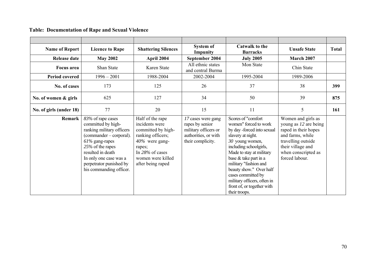# **Table: Documentation of Rape and Sexual Violence**

| <b>Name of Report</b>   | <b>Licence to Rape</b>                                                                                                                                                                                                                        | <b>Shattering Silences</b>                                                                                                                                             | System of<br>Impunity                                                                                      | <b>Catwalk to the</b><br><b>Barracks</b>                                                                                                                                                                                                                                                                                                                 | <b>Unsafe State</b>                                                                                                                                                         | <b>Total</b> |
|-------------------------|-----------------------------------------------------------------------------------------------------------------------------------------------------------------------------------------------------------------------------------------------|------------------------------------------------------------------------------------------------------------------------------------------------------------------------|------------------------------------------------------------------------------------------------------------|----------------------------------------------------------------------------------------------------------------------------------------------------------------------------------------------------------------------------------------------------------------------------------------------------------------------------------------------------------|-----------------------------------------------------------------------------------------------------------------------------------------------------------------------------|--------------|
| <b>Release date</b>     | <b>May 2002</b>                                                                                                                                                                                                                               | April 2004                                                                                                                                                             | September 2004                                                                                             | <b>July 2005</b>                                                                                                                                                                                                                                                                                                                                         | <b>March 2007</b>                                                                                                                                                           |              |
| <b>Focus</b> area       | <b>Shan State</b>                                                                                                                                                                                                                             | Karen State                                                                                                                                                            | All ethnic states<br>and central Burma                                                                     | Mon State                                                                                                                                                                                                                                                                                                                                                | Chin State                                                                                                                                                                  |              |
| <b>Period covered</b>   | $1996 - 2001$                                                                                                                                                                                                                                 | 1988-2004                                                                                                                                                              | 2002-2004                                                                                                  | 1995-2004                                                                                                                                                                                                                                                                                                                                                | 1989-2006                                                                                                                                                                   |              |
| No. of cases            | 173                                                                                                                                                                                                                                           | 125                                                                                                                                                                    | 26                                                                                                         | 37                                                                                                                                                                                                                                                                                                                                                       | 38                                                                                                                                                                          | 399          |
| No. of women & girls    | 625                                                                                                                                                                                                                                           | 127                                                                                                                                                                    | 34                                                                                                         | 50                                                                                                                                                                                                                                                                                                                                                       | 39                                                                                                                                                                          | 875          |
| No. of girls (under 18) | 77                                                                                                                                                                                                                                            | 20                                                                                                                                                                     | 15                                                                                                         | 11                                                                                                                                                                                                                                                                                                                                                       | 5                                                                                                                                                                           | 161          |
| Remark                  | 83% of rape cases<br>committed by high-<br>ranking military officers<br>(commander - corporal).<br>$61\%$ gang-rapes<br>25% of the rapes<br>resulted in death<br>In only one case was a<br>perpetrator punished by<br>his commanding officer. | Half of the rape<br>incidents were<br>committed by high-<br>ranking officers;<br>40% were gang-<br>rapes;<br>In 28% of cases<br>women were killed<br>after being raped | 17 cases were gang<br>rapes by senior<br>military officers or<br>authorities, or with<br>their complicity. | Scores of "comfort<br>women" forced to work<br>by day -forced into sexual<br>slavery at night.<br>30 young women,<br>including schoolgirls,<br>Made to stay at military<br>base & take part in a<br>military "fashion and<br>beauty show." Over half<br>cases committed by<br>military officers, often in<br>front of, or together with<br>their troops. | Women and girls as<br>young as 12 are being<br>raped in their hopes<br>and farms, while<br>travelling outside<br>their village and<br>when conscripted as<br>forced labour. |              |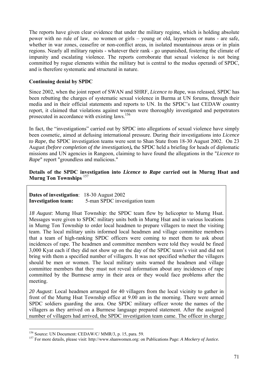The reports have given clear evidence that under the military regime, which is holding absolute power with no rule of law, no women or girls – young or old, laypersons or nuns - are safe, whether in war zones, ceasefire or non-conflict areas, in isolated mountainous areas or in plain regions. Nearly all military rapists - whatever their rank - go unpunished, fostering the climate of impunity and escalating violence. The reports corroborate that sexual violence is not being committed by rogue elements within the military but is central to the modus operandi of SPDC, and is therefore systematic and structural in nature.

## **Continuing denial by SPDC**

Since 2002, when the joint report of SWAN and SHRF, *Licence to Rap*e, was released, SPDC has been rebutting the charges of systematic sexual violence in Burma at UN forums, through their media and in their official statements and reports to UN. In the SPDC's last CEDAW country report, it claimed that violations against women were thoroughly investigated and perpetrators prosecuted in accordance with existing laws.<sup>156</sup>

In fact, the "investigations" carried out by SPDC into allegations of sexual violence have simply been cosmetic, aimed at defusing international pressure. During their investigations into *Licence to Rape*, the SPDC investigation teams were sent to Shan State from 18-30 August 2002. On 23 August *(before completion of the investigation)***,** the SPDC held a briefing for heads of diplomatic missions and UN agencies in Rangoon, claiming to have found the allegations in the "*Licence to Rape*" report "groundless and malicious."

**Details of the SPDC investigation into** *Licence to Rape* **carried out in Murng Hsat and Murng Ton Townships** <sup>157</sup>

**Dates of investigation**: 18-30 August 2002 **Investigation team:** 5-man SPDC investigation team

*18 August*: Murng Hsat Township: the SPDC team flew by helicopter to Murng Hsat. Messages were given to SPDC military units both in Murng Hsat and in various locations in Murng Ton Township to order local headmen to prepare villagers to meet the visiting team. The local military units informed local headmen and village committee members that a team of high-ranking SPDC officers were coming to meet them to ask about incidences of rape. The headmen and committee members were told they would be fined 3,000 Kyat each if they did not show up on the day of the SPDC team's visit and did not bring with them a specified number of villagers. It was not specified whether the villagers should be men or women. The local military units warned the headmen and village committee members that they must not reveal information about any incidences of rape committed by the Burmese army in their area or they would face problems after the meeting.

*20 August*: Local headmen arranged for 40 villagers from the local vicinity to gather in front of the Murng Hsat Township office at 9.00 am in the morning. There were armed SPDC soldiers guarding the area. One SPDC military officer wrote the names of the villagers as they arrived on a Burmese language prepared statement. After the assigned number of villagers had arrived, the SPDC investigation team came. The officer in charge

<sup>&</sup>lt;sup>156</sup> Source: UN Document: CEDAW/C/ MMR/3, p. 15, para. 59.<br><sup>157</sup> For more details, please visit: http://www.shanwomen.org: on Publications Page: *A Mockery of Justice*.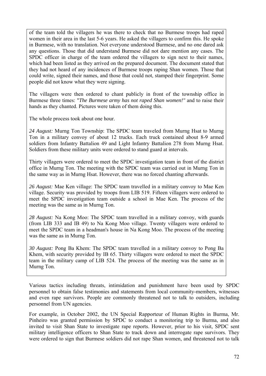of the team told the villagers he was there to check that no Burmese troops had raped women in their area in the last 5-6 years. He asked the villagers to confirm this. He spoke in Burmese, with no translation. Not everyone understood Burmese, and no one dared ask any questions. Those that did understand Burmese did not dare mention any cases. The SPDC officer in charge of the team ordered the villagers to sign next to their names, which had been listed as they arrived on the prepared document. The document stated that they had not heard of any incidences of Burmese troops raping Shan women. Those that could write, signed their names, and those that could not, stamped their fingerprint. Some people did not know what they were signing.

The villagers were then ordered to chant publicly in front of the township office in Burmese three times: "*The Burmese army has not raped Shan women!"* and to raise their hands as they chanted. Pictures were taken of them doing this.

The whole process took about one hour.

*24 August:* Murng Ton Township: The SPDC team traveled from Murng Hsat to Murng Ton in a military convoy of about 12 trucks. Each truck contained about 8-9 armed soldiers from Infantry Battalion 49 and Light Infantry Battalion 278 from Murng Hsat. Soldiers from these military units were ordered to stand guard at intervals.

Thirty villagers were ordered to meet the SPDC investigation team in front of the district office in Murng Ton. The meeting with the SPDC team was carried out in Murng Ton in the same way as in Murng Hsat. However, there was no forced chanting afterwards.

*26 August:* Mae Ken village: The SPDC team travelled in a military convoy to Mae Ken village. Security was provided by troops from LIB 519. Fifteen villagers were ordered to meet the SPDC investigation team outside a school in Mae Ken. The process of the meeting was the same as in Murng Ton.

*28 August:* Na Kong Moo: The SPDC team travelled in a military convoy, with guards (from LIB 333 and IB 49) to Na Kong Moo village. Twenty villagers were ordered to meet the SPDC team in a headman's house in Na Kong Moo. The process of the meeting was the same as in Murng Ton.

*30 August:* Pong Ba Khem: The SPDC team travelled in a military convoy to Pong Ba Khem, with security provided by IB 65. Thirty villagers were ordered to meet the SPDC team in the military camp of LIB 524. The process of the meeting was the same as in Murng Ton.

Various tactics including threats, intimidation and punishment have been used by SPDC personnel to obtain false testimonies and statements from local community-members*,* witnesses and even rape survivors. People are commonly threatened not to talk to outsiders, including personnel from UN agencies.

For example, in October 2002, the UN Special Rapporteur of Human Rights in Burma, Mr. Pinheiro was granted permission by SPDC to conduct a monitoring trip to Burma, and also invited to visit Shan State to investigate rape reports. However, prior to his visit, SPDC sent military intelligence officers to Shan State to track down and interrogate rape survivors. They were ordered to sign that Burmese soldiers did not rape Shan women, and threatened not to talk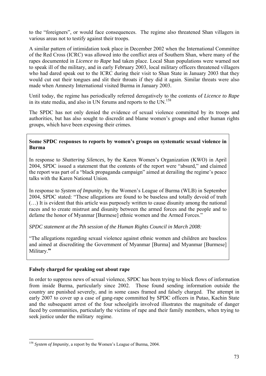to the "foreigners", or would face consequences. The regime also threatened Shan villagers in various areas not to testify against their troops.

A similar pattern of intimidation took place in December 2002 when the International Committee of the Red Cross (ICRC) was allowed into the conflict area of Southern Shan, where many of the rapes documented in *Licence to Rape* had taken place. Local Shan populations were warned not to speak ill of the military, and in early February 2003, local military officers threatened villagers who had dared speak out to the ICRC during their visit to Shan State in January 2003 that they would cut out their tongues and slit their throats if they did it again. Similar threats were also made when Amnesty International visited Burma in January 2003.

Until today, the regime has periodically referred derogatively to the contents of *Licence to Rape*  in its state media, and also in UN forums and reports to the UN.158

The SPDC has not only denied the evidence of sexual violence committed by its troops and authorities, but has also sought to discredit and blame women's groups and other human rights groups, which have been exposing their crimes.

#### **Some SPDC responses to reports by women's groups on systematic sexual violence in Burma**

In response to *Shattering Silences,* by the Karen Women's Organization (KWO) in April 2004, SPDC issued a statement that the contents of the report were "absurd," and claimed the report was part of a "black propaganda campaign" aimed at derailing the regime's peace talks with the Karen National Union.

In response to *System of Impunity,* by the Women's League of Burma (WLB) in September 2004, SPDC stated: "These allegations are found to be baseless and totally devoid of truth (…) It is evident that this article was purposely written to cause disunity among the national races and to create mistrust and disunity between the armed forces and the people and to defame the honor of Myanmar [Burmese] ethnic women and the Armed Forces."

## *SPDC statement at the 7th session of the Human Rights Council in March 2008:*

"The allegations regarding sexual violence against ethnic women and children are baseless and aimed at discrediting the Government of Myanmar [Burma] and Myanmar [Burmese] Military.**"** 

#### **Falsely charged for speaking out about rape**

1

In order to suppress news of sexual violence, SPDC has been trying to block flows of information from inside Burma, particularly since 2002. Those found sending information outside the country are punished severely, and in some cases framed and falsely charged. The attempt in early 2007 to cover up a case of gang-rape committed by SPDC officers in Putao, Kachin State and the subsequent arrest of the four schoolgirls involved illustrates the magnitude of danger faced by communities, particularly the victims of rape and their family members, when trying to seek justice under the military regime.

<sup>158</sup> *System of Impunity*, a report by the Women's League of Burma, 2004.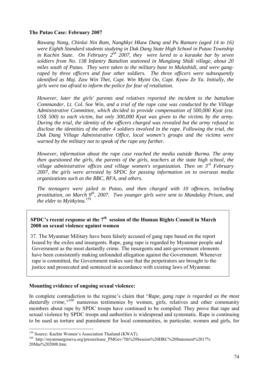### **The Putao Case: February 2007**

*Rawang Nang, Chinlai Nin Ram, Nanghkyi Hkaw Dang and Pu Ramare (aged 14 to 16) were Eighth Standard students studying in Duk Dang State High School in Putao Township*  in Kachin State. On February 2<sup>nd</sup> 2007, they were lured to a karaoke bar by seven *soldiers from No. 138 Infantry Battalion stationed in Munglang Shidi village, about 20 miles south of Putao. They were taken to the military base in Mulashidi, and were gangraped by three officers and four other soldiers. The three officers were subsequently identified as Maj. Zaw Win Thet, Capt. Win Myint Oo, Capt. Kyaw Ze Ya. Initially, the girls were too afraid to inform the police for fear of retaliation.* 

*However, later the girls' parents and relatives reported the incident to the battalion Commander, Lt. Col. Soe Win, and a trial of the rape case was conducted by the Village Administrative Committee, which decided to provide compensation of 500,000 Kyat (est. US\$ 500) to each victim, but only 300,000 Kyat was given to the victims by the army. During the trial, the identity of the officers charged was revealed but the army refused to disclose the identities of the other 4 soldiers involved in the rape. Following the trial, the Duk Dang Village Administrative Office, local women's groups and the victims were warned by the military not to speak of the rape any further.* 

*However, information about the rape case reached the media outside Burma. The army then questioned the girls, the parents of the girls, teachers at the state high school, the village administrative offices and village women's organization. Then on 3rd February 2007, the girls were arrested by SPDC for passing information on to overseas media organizations such as the BBC, RFA, and others.* 

*The teenagers were jailed in Putao, and then charged with 10 offences, including*  prostitution, on March 9<sup>th</sup>, 2007. Two younger girls were sent to Mandalay Prison, and *the elder to Myitkyina.*159

 **SPDC's recent response at the 7<sup>th</sup> session of the Human Rights Council in March 2008 on sexual violence against women** 

 37. The Myanmar Military have been falsely accused of gang rape based on the report Issued by the exiles and insurgents. Rape, gang rape is regarded by Myanmar people and Government as the most dastardly crime. The insurgents and anti-government elements have been consistently making unfounded allegation against the Government. Whenever rape is committed, the Government makes sure that the perpetrators are brought to the justice and prosecuted and sentenced in accordance with existing laws of Myanmar.

#### **Mounting evidence of ongoing sexual violence:**

In complete contradiction to the regime's claim that "*Rape, gang rape is regarded as the most*  dastardly crime,<sup>"160</sup> numerous testimonies by women, girls, relatives and other community members about rape by SPDC troops have continued to be compiled. They prove that rape and sexual violence by SPDC troops and authorities is widespread and systematic. Rape is continuing to be used as torture and punishment for local communities, in particular, women and girls, for

<sup>&</sup>lt;sup>159</sup> Source: Kachin Women's Association Thailand (KWAT).

 $^{160}$ http://myanmargeneva.org/pressrelease\_PMGev/7th%20Session%20HRC%20Statement%2017% 20Mar%202008.htm.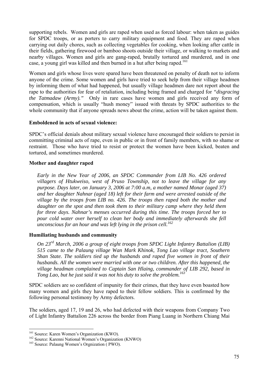supporting rebels. Women and girls are raped when used as forced labour: when taken as guides for SPDC troops, or as porters to carry military equipment and food. They are raped when carrying out daily chores, such as collecting vegetables for cooking, when looking after cattle in their fields, gathering firewood or bamboo shoots outside their village, or walking to markets and nearby villages. Women and girls are gang-raped, brutally tortured and murdered, and in one case, a young girl was killed and then burned in a hut after being raped.<sup>161</sup>

Women and girls whose lives were spared have been threatened on penalty of death not to inform anyone of the crime. Some women and girls have tried to seek help from their village headmen by informing them of what had happened, but usually village headmen dare not report about the rape to the authorities for fear of retaliation, including being framed and charged for *"disgracing the Tatmadaw (Army)."* Only in rare cases have women and girls received any form of compensation, which is usually "hush money" issued with threats by SPDC authorities to the whole community that if anyone spreads news about the crime, action will be taken against them.

#### **Emboldened in acts of sexual violence:**

SPDC's official denials about military sexual violence have encouraged their soldiers to persist in committing criminal acts of rape, even in public or in front of family members, with no shame or restraint. Those who have tried to resist or protect the women have been kicked, beaten and tortured, and sometimes murdered.

#### **Mother and daughter raped**

*Early in the New Year of 2006, an SPDC Commander from LIB No. 426 ordered villagers of Htukweiso, west of Pruso Township, not to leave the village for any purpose. Days later, on January 3, 2006 at 7:00 a.m, a mother named Monar (aged 37) and her daughter Nahnar (aged 18) left for their farm and were arrested outside of the village by the troops from LIB no. 426. The troops then raped both the mother and daughter on the spot and then took them to their military camp where they held them for three days. Nahnar's menses occurred during this time. The troops forced her to pour cold water over herself to clean her body and immediately afterwards she fell unconscious for an hour and was left lying in the prison cell.162*

#### **Humiliating husbands and community**

*On 23rd March, 2006 a group of eight troops from SPDC Light Infantry Battalion (LIB) 515 came to the Palaung village Wan Mark Khinok, Tong Lao village tract, Southern Shan State. The soldiers tied up the husbands and raped five women in front of their husbands. All the women were married with one or two children. After this happened, the village headman complained to Captain San Hlaing, commander of LIB 292, based in Tong Lao, but he just said it was not his duty to solve the problem.<sup>163</sup>*

SPDC soldiers are so confident of impunity for their crimes, that they have even boasted how many women and girls they have raped to their fellow soldiers. This is confirmed by the following personal testimony by Army defectors.

The soldiers, aged 17, 19 and 26, who had defected with their weapons from Company Two of Light Infantry Battalion 226 across the border from Piang Luang in Northern Chiang Mai

<sup>&</sup>lt;sup>161</sup> Source: Karen Women's Organization (KWO).

<sup>162</sup> Source: Karenni National Women's Organization (KNWO).<br>
<sup>162</sup> Source: Karenni National Women's Organization ( RWO).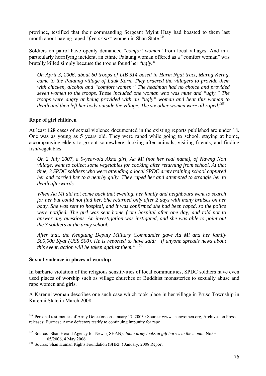province, testified that their commanding Sergeant Myint Htay had boasted to them last month about having raped "*five or six*" women in Shan State.<sup>164</sup>

Soldiers on patrol have openly demanded "*comfort women*" from local villages. And in a particularly horrifying incident, an ethnic Palaung woman offered as a "comfort woman" was brutally killed simply because the troops found her "*ugly."*

*On April 3, 2006, about 60 troops of LIB 514 based in Harm Ngai tract, Murng Kerng, came to the Palaung village of Luuk Karn. They ordered the villagers to provide them with chicken, alcohol and "comfort women." The headman had no choice and provided seven women to the troops. These included one woman who was mute and "ugly." The troops were angry at being provided with an "ugly" woman and beat this woman to*  death and then left her body outside the village. The six other women were all raped.<sup>165</sup>

#### **Rape of girl children**

At least **128** cases of sexual violence documented in the existing reports published are under 18. One was as young as **5** years old. They were raped while going to school, staying at home, accompanying elders to go out somewhere, looking after animals, visiting friends, and finding fish/vegetables.

*On 2 July 2007, a 9-year-old Akha girl, Aa Mi (not her real name), of Nawng Non village, went to collect some vegetables for cooking after returning from school. At that time, 3 SPDC soldiers who were attending a local SPDC army training school captured her and carried her to a nearby gully. They raped her and attempted to strangle her to death afterwards.* 

*When Aa Mi did not come back that evening, her family and neighbours went to search for her but could not find her. She returned only after 2 days with many bruises on her body. She was sent to hospital, and it was confirmed she had been raped, so the police were notified. The girl was sent home from hospital after one day, and told not to answer any questions. An investigation was instigated, and she was able to point out the 3 soldiers at the army school.* 

*After that, the Kengtung Deputy Military Commander gave Aa Mi and her family 500,000 Kyat (US\$ 500). He is reported to have said: "If anyone spreads news about this event, action will be taken against them."* <sup>166</sup>

#### **Sexual violence in places of worship**

1

In barbaric violation of the religious sensitivities of local communities, SPDC soldiers have even used places of worship such as village churches or Buddhist monasteries to sexually abuse and rape women and girls.

A Karenni woman describes one such case which took place in her village in Pruso Township in Karenni State in March 2008.

<sup>&</sup>lt;sup>164</sup> Personal testimonies of Army Defectors on January 17, 2003 : Source: www.shanwomen.org, Archives on Press releases: Burmese Army defectors testify to continuing impunity for rape

<sup>165</sup> Source: Shan Herald Agency for News ( SHAN), *Junta army looks at gift horses in the mouth*, No.03 – 05/2006, 4 May 2006

<sup>&</sup>lt;sup>166</sup> Source: Shan Human Rights Foundation (SHRF ) January, 2008 Report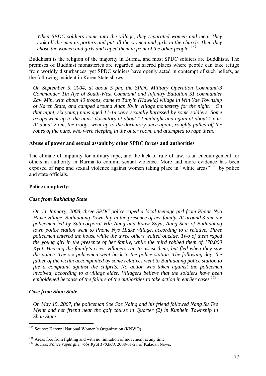*When SPDC soldiers came into the village, they separated women and men. They took all the men as porters and put all the women and girls in the church. Then they chose the women and girls and raped them in front of the other people.* <sup>167</sup>

Buddhism is the religion of the majority in Burma, and most SPDC soldiers are Buddhists. The premises of Buddhist monasteries are regarded as sacred places where people can take refuge from worldly disturbances, yet SPDC soldiers have openly acted in contempt of such beliefs, as the following incident in Karen State shows.

*On September 5, 2004, at about 5 pm, the SPDC Military Operation Command-3 Commander Tin Aye of South-West Command and Infantry Battalion 51 commander Zaw Min, with about 40 troops, came to Tanyin (Hawkla) village in Win Yae Township of Karen State, and camped around Anan Kwin village monastery for the night. On that night, six young nuns aged 11-14 were sexually harassed by some soldiers. Some troops went up to the nuns' dormitory at about 12 midnight and again at about 1 a.m. At about 2 am, the troops went up to the dormitory once again, roughly pulled off the robes of the nuns, who were sleeping in the outer room, and attempted to rape them.* 

#### **Abuse of power and sexual assault by other SPDC forces and authorities**

The climate of impunity for military rape, and the lack of rule of law, is an encouragement for others in authority in Burma to commit sexual violence. More and more evidence has been exposed of rape and sexual violence against women taking place in "white areas"<sup>168</sup> by police and state officials.

#### **Police complicity:**

#### *Case from Rakhaing State*

*On 11 January, 2008, three SPDC police raped a local teenage girl from Phone Nyo Hlake village, Buthidaung Township in the presence of her family. At around 3 am, six policemen led by Sub-corporal Hla Aung and Kyaw Zaya, Aung Sein of Buthidaung town police station went to Phone Nyo Hlake village, according to a relative. Three policemen entered the house while the three others waited outside. Two of them raped the young girl in the presence of her family, while the third robbed them of 170,000 Kyat. Hearing the family's cries, villagers ran to assist them, but fled when they saw the police. The six policemen went back to the police station. The following day, the father of the victim accompanied by some relatives went to Buthidaung police station to file a complaint against the culprits. No action was taken against the policemen involved, according to a village elder. Villagers believe that the soldiers have been emboldened because of the failure of the authorities to take action in earlier cases.169*

#### *Case from Shan State*

1

*On May 15, 2007, the policeman Soe Soe Naing and his friend followed Nang Su Tee Myint and her friend near the golf course in Quarter (2) in Kunhein Township in Shan State* 

<sup>167</sup> Source: Karenni National Women's Organization (KNWO)

<sup>&</sup>lt;sup>168</sup> Areas free from fighting and with no limitation of movement at any time.<br><sup>169</sup> Source: *Police rapes girl, robs Kyat 170,000,* 2008-01-28 of Kaladan News.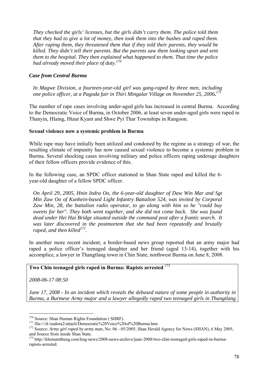*They checked the girls' licenses, but the girls didn't carry them. The police told them that they had to give a lot of money, then took them into the bushes and raped them. After raping them, they threatened them that if they told their parents, they would be killed. They didn't tell their parents. But the parents saw them looking upset and sent them to the hospital. They then explained what happened to them. That time the police had already moved their place of duty.<sup>170</sup>*

## *Case from Central Burma*

*In Magwe Division, a fourteen-year-old girl was gang-raped by three men, including one police officer, at a Pagoda fair in Thiri Mingalar Village on November 25, 2006. 171*

The number of rape cases involving under-aged girls has increased in central Burma. According to the Democratic Voice of Burma, in October 2006, at least seven under-aged girls were raped in Thanyin, Hlaing, Htaut Kyant and Shwe Pyi Thar Townships in Rangoon.

#### **Sexual violence now a systemic problem in Burma**

While rape may have initially been utilized and condoned by the regime as a strategy of war, the resulting climate of impunity has now caused sexual violence to become a systemic problem in Burma. Several shocking cases involving military and police officers raping underage daughters of their fellow officers provide evidence of this.

In the following case, an SPDC officer stationed in Shan State raped and killed the 6 year-old daughter of a fellow SPDC officer.

*On April 29, 2005, Hnin Indra Oo, the 6-year-old daughter of Daw Win Mar and Sgt Min Zaw Oo of Kunhein-based Light Infantry Battalion 524, was invited by Corporal Zaw Min, 28, the battalion radio operator, to go along with him so he "could buy sweets for her". They both went together, and she did not come back. She was found dead under Hei Hai Bridge situated outside the command post after a frantic search. It was later discovered in the postmortem that she had been repeatedly and brutally raped, and then killed*<sup>172</sup>.

In another more recent incident, a border-based news group reported that an army major had raped a police officer's teenaged daughter and her friend (aged 13-14), together with his accomplice, a lawyer in Thangtlang town in Chin State, northwest Burma on June 8, 2008.

## **Two Chin teenaged girls raped in Burma: Rapists arrested** <sup>173</sup>

*2008-06-17 08:50* 

*June 17, 2008 - In an incident which reveals the debased nature of some people in authority in Burma, a Burmese Army major and a lawyer allegedly raped two teenaged girls in Thangtlang* 

<sup>&</sup>lt;sup>170</sup> Source: Shan Human Rights Foundation (SHRF).

<sup>&</sup>lt;sup>171</sup> file:///d:/eudora2/attach/Democratic%20 $\overline{V}$ oice%20of%20Burma.htm<br><sup>172</sup> Source: Army girl raped by army man, No: 06 - 05/2005, Shan Herald Agency for News (SHAN), 6 May 2005, and Source from inside Shan State.

<sup>173</sup> http://khonumthung.com/kng-news/2008-news-archive/june-2008/two-chin-teenaged-girls-raped-in-burmarapists-arrested.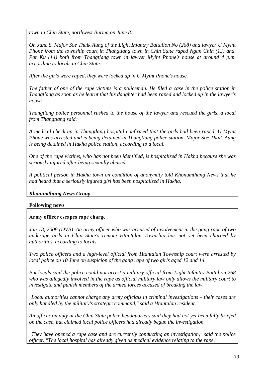*town in Chin State, northwest Burma on June 8.* 

*On June 8, Major Soe Thaik Aung of the Light Infantry Battalion No (268) and lawyer U Myint Phone from the township court in Thangtlang town in Chin State raped Ngun Chin (13) and. Par Ku (14) both from Thangtlang town in lawyer Myint Phone's house at around 4 p.m. according to locals in Chin State.* 

*After the girls were raped, they were locked up in U Myint Phone's house.* 

*The father of one of the rape victims is a policeman. He filed a case in the police station in Thangtlang as soon as he learnt that his daughter had been raped and locked up in the lawyer's house.* 

*Thangtlang police personnel rushed to the house of the lawyer and rescued the girls, a local from Thangtlang said.* 

*A medical check up in Thangtlang hospital confirmed that the girls had been raped. U Myint Phone was arrested and is being detained in Thangtlang police station. Major Soe Thaik Aung is being detained in Hakha police station, according to a local.* 

*One of the rape victims, who has not been identified, is hospitalized in Hakha because she was seriously injured after being sexually abused.* 

*A political person in Hakha town on condition of anonymity told Khonumthung News that he had heard that a seriously injured girl has been hospitalized in Hakha.* 

## *Khonumthung News Group*

## **Following news**

## **Army officer escapes rape charge**

*Jun 18, 2008 (DVB)–An army officer who was accused of involvement in the gang rape of two underage girls in Chin State's remote Htantalan Township has not yet been charged by authorities, according to locals.* 

*Two police officers and a high-level official from Htantalan Township court were arrested by local police on 10 June on suspicion of the gang rape of two girls aged 12 and 14.* 

*But locals said the police could not arrest a military official from Light Infantry Battalion 268 who was allegedly involved in the rape as official military law only allows the military court to investigate and punish members of the armed forces accused of breaking the law.* 

*"Local authorities cannot charge any army officials in criminal investigations – their cases are only handled by the military's strategic command," said a Htantalan resident.* 

*An officer on duty at the Chin State police headquarters said they had not yet been fully briefed on the case, but claimed local police officers had already begun the investigation.* 

*"They have opened a rape case and are currently conducting an investigation," said the police officer. "The local hospital has already given us medical evidence relating to the rape."*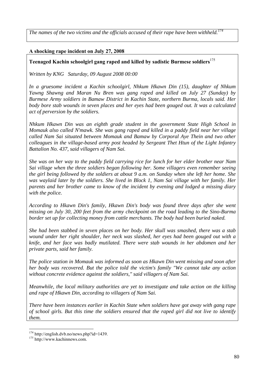*The names of the two victims and the officials accused of their rape have been withheld.174*

# **A shocking rape incident on July 27, 2008**

# **Teenaged Kachin schoolgirl gang raped and killed by sadistic Burmese soldiers**175

*Written by KNG Saturday, 09 August 2008 00:00*

*In a gruesome incident a Kachin schoolgirl, Nhkum Hkawn Din (15), daughter of Nhkum Yawng Shawng and Maran Nu Bren was gang raped and killed on July 27 (Sunday) by Burmese Army soldiers in Bamaw District in Kachin State, northern Burma, locals said. Her body bore stab wounds in seven places and her eyes had been gouged out. It was a calculated act of perversion by the soldiers.* 

*Nhkum Hkawn Din was an eighth grade student in the government State High School in Momauk also called N'mawk. She was gang raped and killed in a paddy field near her village called Nam Sai situated between Momauk and Bamaw by Corporal Aye Thein and two other colleagues in the village-based army post headed by Sergeant Thet Htun of the Light Infantry Battalion No. 437, said villagers of Nam Sai.* 

*She was on her way to the paddy field carrying rice for lunch for her elder brother near Nam Sai village when the three soldiers began following her. Some villagers even remember seeing the girl being followed by the soldiers at about 9 a.m. on Sunday when she left her home. She was waylaid later by the soldiers. She lived in Block 1, Nam Sai village with her family. Her parents and her brother came to know of the incident by evening and lodged a missing diary with the police.*

*According to Hkawn Din's family, Hkawn Din's body was found three days after she went missing on July 30, 200 feet from the army checkpoint on the road leading to the Sino-Burma border set up for collecting money from cattle merchants. The body had been buried naked.* 

*She had been stabbed in seven places on her body. Her skull was smashed, there was a stab wound under her right shoulder, her neck was slashed, her eyes had been gouged out with a knife, and her face was badly mutilated. There were stab wounds in her abdomen and her private parts, said her family.* 

*The police station in Momauk was informed as soon as Hkawn Din went missing and soon after her body was recovered. But the police told the victim's family "We cannot take any action without concrete evidence against the soldiers," said villagers of Nam Sai.* 

*Meanwhile, the local military authorities are yet to investigate and take action on the killing and rape of Hkawn Din, according to villagers of Nam Sai.* 

*There have been instances earlier in Kachin State when soldiers have got away with gang rape of school girls. But this time the soldiers ensured that the raped girl did not live to identify them.*

1

<sup>&</sup>lt;sup>174</sup> http://english.dvb.no/news.php?id=1439.<br><sup>175</sup> http://www.kachinnews.com.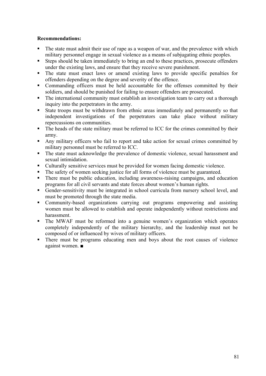## **Recommendations:**

- The state must admit their use of rape as a weapon of war, and the prevalence with which military personnel engage in sexual violence as a means of subjugating ethnic peoples.
- Steps should be taken immediately to bring an end to these practices, prosecute offenders under the existing laws, and ensure that they receive severe punishment.
- The state must enact laws or amend existing laws to provide specific penalties for offenders depending on the degree and severity of the offence.
- Commanding officers must be held accountable for the offenses committed by their soldiers, and should be punished for failing to ensure offenders are prosecuted.
- The international community must establish an investigation team to carry out a thorough inquiry into the perpetrators in the army.
- State troops must be withdrawn from ethnic areas immediately and permanently so that independent investigations of the perpetrators can take place without military repercussions on communities.
- The heads of the state military must be referred to ICC for the crimes committed by their army.
- Any military officers who fail to report and take action for sexual crimes committed by military personnel must be referred to ICC.
- The state must acknowledge the prevalence of domestic violence, sexual harassment and sexual intimidation.
- Culturally sensitive services must be provided for women facing domestic violence.
- The safety of women seeking justice for all forms of violence must be guaranteed.
- There must be public education, including awareness-raising campaigns, and education programs for all civil servants and state forces about women's human rights.
- Gender-sensitivity must be integrated in school curricula from nursery school level, and must be promoted through the state media.
- Community-based organizations carrying out programs empowering and assisting women must be allowed to establish and operate independently without restrictions and harassment.
- The MWAF must be reformed into a genuine women's organization which operates completely independently of the military hierarchy, and the leadership must not be composed of or influenced by wives of military officers.
- There must be programs educating men and boys about the root causes of violence against women. ■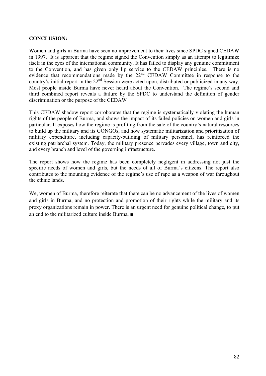## **CONCLUSION:**

Women and girls in Burma have seen no improvement to their lives since SPDC signed CEDAW in 1997. It is apparent that the regime signed the Convention simply as an attempt to legitimize itself in the eyes of the international community. It has failed to display any genuine commitment to the Convention, and has given only lip service to the CEDAW principles. There is no evidence that recommendations made by the 22<sup>nd</sup> CEDAW Committee in response to the country's initial report in the 22<sup>nd</sup> Session were acted upon, distributed or publicized in any way. Most people inside Burma have never heard about the Convention. The regime's second and third combined report reveals a failure by the SPDC to understand the definition of gender discrimination or the purpose of the CEDAW

This CEDAW shadow report corroborates that the regime is systematically violating the human rights of the people of Burma, and shows the impact of its failed policies on women and girls in particular. It exposes how the regime is profiting from the sale of the country's natural resources to build up the military and its GONGOs, and how systematic militarization and prioritization of military expenditure, including capacity-building of military personnel, has reinforced the existing patriarchal system. Today, the military presence pervades every village, town and city, and every branch and level of the governing infrastructure.

The report shows how the regime has been completely negligent in addressing not just the specific needs of women and girls, but the needs of all of Burma's citizens. The report also contributes to the mounting evidence of the regime's use of rape as a weapon of war throughout the ethnic lands.

We, women of Burma, therefore reiterate that there can be no advancement of the lives of women and girls in Burma, and no protection and promotion of their rights while the military and its proxy organizations remain in power. There is an urgent need for genuine political change, to put an end to the militarized culture inside Burma. ■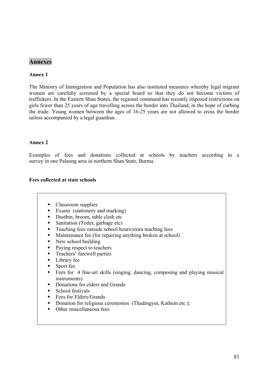### **Annexes**

#### **Annex 1**

The Ministry of Immigration and Population has also instituted measures whereby legal migrant women are carefully screened by a special board so that they do not become victims of traffickers. In the Eastern Shan States, the regional command has recently imposed restrictions on girls fewer than 25 years of age travelling across the border into Thailand, in the hope of curbing the trade. Young women between the ages of 16-25 years are not allowed to cross the border unless accompanied by a legal guardian.

#### **Annex 2**

Examples of fees and donations collected at schools by teachers according to a survey in one Palaung area in northern Shan State, Burma.

#### **Fees collected at state schools**

- Classroom supplies
- Exams (stationery and marking)
- Dustbin, broom, table cloth etc
- Sanitation (Toilet, garbage etc)
- Teaching fees outside school hours/extra teaching fees
- Maintenance fee (for repairing anything broken at school)
- New school building
- Paying respect to teachers
- **Teachers' farewell parties**
- **Library fee**
- **Sport fee**
- Fees for 4 fine-art skills (singing, dancing, composing and playing musical instruments)
- Donations for elders and Grands
- School festivals
- Fees for Elders/Grands
- Donation for religious ceremonies (Thadingyut, Kathein etc );
- Other miscellaneous fees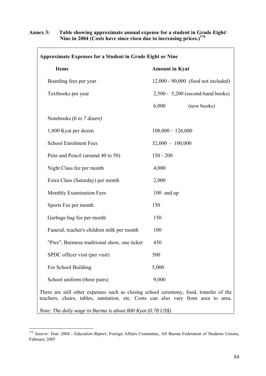| <b>Approximate Expenses for a Student in Grade Eight or Nine</b>                                                                                                           |                                     |  |  |  |  |
|----------------------------------------------------------------------------------------------------------------------------------------------------------------------------|-------------------------------------|--|--|--|--|
| <b>Items</b>                                                                                                                                                               | <b>Amount in Kyat</b>               |  |  |  |  |
| Boarding fees per year                                                                                                                                                     | 12,000 - 90,000 (food not included) |  |  |  |  |
| Textbooks per year                                                                                                                                                         | $2,500 - 5,200$ (second-hand books) |  |  |  |  |
|                                                                                                                                                                            | 6,000<br>(new books)                |  |  |  |  |
| Notebooks (6 to 7 dozen)                                                                                                                                                   |                                     |  |  |  |  |
| 1,800 Kyat per dozen                                                                                                                                                       | $108,000 - 126,000$                 |  |  |  |  |
| <b>School Enrolment Fees</b>                                                                                                                                               | 32,000 - 100,000                    |  |  |  |  |
| Pens and Pencil (around 40 to 50)                                                                                                                                          | $150 - 200$                         |  |  |  |  |
| Night Class fee per month                                                                                                                                                  | 4,000                               |  |  |  |  |
| Extra Class (Saturday) per month                                                                                                                                           | 2,000                               |  |  |  |  |
| <b>Monthly Examination Fees</b>                                                                                                                                            | $100$ and up                        |  |  |  |  |
| Sports Fee per month                                                                                                                                                       | 150                                 |  |  |  |  |
| Garbage bag fee per month                                                                                                                                                  | 150                                 |  |  |  |  |
| Funeral, teacher's children milk per month                                                                                                                                 | 100                                 |  |  |  |  |
| "Pwe", Burmese traditional show, one ticket                                                                                                                                | 450                                 |  |  |  |  |
| SPDC officer visit (per visit)                                                                                                                                             | 500                                 |  |  |  |  |
| For School Building                                                                                                                                                        | 5,000                               |  |  |  |  |
| School uniform (three pairs)                                                                                                                                               | 9,000                               |  |  |  |  |
| There are still other expenses such as closing school ceremony, food, transfer of the<br>teachers, chairs, tables, sanitation, etc. Costs can also vary from area to area. |                                     |  |  |  |  |

## **Annex 3: Table showing approximate annual expense for a student in Grade Eight/ Nine in 2004 (Costs have since risen due to increasing prices.)176**

*Note: The daily wage in Burma is about 800 Kyat (0.78 US\$)* 

1

 $\Gamma$ 

٦

<sup>176</sup> *Source: Year 2004 - Education Report*, Foreign Affairs Committee, All Burma Federation of Students Unions, February 2005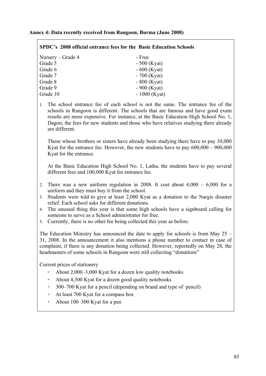#### **Annex 4: Data recently received from Rangoon, Burma (June 2008)**

|  |  |  |  |  |  |  |  |  |  | SPDC's 2008 official entrance fees for the Basic Education Schools |
|--|--|--|--|--|--|--|--|--|--|--------------------------------------------------------------------|
|--|--|--|--|--|--|--|--|--|--|--------------------------------------------------------------------|

| Nursery – Grade 4 | - Free         |
|-------------------|----------------|
| Grade 5           | $-500$ (Kyat)  |
| Grade 6           | $-600$ (Kyat)  |
| Grade 7           | $-700$ (Kyat)  |
| Grade 8           | $-800$ (Kyat)  |
| Grade 9           | $-900$ (Kyat)  |
| Grade 10          | $-1000$ (Kyat) |
|                   |                |

1. The school entrance fee of each school is not the same. The entrance fee of the schools in Rangoon is different. The schools that are famous and have good exam results are more expensive. For instance, at the Basic Education High School No. 1, Dagon, the fees for new students and those who have relatives studying there already are different.

Those whose brothers or sisters have already been studying there have to pay 10,000 Kyat for the entrance fee. However, the new students have to pay 600,000 – 900,000 Kyat for the entrance.

At the Basic Education High School No. 1, Latha, the students have to pay several different fees and 100,000 Kyat for entrance fee.

- 2. There was a new uniform regulation in 2008. It cost about  $4,000 6,000$  for a uniform and they must buy it from the school.
- 3. Students were told to give at least 2,000 Kyat as a donation to the Nargis disaster relief. Each school asks for different donations.
- 4. The unusual thing this year is that some high schools have a signboard calling for someone to serve as a School administrator for free.
- 5. Currently, there is no other fee being collected this year as before.

The Education Ministry has announced the date to apply for schools is from May 25 – 31, 2008. In the announcement it also mentions a phone number to contact in case of complaint, if there is any donation being collected. However, reportedly on May 28, the headmasters of some schools in Rangoon were still collecting "*donations*"

Current prices of stationery

- About 2,000–3,000 Kyat for a dozen low quality notebooks
- About 4,300 Kyat for a dozen good quality notebooks
- 300–700 Kyat for a pencil (depending on brand and type of pencil)
- At least 700 Kyat for a compass box
- About 100–300 Kyat for a pen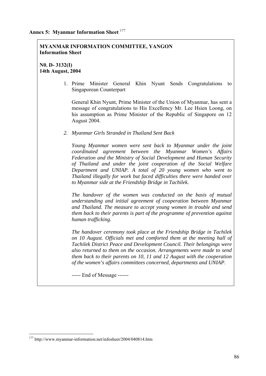## **MYANMAR INFORMATION COMMITTEE, YANGON Information Sheet**

## **N0. D- 3132(I) 14th August, 2004**

1. Prime Minister General Khin Nyunt Sends Congratulations to Singaporean Counterpart

General Khin Nyunt, Prime Minister of the Union of Myanmar, has sent a message of congratulations to His Excellency Mr. Lee Hsien Loong, on his assumption as Prime Minister of the Republic of Singapore on 12 August 2004.

*2. Myanmar Girls Stranded in Thailand Sent Back* 

*Young Myanmar women were sent back to Myanmar under the joint coordinated agreement between the Myanmar Women's Affairs Federation and the Ministry of Social Development and Human Security of Thailand and under the joint cooperation of the Social Welfare Department and UNIAP. A total of 20 young women who went to Thailand illegally for work but faced difficulties there were handed over to Myanmar side at the Friendship Bridge in Tachilek.* 

*The handover of the women was conducted on the basis of mutual understanding and initial agreement of cooperation between Myanmar and Thailand. The measure to accept young women in trouble and send them back to their parents is part of the programme of prevention against human trafficking.* 

*The handover ceremony took place at the Friendship Bridge in Tachilek on 10 August. Officials met and comforted them at the meeting hall of Tachilek District Peace and Development Council. Their belongings were also returned to them on the occasion. Arrangements were made to send them back to their parents on 10, 11 and 12 August with the cooperation of the women's affairs committees concerned, departments and UNIAP*.

----- End of Message ------

1

<sup>177</sup> http://www.myanmar-information.net/infosheet/2004/040814.htm